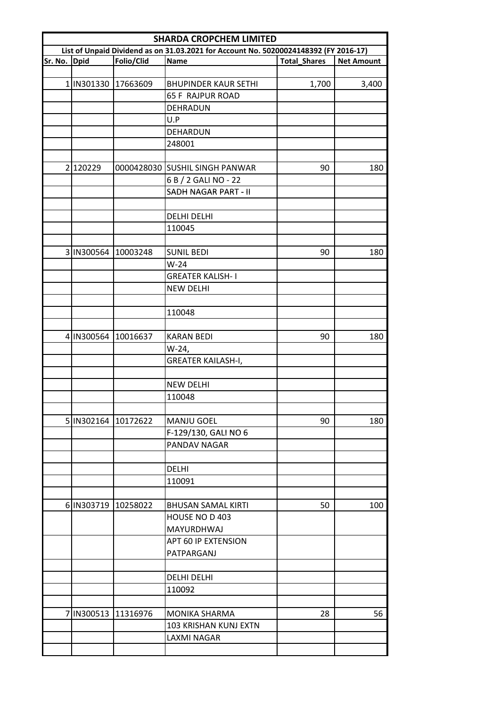| <b>SHARDA CROPCHEM LIMITED</b> |                     |                     |                                                                                      |                     |                   |  |
|--------------------------------|---------------------|---------------------|--------------------------------------------------------------------------------------|---------------------|-------------------|--|
|                                |                     |                     | List of Unpaid Dividend as on 31.03.2021 for Account No. 50200024148392 (FY 2016-17) |                     |                   |  |
| Sr. No. Dpid                   |                     | Folio/Clid          | Name                                                                                 | <b>Total_Shares</b> | <b>Net Amount</b> |  |
|                                |                     |                     |                                                                                      |                     |                   |  |
|                                | 1   IN301330        | 17663609            | <b>BHUPINDER KAUR SETHI</b>                                                          | 1,700               | 3,400             |  |
|                                |                     |                     | <b>65 F RAJPUR ROAD</b>                                                              |                     |                   |  |
|                                |                     |                     | DEHRADUN                                                                             |                     |                   |  |
|                                |                     |                     | U.P                                                                                  |                     |                   |  |
|                                |                     |                     | DEHARDUN                                                                             |                     |                   |  |
|                                |                     |                     | 248001                                                                               |                     |                   |  |
|                                |                     |                     |                                                                                      |                     |                   |  |
|                                | 2 120229            |                     | 0000428030 SUSHIL SINGH PANWAR                                                       | 90                  | 180               |  |
|                                |                     |                     | 6 B / 2 GALI NO - 22                                                                 |                     |                   |  |
|                                |                     |                     | SADH NAGAR PART - II                                                                 |                     |                   |  |
|                                |                     |                     |                                                                                      |                     |                   |  |
|                                |                     |                     | <b>DELHI DELHI</b>                                                                   |                     |                   |  |
|                                |                     |                     | 110045                                                                               |                     |                   |  |
|                                |                     |                     |                                                                                      |                     |                   |  |
|                                | 3 IN300564          | 10003248            | <b>SUNIL BEDI</b>                                                                    | 90                  | 180               |  |
|                                |                     |                     | $W-24$                                                                               |                     |                   |  |
|                                |                     |                     | <b>GREATER KALISH-I</b>                                                              |                     |                   |  |
|                                |                     |                     | <b>NEW DELHI</b>                                                                     |                     |                   |  |
|                                |                     |                     |                                                                                      |                     |                   |  |
|                                |                     |                     | 110048                                                                               |                     |                   |  |
|                                |                     |                     |                                                                                      |                     |                   |  |
|                                | 4 IN300564 10016637 |                     | <b>KARAN BEDI</b>                                                                    | 90                  | 180               |  |
|                                |                     |                     | W-24,                                                                                |                     |                   |  |
|                                |                     |                     | <b>GREATER KAILASH-I,</b>                                                            |                     |                   |  |
|                                |                     |                     |                                                                                      |                     |                   |  |
|                                |                     |                     | <b>NEW DELHI</b>                                                                     |                     |                   |  |
|                                |                     |                     | 110048                                                                               |                     |                   |  |
|                                |                     |                     |                                                                                      |                     |                   |  |
|                                | 5 IN302164 10172622 |                     | <b>MANJU GOEL</b>                                                                    | 90                  | 180               |  |
|                                |                     |                     | F-129/130, GALI NO 6                                                                 |                     |                   |  |
|                                |                     |                     | PANDAV NAGAR                                                                         |                     |                   |  |
|                                |                     |                     |                                                                                      |                     |                   |  |
|                                |                     |                     | <b>DELHI</b>                                                                         |                     |                   |  |
|                                |                     |                     | 110091                                                                               |                     |                   |  |
|                                |                     |                     |                                                                                      |                     |                   |  |
|                                | 6 IN303719          | 10258022            | <b>BHUSAN SAMAL KIRTI</b>                                                            | 50                  | 100               |  |
|                                |                     |                     | HOUSE NO D 403                                                                       |                     |                   |  |
|                                |                     |                     | <b>MAYURDHWAJ</b>                                                                    |                     |                   |  |
|                                |                     |                     | APT 60 IP EXTENSION                                                                  |                     |                   |  |
|                                |                     |                     | PATPARGANJ                                                                           |                     |                   |  |
|                                |                     |                     |                                                                                      |                     |                   |  |
|                                |                     |                     | <b>DELHI DELHI</b>                                                                   |                     |                   |  |
|                                |                     |                     | 110092                                                                               |                     |                   |  |
|                                |                     |                     |                                                                                      |                     |                   |  |
|                                |                     | 7 IN300513 11316976 | MONIKA SHARMA                                                                        | 28                  | 56                |  |
|                                |                     |                     | 103 KRISHAN KUNJ EXTN                                                                |                     |                   |  |
|                                |                     |                     | LAXMI NAGAR                                                                          |                     |                   |  |
|                                |                     |                     |                                                                                      |                     |                   |  |
|                                |                     |                     |                                                                                      |                     |                   |  |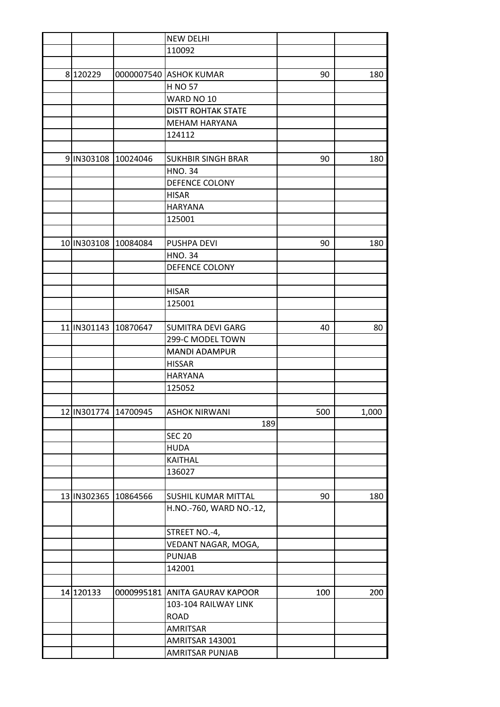|             |                      | <b>NEW DELHI</b>               |     |       |
|-------------|----------------------|--------------------------------|-----|-------|
|             |                      | 110092                         |     |       |
|             |                      |                                |     |       |
| 8 120229    |                      | 0000007540 ASHOK KUMAR         | 90  | 180   |
|             |                      | <b>H NO 57</b>                 |     |       |
|             |                      | WARD NO 10                     |     |       |
|             |                      | <b>DISTT ROHTAK STATE</b>      |     |       |
|             |                      | <b>MEHAM HARYANA</b>           |     |       |
|             |                      | 124112                         |     |       |
|             |                      |                                |     |       |
|             | 9 IN303108 10024046  | <b>SUKHBIR SINGH BRAR</b>      | 90  | 180   |
|             |                      | <b>HNO.34</b>                  |     |       |
|             |                      | DEFENCE COLONY                 |     |       |
|             |                      | <b>HISAR</b>                   |     |       |
|             |                      | <b>HARYANA</b>                 |     |       |
|             |                      | 125001                         |     |       |
|             |                      |                                |     |       |
|             | 10 IN303108 10084084 | PUSHPA DEVI                    | 90  | 180   |
|             |                      | <b>HNO.34</b>                  |     |       |
|             |                      | <b>DEFENCE COLONY</b>          |     |       |
|             |                      |                                |     |       |
|             |                      | <b>HISAR</b>                   |     |       |
|             |                      | 125001                         |     |       |
|             |                      |                                |     |       |
|             | 11 IN301143 10870647 | <b>SUMITRA DEVI GARG</b>       | 40  | 80    |
|             |                      | 299-C MODEL TOWN               |     |       |
|             |                      | <b>MANDI ADAMPUR</b>           |     |       |
|             |                      | <b>HISSAR</b>                  |     |       |
|             |                      | <b>HARYANA</b>                 |     |       |
|             |                      | 125052                         |     |       |
|             |                      |                                |     |       |
|             | 12 IN301774 14700945 | <b>ASHOK NIRWANI</b>           | 500 | 1,000 |
|             |                      | 189                            |     |       |
|             |                      | <b>SEC 20</b>                  |     |       |
|             |                      | <b>HUDA</b>                    |     |       |
|             |                      | <b>KAITHAL</b>                 |     |       |
|             |                      | 136027                         |     |       |
|             |                      |                                |     |       |
| 13 IN302365 | 10864566             | SUSHIL KUMAR MITTAL            | 90  | 180   |
|             |                      | H.NO.-760, WARD NO.-12,        |     |       |
|             |                      |                                |     |       |
|             |                      | STREET NO.-4,                  |     |       |
|             |                      | VEDANT NAGAR, MOGA,            |     |       |
|             |                      | <b>PUNJAB</b>                  |     |       |
|             |                      |                                |     |       |
|             |                      | 142001                         |     |       |
|             |                      |                                |     |       |
| 14 120133   |                      | 0000995181 ANITA GAURAV KAPOOR | 100 | 200   |
|             |                      | 103-104 RAILWAY LINK           |     |       |
|             |                      | <b>ROAD</b>                    |     |       |
|             |                      | <b>AMRITSAR</b>                |     |       |
|             |                      | AMRITSAR 143001                |     |       |
|             |                      | AMRITSAR PUNJAB                |     |       |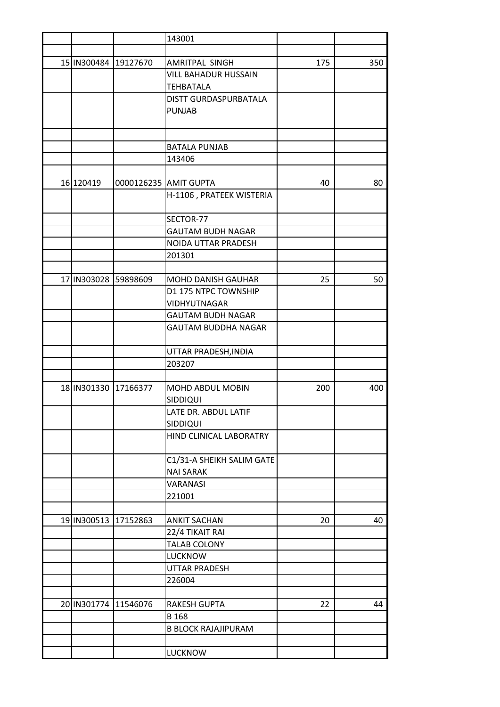|           |                       | 143001                     |     |     |
|-----------|-----------------------|----------------------------|-----|-----|
|           |                       |                            |     |     |
|           | 15 IN300484 19127670  | AMRITPAL SINGH             | 175 | 350 |
|           |                       | VILL BAHADUR HUSSAIN       |     |     |
|           |                       | <b>TEHBATALA</b>           |     |     |
|           |                       | DISTT GURDASPURBATALA      |     |     |
|           |                       | <b>PUNJAB</b>              |     |     |
|           |                       |                            |     |     |
|           |                       |                            |     |     |
|           |                       | <b>BATALA PUNJAB</b>       |     |     |
|           |                       | 143406                     |     |     |
|           |                       |                            |     |     |
| 16 120419 |                       | 0000126235 AMIT GUPTA      | 40  | 80  |
|           |                       | H-1106, PRATEEK WISTERIA   |     |     |
|           |                       |                            |     |     |
|           |                       | SECTOR-77                  |     |     |
|           |                       | <b>GAUTAM BUDH NAGAR</b>   |     |     |
|           |                       | NOIDA UTTAR PRADESH        |     |     |
|           |                       | 201301                     |     |     |
|           |                       |                            |     |     |
|           | 17 IN303028 59898609  | MOHD DANISH GAUHAR         | 25  | 50  |
|           |                       | D1 175 NTPC TOWNSHIP       |     |     |
|           |                       |                            |     |     |
|           |                       | VIDHYUTNAGAR               |     |     |
|           |                       | <b>GAUTAM BUDH NAGAR</b>   |     |     |
|           |                       | <b>GAUTAM BUDDHA NAGAR</b> |     |     |
|           |                       | UTTAR PRADESH, INDIA       |     |     |
|           |                       | 203207                     |     |     |
|           |                       |                            |     |     |
|           | 18 IN 301330 17166377 | MOHD ABDUL MOBIN           | 200 | 400 |
|           |                       | SIDDIQUI                   |     |     |
|           |                       | LATE DR. ABDUL LATIF       |     |     |
|           |                       | SIDDIQUI                   |     |     |
|           |                       | HIND CLINICAL LABORATRY    |     |     |
|           |                       |                            |     |     |
|           |                       |                            |     |     |
|           |                       | C1/31-A SHEIKH SALIM GATE  |     |     |
|           |                       | <b>NAI SARAK</b>           |     |     |
|           |                       | <b>VARANASI</b>            |     |     |
|           |                       | 221001                     |     |     |
|           |                       |                            |     |     |
|           | 19 IN300513 17152863  | <b>ANKIT SACHAN</b>        | 20  | 40  |
|           |                       | 22/4 TIKAIT RAI            |     |     |
|           |                       | <b>TALAB COLONY</b>        |     |     |
|           |                       | <b>LUCKNOW</b>             |     |     |
|           |                       | UTTAR PRADESH              |     |     |
|           |                       | 226004                     |     |     |
|           |                       |                            |     |     |
|           | 20 IN301774 11546076  | <b>RAKESH GUPTA</b>        | 22  | 44  |
|           |                       | B 168                      |     |     |
|           |                       | <b>B BLOCK RAJAJIPURAM</b> |     |     |
|           |                       |                            |     |     |
|           |                       | <b>LUCKNOW</b>             |     |     |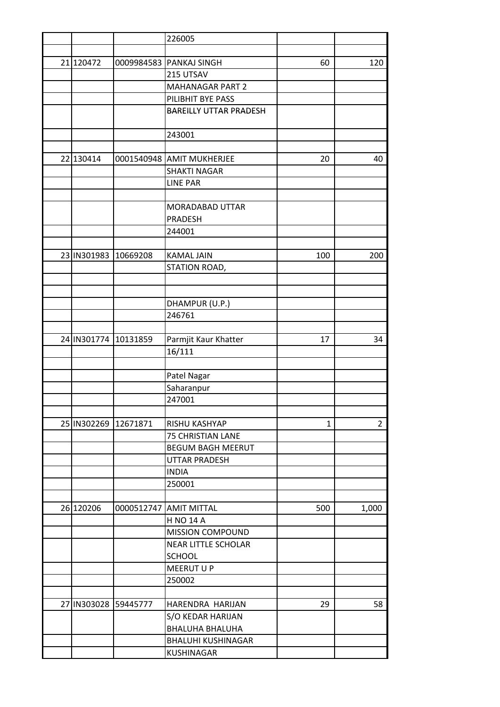|                      |                      | 226005                        |              |                |
|----------------------|----------------------|-------------------------------|--------------|----------------|
|                      |                      |                               |              |                |
| 21 120472            |                      | 0009984583 PANKAJ SINGH       | 60           | 120            |
|                      |                      | 215 UTSAV                     |              |                |
|                      |                      | <b>MAHANAGAR PART 2</b>       |              |                |
|                      |                      | PILIBHIT BYE PASS             |              |                |
|                      |                      | <b>BAREILLY UTTAR PRADESH</b> |              |                |
|                      |                      |                               |              |                |
|                      |                      | 243001                        |              |                |
|                      |                      |                               |              |                |
| 22 130414            |                      | 0001540948 AMIT MUKHERJEE     | 20           | 40             |
|                      |                      | <b>SHAKTI NAGAR</b>           |              |                |
|                      |                      | <b>LINE PAR</b>               |              |                |
|                      |                      |                               |              |                |
|                      |                      | MORADABAD UTTAR               |              |                |
|                      |                      | PRADESH                       |              |                |
|                      |                      | 244001                        |              |                |
|                      |                      |                               |              |                |
|                      |                      |                               |              |                |
|                      | 23 IN301983 10669208 | <b>KAMAL JAIN</b>             | 100          | 200            |
|                      |                      | STATION ROAD,                 |              |                |
|                      |                      |                               |              |                |
|                      |                      |                               |              |                |
|                      |                      | DHAMPUR (U.P.)                |              |                |
|                      |                      | 246761                        |              |                |
|                      |                      |                               |              |                |
|                      | 24 IN301774 10131859 | Parmjit Kaur Khatter          | 17           | 34             |
|                      |                      | 16/111                        |              |                |
|                      |                      |                               |              |                |
|                      |                      | Patel Nagar                   |              |                |
|                      |                      | Saharanpur                    |              |                |
|                      |                      | 247001                        |              |                |
|                      |                      |                               |              |                |
| 25 IN302269 12671871 |                      | RISHU KASHYAP                 | $\mathbf{1}$ | $\overline{2}$ |
|                      |                      | 75 CHRISTIAN LANE             |              |                |
|                      |                      | <b>BEGUM BAGH MEERUT</b>      |              |                |
|                      |                      | UTTAR PRADESH                 |              |                |
|                      |                      | <b>INDIA</b>                  |              |                |
|                      |                      | 250001                        |              |                |
|                      |                      |                               |              |                |
| 26 120206            |                      | 0000512747 AMIT MITTAL        | 500          | 1,000          |
|                      |                      | <b>H NO 14 A</b>              |              |                |
|                      |                      | <b>MISSION COMPOUND</b>       |              |                |
|                      |                      | <b>NEAR LITTLE SCHOLAR</b>    |              |                |
|                      |                      | <b>SCHOOL</b>                 |              |                |
|                      |                      | <b>MEERUT U P</b>             |              |                |
|                      |                      | 250002                        |              |                |
|                      |                      |                               |              |                |
|                      | 27 IN303028 59445777 | HARENDRA HARIJAN              | 29           | 58             |
|                      |                      | S/O KEDAR HARIJAN             |              |                |
|                      |                      | <b>BHALUHA BHALUHA</b>        |              |                |
|                      |                      | <b>BHALUHI KUSHINAGAR</b>     |              |                |
|                      |                      | KUSHINAGAR                    |              |                |
|                      |                      |                               |              |                |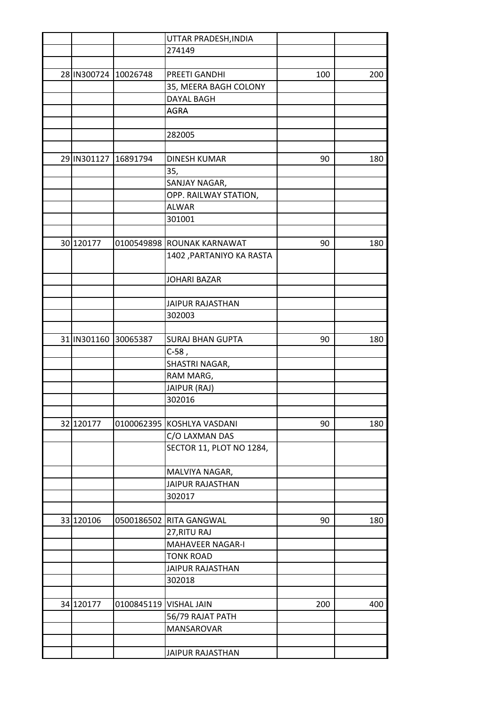|           |                        | UTTAR PRADESH, INDIA                                                   |                                                                                                                                                                                                                                                                                                                                                                                                                                                                                                                                                 |                      |
|-----------|------------------------|------------------------------------------------------------------------|-------------------------------------------------------------------------------------------------------------------------------------------------------------------------------------------------------------------------------------------------------------------------------------------------------------------------------------------------------------------------------------------------------------------------------------------------------------------------------------------------------------------------------------------------|----------------------|
|           |                        | 274149                                                                 |                                                                                                                                                                                                                                                                                                                                                                                                                                                                                                                                                 |                      |
|           |                        |                                                                        |                                                                                                                                                                                                                                                                                                                                                                                                                                                                                                                                                 |                      |
|           |                        | PREETI GANDHI                                                          | 100                                                                                                                                                                                                                                                                                                                                                                                                                                                                                                                                             | 200                  |
|           |                        |                                                                        |                                                                                                                                                                                                                                                                                                                                                                                                                                                                                                                                                 |                      |
|           |                        | DAYAL BAGH                                                             |                                                                                                                                                                                                                                                                                                                                                                                                                                                                                                                                                 |                      |
|           |                        |                                                                        |                                                                                                                                                                                                                                                                                                                                                                                                                                                                                                                                                 |                      |
|           |                        |                                                                        |                                                                                                                                                                                                                                                                                                                                                                                                                                                                                                                                                 |                      |
|           |                        |                                                                        |                                                                                                                                                                                                                                                                                                                                                                                                                                                                                                                                                 |                      |
|           |                        |                                                                        |                                                                                                                                                                                                                                                                                                                                                                                                                                                                                                                                                 |                      |
|           |                        |                                                                        |                                                                                                                                                                                                                                                                                                                                                                                                                                                                                                                                                 | 180                  |
|           |                        |                                                                        |                                                                                                                                                                                                                                                                                                                                                                                                                                                                                                                                                 |                      |
|           |                        |                                                                        |                                                                                                                                                                                                                                                                                                                                                                                                                                                                                                                                                 |                      |
|           |                        |                                                                        |                                                                                                                                                                                                                                                                                                                                                                                                                                                                                                                                                 |                      |
|           |                        |                                                                        |                                                                                                                                                                                                                                                                                                                                                                                                                                                                                                                                                 |                      |
|           |                        |                                                                        |                                                                                                                                                                                                                                                                                                                                                                                                                                                                                                                                                 |                      |
|           |                        |                                                                        |                                                                                                                                                                                                                                                                                                                                                                                                                                                                                                                                                 |                      |
|           |                        |                                                                        |                                                                                                                                                                                                                                                                                                                                                                                                                                                                                                                                                 | 180                  |
|           |                        |                                                                        |                                                                                                                                                                                                                                                                                                                                                                                                                                                                                                                                                 |                      |
|           |                        |                                                                        |                                                                                                                                                                                                                                                                                                                                                                                                                                                                                                                                                 |                      |
|           |                        |                                                                        |                                                                                                                                                                                                                                                                                                                                                                                                                                                                                                                                                 |                      |
|           |                        |                                                                        |                                                                                                                                                                                                                                                                                                                                                                                                                                                                                                                                                 |                      |
|           |                        |                                                                        |                                                                                                                                                                                                                                                                                                                                                                                                                                                                                                                                                 |                      |
|           |                        |                                                                        |                                                                                                                                                                                                                                                                                                                                                                                                                                                                                                                                                 |                      |
|           |                        |                                                                        |                                                                                                                                                                                                                                                                                                                                                                                                                                                                                                                                                 |                      |
|           |                        |                                                                        |                                                                                                                                                                                                                                                                                                                                                                                                                                                                                                                                                 |                      |
|           |                        |                                                                        |                                                                                                                                                                                                                                                                                                                                                                                                                                                                                                                                                 | 180                  |
|           |                        |                                                                        |                                                                                                                                                                                                                                                                                                                                                                                                                                                                                                                                                 |                      |
|           |                        |                                                                        |                                                                                                                                                                                                                                                                                                                                                                                                                                                                                                                                                 |                      |
|           |                        |                                                                        |                                                                                                                                                                                                                                                                                                                                                                                                                                                                                                                                                 |                      |
|           |                        |                                                                        |                                                                                                                                                                                                                                                                                                                                                                                                                                                                                                                                                 |                      |
|           |                        |                                                                        |                                                                                                                                                                                                                                                                                                                                                                                                                                                                                                                                                 |                      |
|           |                        |                                                                        |                                                                                                                                                                                                                                                                                                                                                                                                                                                                                                                                                 |                      |
|           |                        |                                                                        |                                                                                                                                                                                                                                                                                                                                                                                                                                                                                                                                                 | 180                  |
|           |                        |                                                                        |                                                                                                                                                                                                                                                                                                                                                                                                                                                                                                                                                 |                      |
|           |                        |                                                                        |                                                                                                                                                                                                                                                                                                                                                                                                                                                                                                                                                 |                      |
|           |                        |                                                                        |                                                                                                                                                                                                                                                                                                                                                                                                                                                                                                                                                 |                      |
|           |                        |                                                                        |                                                                                                                                                                                                                                                                                                                                                                                                                                                                                                                                                 |                      |
|           |                        |                                                                        |                                                                                                                                                                                                                                                                                                                                                                                                                                                                                                                                                 |                      |
|           |                        | 302017                                                                 |                                                                                                                                                                                                                                                                                                                                                                                                                                                                                                                                                 |                      |
|           |                        |                                                                        |                                                                                                                                                                                                                                                                                                                                                                                                                                                                                                                                                 |                      |
| 33 120106 |                        |                                                                        | 90                                                                                                                                                                                                                                                                                                                                                                                                                                                                                                                                              | 180                  |
|           |                        | 27, RITU RAJ                                                           |                                                                                                                                                                                                                                                                                                                                                                                                                                                                                                                                                 |                      |
|           |                        | <b>MAHAVEER NAGAR-I</b>                                                |                                                                                                                                                                                                                                                                                                                                                                                                                                                                                                                                                 |                      |
|           |                        | <b>TONK ROAD</b>                                                       |                                                                                                                                                                                                                                                                                                                                                                                                                                                                                                                                                 |                      |
|           |                        | <b>JAIPUR RAJASTHAN</b>                                                |                                                                                                                                                                                                                                                                                                                                                                                                                                                                                                                                                 |                      |
|           |                        | 302018                                                                 |                                                                                                                                                                                                                                                                                                                                                                                                                                                                                                                                                 |                      |
|           |                        |                                                                        |                                                                                                                                                                                                                                                                                                                                                                                                                                                                                                                                                 |                      |
| 34 120177 |                        |                                                                        | 200                                                                                                                                                                                                                                                                                                                                                                                                                                                                                                                                             | 400                  |
|           |                        | 56/79 RAJAT PATH                                                       |                                                                                                                                                                                                                                                                                                                                                                                                                                                                                                                                                 |                      |
|           |                        | MANSAROVAR                                                             |                                                                                                                                                                                                                                                                                                                                                                                                                                                                                                                                                 |                      |
|           |                        |                                                                        |                                                                                                                                                                                                                                                                                                                                                                                                                                                                                                                                                 |                      |
|           |                        | <b>JAIPUR RAJASTHAN</b>                                                |                                                                                                                                                                                                                                                                                                                                                                                                                                                                                                                                                 |                      |
|           | 30 120177<br>32 120177 | 28 IN300724 10026748<br>29 IN301127 16891794<br>31   IN301160 30065387 | 35, MEERA BAGH COLONY<br>AGRA<br>282005<br><b>DINESH KUMAR</b><br>35,<br>SANJAY NAGAR,<br>OPP. RAILWAY STATION,<br><b>ALWAR</b><br>301001<br>0100549898 ROUNAK KARNAWAT<br>1402, PARTANIYO KA RASTA<br><b>JOHARI BAZAR</b><br><b>JAIPUR RAJASTHAN</b><br>302003<br><b>SURAJ BHAN GUPTA</b><br>$C-58$ ,<br>SHASTRI NAGAR,<br>RAM MARG,<br>JAIPUR (RAJ)<br>302016<br>0100062395 KOSHLYA VASDANI<br>C/O LAXMAN DAS<br>SECTOR 11, PLOT NO 1284,<br>MALVIYA NAGAR,<br><b>JAIPUR RAJASTHAN</b><br>0500186502 RITA GANGWAL<br>0100845119   VISHAL JAIN | 90<br>90<br>90<br>90 |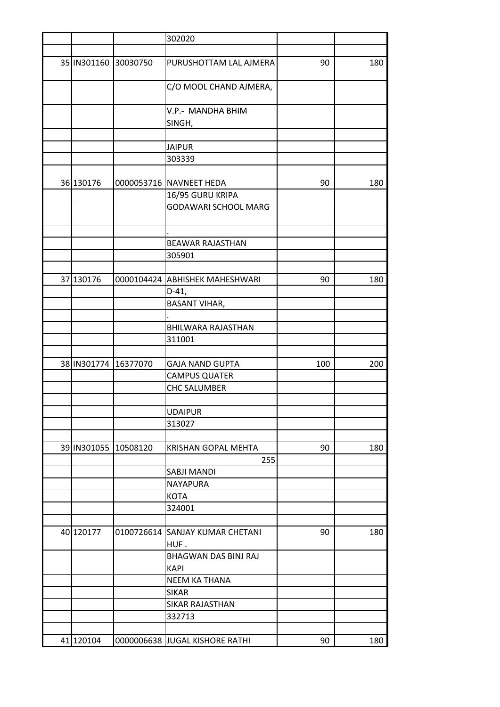|           |                      | 302020                                  |     |     |
|-----------|----------------------|-----------------------------------------|-----|-----|
|           |                      |                                         |     |     |
|           | 35 IN301160 30030750 | PURUSHOTTAM LAL AJMERA                  | 90  | 180 |
|           |                      | C/O MOOL CHAND AJMERA,                  |     |     |
|           |                      | V.P.- MANDHA BHIM                       |     |     |
|           |                      | SINGH,                                  |     |     |
|           |                      |                                         |     |     |
|           |                      | <b>JAIPUR</b>                           |     |     |
|           |                      | 303339                                  |     |     |
|           |                      |                                         |     |     |
| 36 130176 |                      | 0000053716 NAVNEET HEDA                 | 90  | 180 |
|           |                      | 16/95 GURU KRIPA                        |     |     |
|           |                      | GODAWARI SCHOOL MARG                    |     |     |
|           |                      | <b>BEAWAR RAJASTHAN</b>                 |     |     |
|           |                      | 305901                                  |     |     |
|           |                      |                                         |     |     |
| 37 130176 |                      | 0000104424 ABHISHEK MAHESHWARI          | 90  | 180 |
|           |                      | $D-41,$                                 |     |     |
|           |                      | <b>BASANT VIHAR,</b>                    |     |     |
|           |                      |                                         |     |     |
|           |                      | <b>BHILWARA RAJASTHAN</b>               |     |     |
|           |                      | 311001                                  |     |     |
|           |                      |                                         |     |     |
|           | 38 IN301774 16377070 | <b>GAJA NAND GUPTA</b>                  | 100 | 200 |
|           |                      | <b>CAMPUS QUATER</b>                    |     |     |
|           |                      | <b>CHC SALUMBER</b>                     |     |     |
|           |                      |                                         |     |     |
|           |                      | UDAIPUR                                 |     |     |
|           |                      | 313027                                  |     |     |
|           |                      |                                         |     |     |
|           | 39 IN301055 10508120 | KRISHAN GOPAL MEHTA                     | 90  | 180 |
|           |                      | 255                                     |     |     |
|           |                      | SABJI MANDI                             |     |     |
|           |                      | NAYAPURA                                |     |     |
|           |                      | <b>KOTA</b>                             |     |     |
|           |                      | 324001                                  |     |     |
|           |                      |                                         |     |     |
| 40 120177 |                      | 0100726614 SANJAY KUMAR CHETANI<br>HUF. | 90  | 180 |
|           |                      | BHAGWAN DAS BINJ RAJ                    |     |     |
|           |                      | <b>KAPI</b>                             |     |     |
|           |                      | <b>NEEM KA THANA</b>                    |     |     |
|           |                      | <b>SIKAR</b>                            |     |     |
|           |                      | <b>SIKAR RAJASTHAN</b>                  |     |     |
|           |                      | 332713                                  |     |     |
|           |                      |                                         |     |     |
| 41 120104 |                      | 0000006638 JJUGAL KISHORE RATHI         | 90  | 180 |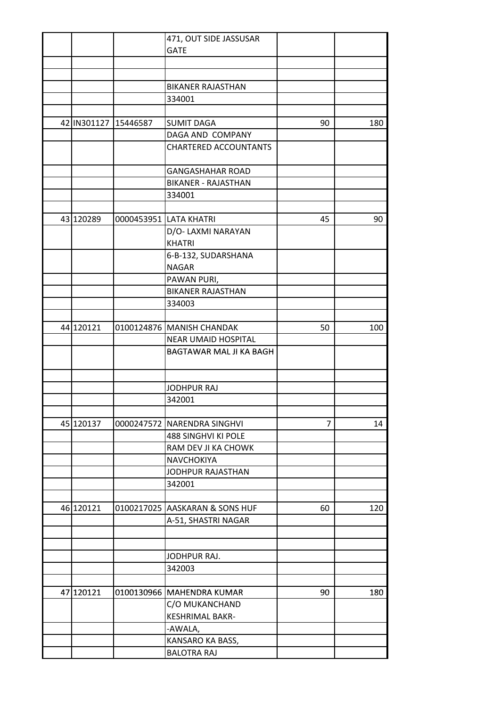|           |                      | 471, OUT SIDE JASSUSAR                  |                |     |
|-----------|----------------------|-----------------------------------------|----------------|-----|
|           |                      | <b>GATE</b>                             |                |     |
|           |                      |                                         |                |     |
|           |                      |                                         |                |     |
|           |                      | <b>BIKANER RAJASTHAN</b>                |                |     |
|           |                      | 334001                                  |                |     |
|           |                      |                                         |                |     |
|           | 42 IN301127 15446587 | <b>SUMIT DAGA</b>                       | 90             | 180 |
|           |                      | DAGA AND COMPANY                        |                |     |
|           |                      | <b>CHARTERED ACCOUNTANTS</b>            |                |     |
|           |                      |                                         |                |     |
|           |                      | <b>GANGASHAHAR ROAD</b>                 |                |     |
|           |                      | <b>BIKANER - RAJASTHAN</b>              |                |     |
|           |                      | 334001                                  |                |     |
|           |                      |                                         |                |     |
| 43 120289 |                      | 0000453951 LATA KHATRI                  | 45             | 90  |
|           |                      | D/O- LAXMI NARAYAN                      |                |     |
|           |                      | <b>KHATRI</b>                           |                |     |
|           |                      | 6-B-132, SUDARSHANA                     |                |     |
|           |                      | <b>NAGAR</b>                            |                |     |
|           |                      |                                         |                |     |
|           |                      | PAWAN PURI,<br><b>BIKANER RAJASTHAN</b> |                |     |
|           |                      |                                         |                |     |
|           |                      | 334003                                  |                |     |
| 44 120121 |                      | 0100124876 MANISH CHANDAK               | 50             | 100 |
|           |                      |                                         |                |     |
|           |                      | <b>NEAR UMAID HOSPITAL</b>              |                |     |
|           |                      | BAGTAWAR MAL JI KA BAGH                 |                |     |
|           |                      |                                         |                |     |
|           |                      | <b>JODHPUR RAJ</b>                      |                |     |
|           |                      |                                         |                |     |
|           |                      | 342001                                  |                |     |
| 45 120137 |                      | 0000247572 NARENDRA SINGHVI             | $\overline{7}$ |     |
|           |                      |                                         |                | 14  |
|           |                      | <b>488 SINGHVI KI POLE</b>              |                |     |
|           |                      | RAM DEV JI KA CHOWK                     |                |     |
|           |                      | NAVCHOKIYA                              |                |     |
|           |                      | JODHPUR RAJASTHAN                       |                |     |
|           |                      | 342001                                  |                |     |
|           |                      |                                         |                |     |
| 46 120121 |                      | 0100217025 AASKARAN & SONS HUF          | 60             | 120 |
|           |                      | A-51, SHASTRI NAGAR                     |                |     |
|           |                      |                                         |                |     |
|           |                      |                                         |                |     |
|           |                      | JODHPUR RAJ.                            |                |     |
|           |                      | 342003                                  |                |     |
|           |                      |                                         |                |     |
| 47 120121 |                      | 0100130966   MAHENDRA KUMAR             | 90             | 180 |
|           |                      | C/O MUKANCHAND                          |                |     |
|           |                      | KESHRIMAL BAKR-                         |                |     |
|           |                      | -AWALA,                                 |                |     |
|           |                      | KANSARO KA BASS,                        |                |     |
|           |                      | <b>BALOTRA RAJ</b>                      |                |     |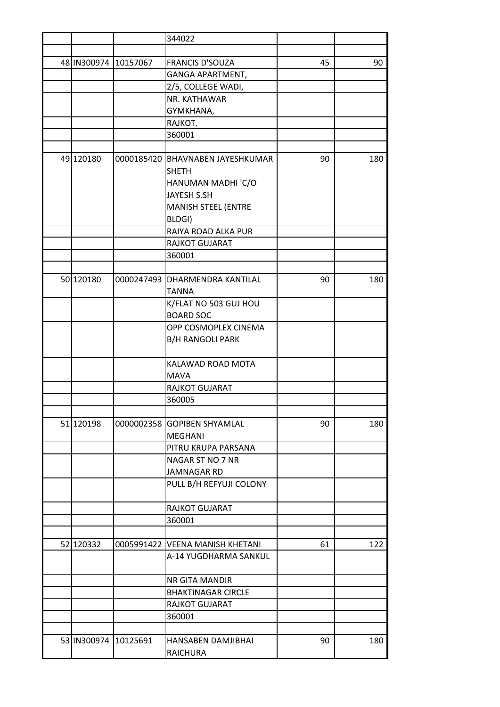|           |                      | 344022                             |    |     |
|-----------|----------------------|------------------------------------|----|-----|
|           |                      |                                    |    |     |
|           | 48 IN300974 10157067 | <b>FRANCIS D'SOUZA</b>             | 45 | 90  |
|           |                      | GANGA APARTMENT,                   |    |     |
|           |                      | 2/5, COLLEGE WADI,                 |    |     |
|           |                      | NR. KATHAWAR                       |    |     |
|           |                      | GYMKHANA,                          |    |     |
|           |                      | RAJKOT.                            |    |     |
|           |                      | 360001                             |    |     |
|           |                      |                                    |    |     |
| 49 120180 |                      | 0000185420   BHAVNABEN JAYESHKUMAR | 90 | 180 |
|           |                      | <b>SHETH</b>                       |    |     |
|           |                      | HANUMAN MADHI 'C/O                 |    |     |
|           |                      | <b>JAYESH S.SH</b>                 |    |     |
|           |                      | <b>MANISH STEEL (ENTRE</b>         |    |     |
|           |                      | BLDGI)                             |    |     |
|           |                      | RAIYA ROAD ALKA PUR                |    |     |
|           |                      | RAJKOT GUJARAT                     |    |     |
|           |                      | 360001                             |    |     |
|           |                      |                                    |    |     |
| 50 120180 |                      | 0000247493 DHARMENDRA KANTILAL     | 90 | 180 |
|           |                      | <b>TANNA</b>                       |    |     |
|           |                      | K/FLAT NO 503 GUJ HOU              |    |     |
|           |                      | <b>BOARD SOC</b>                   |    |     |
|           |                      | OPP COSMOPLEX CINEMA               |    |     |
|           |                      | <b>B/H RANGOLI PARK</b>            |    |     |
|           |                      |                                    |    |     |
|           |                      | KALAWAD ROAD MOTA                  |    |     |
|           |                      | <b>MAVA</b>                        |    |     |
|           |                      | RAJKOT GUJARAT                     |    |     |
|           |                      | 360005                             |    |     |
|           |                      |                                    |    |     |
| 51 120198 | 0000002358           | <b>GOPIBEN SHYAMLAL</b>            | 90 | 180 |
|           |                      | <b>MEGHANI</b>                     |    |     |
|           |                      | PITRU KRUPA PARSANA                |    |     |
|           |                      | NAGAR ST NO 7 NR                   |    |     |
|           |                      | <b>JAMNAGAR RD</b>                 |    |     |
|           |                      | PULL B/H REFYUJI COLONY            |    |     |
|           |                      |                                    |    |     |
|           |                      | RAJKOT GUJARAT                     |    |     |
|           |                      | 360001                             |    |     |
|           |                      |                                    |    |     |
| 52 120332 |                      | 0005991422 VEENA MANISH KHETANI    | 61 | 122 |
|           |                      | A-14 YUGDHARMA SANKUL              |    |     |
|           |                      |                                    |    |     |
|           |                      | NR GITA MANDIR                     |    |     |
|           |                      | <b>BHAKTINAGAR CIRCLE</b>          |    |     |
|           |                      | RAJKOT GUJARAT                     |    |     |
|           |                      | 360001                             |    |     |
|           | 53 IN300974 10125691 | HANSABEN DAMJIBHAI                 | 90 | 180 |
|           |                      | <b>RAICHURA</b>                    |    |     |
|           |                      |                                    |    |     |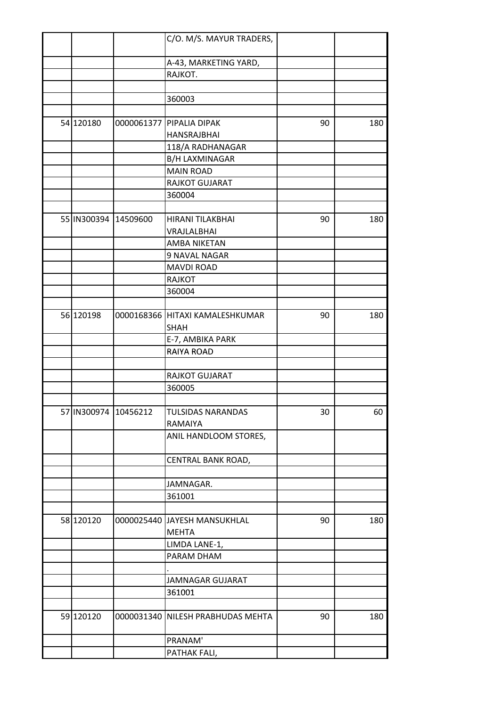|           |                      | C/O. M/S. MAYUR TRADERS,          |    |     |
|-----------|----------------------|-----------------------------------|----|-----|
|           |                      |                                   |    |     |
|           |                      | A-43, MARKETING YARD,             |    |     |
|           |                      | RAJKOT.                           |    |     |
|           |                      |                                   |    |     |
|           |                      | 360003                            |    |     |
|           |                      |                                   |    |     |
| 54 120180 |                      | 0000061377 PIPALIA DIPAK          | 90 | 180 |
|           |                      | <b>HANSRAJBHAI</b>                |    |     |
|           |                      | 118/A RADHANAGAR                  |    |     |
|           |                      | <b>B/H LAXMINAGAR</b>             |    |     |
|           |                      | <b>MAIN ROAD</b>                  |    |     |
|           |                      | RAJKOT GUJARAT                    |    |     |
|           |                      | 360004                            |    |     |
|           |                      |                                   |    |     |
|           | 55 IN300394 14509600 | HIRANI TILAKBHAI                  | 90 | 180 |
|           |                      | VRAJLALBHAI                       |    |     |
|           |                      | AMBA NIKETAN                      |    |     |
|           |                      | 9 NAVAL NAGAR                     |    |     |
|           |                      | <b>MAVDI ROAD</b>                 |    |     |
|           |                      | <b>RAJKOT</b>                     |    |     |
|           |                      | 360004                            |    |     |
|           |                      |                                   |    |     |
| 56 120198 |                      | 0000168366 HITAXI KAMALESHKUMAR   | 90 | 180 |
|           |                      | SHAH                              |    |     |
|           |                      | E-7, AMBIKA PARK                  |    |     |
|           |                      | RAIYA ROAD                        |    |     |
|           |                      |                                   |    |     |
|           |                      | RAJKOT GUJARAT                    |    |     |
|           |                      | 360005                            |    |     |
|           |                      |                                   |    |     |
|           | 57 IN300974 10456212 | TULSIDAS NARANDAS                 | 30 | 60  |
|           |                      | RAMAIYA                           |    |     |
|           |                      | ANIL HANDLOOM STORES,             |    |     |
|           |                      | CENTRAL BANK ROAD,                |    |     |
|           |                      |                                   |    |     |
|           |                      | JAMNAGAR.                         |    |     |
|           |                      | 361001                            |    |     |
|           |                      |                                   |    |     |
| 58 120120 |                      | 0000025440 JAYESH MANSUKHLAL      | 90 | 180 |
|           |                      | <b>MEHTA</b>                      |    |     |
|           |                      | LIMDA LANE-1,                     |    |     |
|           |                      | PARAM DHAM                        |    |     |
|           |                      |                                   |    |     |
|           |                      | JAMNAGAR GUJARAT                  |    |     |
|           |                      | 361001                            |    |     |
|           |                      |                                   |    |     |
| 59 120120 |                      | 0000031340 NILESH PRABHUDAS MEHTA | 90 | 180 |
|           |                      |                                   |    |     |
|           |                      | PRANAM'                           |    |     |
|           |                      | PATHAK FALI,                      |    |     |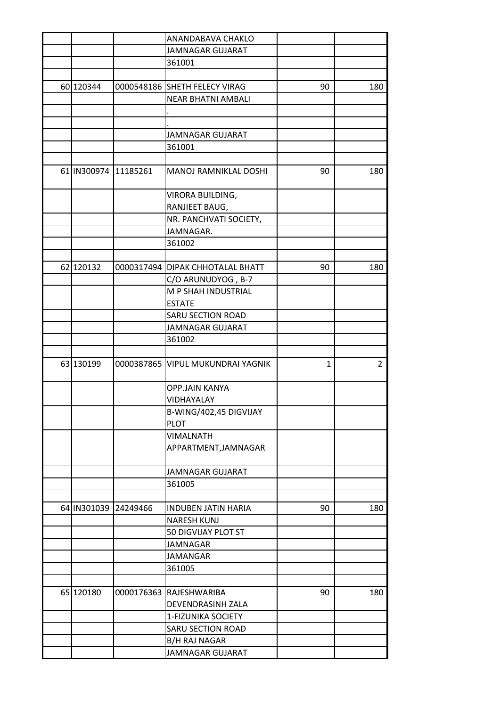|           |                      | ANANDABAVA CHAKLO                |              |                |
|-----------|----------------------|----------------------------------|--------------|----------------|
|           |                      | <b>JAMNAGAR GUJARAT</b>          |              |                |
|           |                      | 361001                           |              |                |
|           |                      |                                  |              |                |
| 60 120344 |                      | 0000548186 SHETH FELECY VIRAG    | 90           | 180            |
|           |                      | <b>NEAR BHATNI AMBALI</b>        |              |                |
|           |                      |                                  |              |                |
|           |                      |                                  |              |                |
|           |                      | JAMNAGAR GUJARAT                 |              |                |
|           |                      | 361001                           |              |                |
|           |                      |                                  |              |                |
|           | 61 IN300974 11185261 | MANOJ RAMNIKLAL DOSHI            | 90           | 180            |
|           |                      |                                  |              |                |
|           |                      | VIRORA BUILDING,                 |              |                |
|           |                      | RANJIEET BAUG,                   |              |                |
|           |                      | NR. PANCHVATI SOCIETY,           |              |                |
|           |                      | JAMNAGAR.                        |              |                |
|           |                      | 361002                           |              |                |
|           |                      |                                  |              |                |
| 62 120132 |                      | 0000317494 DIPAK CHHOTALAL BHATT | 90           | 180            |
|           |                      | C/O ARUNUDYOG, B-7               |              |                |
|           |                      | M P SHAH INDUSTRIAL              |              |                |
|           |                      | <b>ESTATE</b>                    |              |                |
|           |                      | SARU SECTION ROAD                |              |                |
|           |                      | <b>JAMNAGAR GUJARAT</b>          |              |                |
|           |                      | 361002                           |              |                |
|           |                      |                                  |              |                |
| 63 130199 | 0000387865           | <b>VIPUL MUKUNDRAI YAGNIK</b>    | $\mathbf{1}$ | $\overline{2}$ |
|           |                      |                                  |              |                |
|           |                      | OPP.JAIN KANYA                   |              |                |
|           |                      | <b>VIDHAYALAY</b>                |              |                |
|           |                      | B-WING/402,45 DIGVIJAY           |              |                |
|           |                      | <b>PLOT</b>                      |              |                |
|           |                      | <b>VIMALNATH</b>                 |              |                |
|           |                      | APPARTMENT, JAMNAGAR             |              |                |
|           |                      |                                  |              |                |
|           |                      | <b>JAMNAGAR GUJARAT</b>          |              |                |
|           |                      | 361005                           |              |                |
|           |                      |                                  |              |                |
|           | 64 IN301039 24249466 | <b>INDUBEN JATIN HARIA</b>       | 90           | 180            |
|           |                      | <b>NARESH KUNJ</b>               |              |                |
|           |                      | 50 DIGVIJAY PLOT ST              |              |                |
|           |                      | JAMNAGAR                         |              |                |
|           |                      | <b>JAMANGAR</b>                  |              |                |
|           |                      | 361005                           |              |                |
|           |                      |                                  |              |                |
| 65 120180 |                      | 0000176363 RAJESHWARIBA          | 90           | 180            |
|           |                      | DEVENDRASINH ZALA                |              |                |
|           |                      | 1-FIZUNIKA SOCIETY               |              |                |
|           |                      | SARU SECTION ROAD                |              |                |
|           |                      | <b>B/H RAJ NAGAR</b>             |              |                |
|           |                      | JAMNAGAR GUJARAT                 |              |                |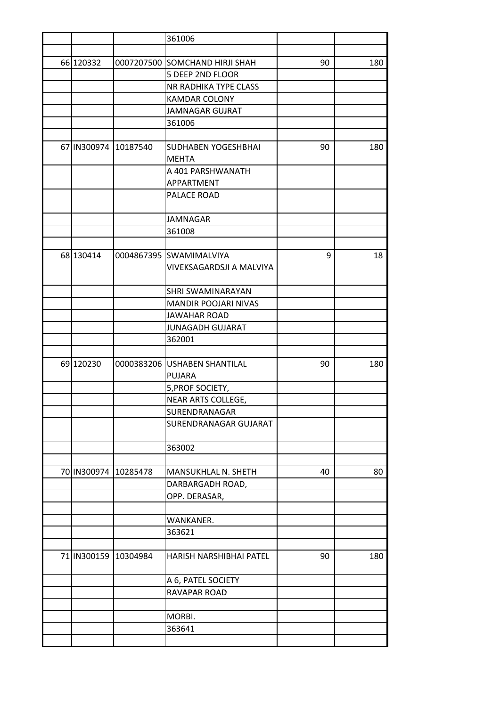|             |                      | 361006                         |    |     |
|-------------|----------------------|--------------------------------|----|-----|
|             |                      |                                |    |     |
| 66 120332   |                      | 0007207500 SOMCHAND HIRJI SHAH | 90 | 180 |
|             |                      | 5 DEEP 2ND FLOOR               |    |     |
|             |                      | NR RADHIKA TYPE CLASS          |    |     |
|             |                      | KAMDAR COLONY                  |    |     |
|             |                      | <b>JAMNAGAR GUJRAT</b>         |    |     |
|             |                      | 361006                         |    |     |
|             |                      |                                |    |     |
|             | 67 IN300974 10187540 | SUDHABEN YOGESHBHAI            | 90 | 180 |
|             |                      | <b>MEHTA</b>                   |    |     |
|             |                      | A 401 PARSHWANATH              |    |     |
|             |                      | APPARTMENT                     |    |     |
|             |                      | PALACE ROAD                    |    |     |
|             |                      |                                |    |     |
|             |                      | <b>JAMNAGAR</b>                |    |     |
|             |                      | 361008                         |    |     |
|             |                      |                                |    |     |
| 68 130414   |                      | 0004867395 SWAMIMALVIYA        | 9  | 18  |
|             |                      | VIVEKSAGARDSJI A MALVIYA       |    |     |
|             |                      |                                |    |     |
|             |                      | SHRI SWAMINARAYAN              |    |     |
|             |                      | <b>MANDIR POOJARI NIVAS</b>    |    |     |
|             |                      |                                |    |     |
|             |                      | <b>JAWAHAR ROAD</b>            |    |     |
|             |                      | <b>JUNAGADH GUJARAT</b>        |    |     |
|             |                      | 362001                         |    |     |
|             |                      |                                |    |     |
| 69 120230   | 0000383206           | <b>USHABEN SHANTILAL</b>       | 90 | 180 |
|             |                      | <b>PUJARA</b>                  |    |     |
|             |                      | 5, PROF SOCIETY,               |    |     |
|             |                      | NEAR ARTS COLLEGE,             |    |     |
|             |                      | <b>SURENDRANAGAR</b>           |    |     |
|             |                      | SURENDRANAGAR GUJARAT          |    |     |
|             |                      |                                |    |     |
|             |                      | 363002                         |    |     |
|             |                      |                                |    |     |
|             | 70 IN300974 10285478 | MANSUKHLAL N. SHETH            | 40 | 80  |
|             |                      | DARBARGADH ROAD,               |    |     |
|             |                      | OPP. DERASAR,                  |    |     |
|             |                      |                                |    |     |
|             |                      | WANKANER.                      |    |     |
|             |                      | 363621                         |    |     |
|             |                      |                                |    |     |
| 71 IN300159 | 10304984             | HARISH NARSHIBHAI PATEL        | 90 | 180 |
|             |                      | A 6, PATEL SOCIETY             |    |     |
|             |                      | RAVAPAR ROAD                   |    |     |
|             |                      |                                |    |     |
|             |                      | MORBI.                         |    |     |
|             |                      | 363641                         |    |     |
|             |                      |                                |    |     |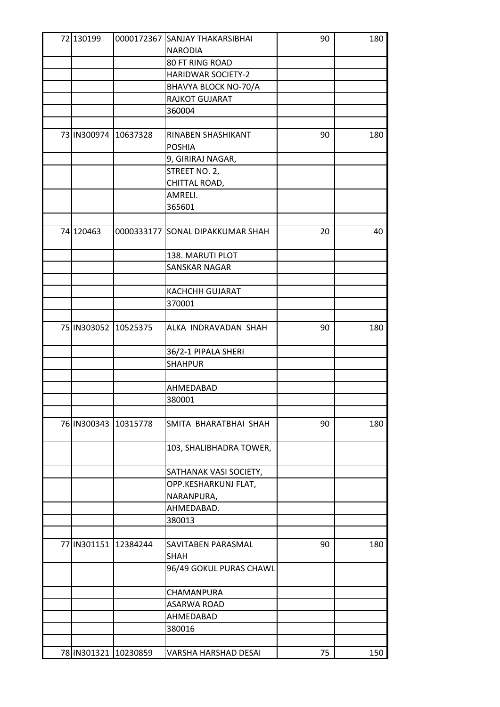| 72 130199             |                      | 0000172367 SANJAY THAKARSIBHAI   | 90 | 180 |
|-----------------------|----------------------|----------------------------------|----|-----|
|                       |                      | <b>NARODIA</b>                   |    |     |
|                       |                      | 80 FT RING ROAD                  |    |     |
|                       |                      | <b>HARIDWAR SOCIETY-2</b>        |    |     |
|                       |                      | BHAVYA BLOCK NO-70/A             |    |     |
|                       |                      | RAJKOT GUJARAT                   |    |     |
|                       |                      | 360004                           |    |     |
|                       |                      |                                  |    |     |
| 73 IN300974 10637328  |                      | RINABEN SHASHIKANT               | 90 | 180 |
|                       |                      | <b>POSHIA</b>                    |    |     |
|                       |                      | 9, GIRIRAJ NAGAR,                |    |     |
|                       |                      | STREET NO. 2,                    |    |     |
|                       |                      | CHITTAL ROAD,                    |    |     |
|                       |                      | AMRELI.                          |    |     |
|                       |                      | 365601                           |    |     |
|                       |                      |                                  |    |     |
| 74 120463             |                      | 0000333177 SONAL DIPAKKUMAR SHAH | 20 | 40  |
|                       |                      | 138. MARUTI PLOT                 |    |     |
|                       |                      | SANSKAR NAGAR                    |    |     |
|                       |                      |                                  |    |     |
|                       |                      | <b>KACHCHH GUJARAT</b>           |    |     |
|                       |                      | 370001                           |    |     |
|                       |                      |                                  |    |     |
| 75 IN303052 10525375  |                      | ALKA INDRAVADAN SHAH             | 90 | 180 |
|                       |                      | 36/2-1 PIPALA SHERI              |    |     |
|                       |                      | <b>SHAHPUR</b>                   |    |     |
|                       |                      |                                  |    |     |
|                       |                      | AHMEDABAD                        |    |     |
|                       |                      | 380001                           |    |     |
|                       |                      |                                  |    |     |
|                       | 76 IN300343 10315778 | SMITA BHARATBHAI SHAH            | 90 | 180 |
|                       |                      | 103, SHALIBHADRA TOWER,          |    |     |
|                       |                      | SATHANAK VASI SOCIETY,           |    |     |
|                       |                      | OPP.KESHARKUNJ FLAT,             |    |     |
|                       |                      | NARANPURA,                       |    |     |
|                       |                      | AHMEDABAD.                       |    |     |
|                       |                      | 380013                           |    |     |
|                       |                      |                                  |    |     |
|                       | 77 IN301151 12384244 | SAVITABEN PARASMAL               | 90 | 180 |
|                       |                      | <b>SHAH</b>                      |    |     |
|                       |                      | 96/49 GOKUL PURAS CHAWL          |    |     |
|                       |                      | CHAMANPURA                       |    |     |
|                       |                      | ASARWA ROAD                      |    |     |
|                       |                      | AHMEDABAD                        |    |     |
|                       |                      | 380016                           |    |     |
|                       |                      |                                  |    |     |
| 78 IN 301321 10230859 |                      | VARSHA HARSHAD DESAI             | 75 | 150 |
|                       |                      |                                  |    |     |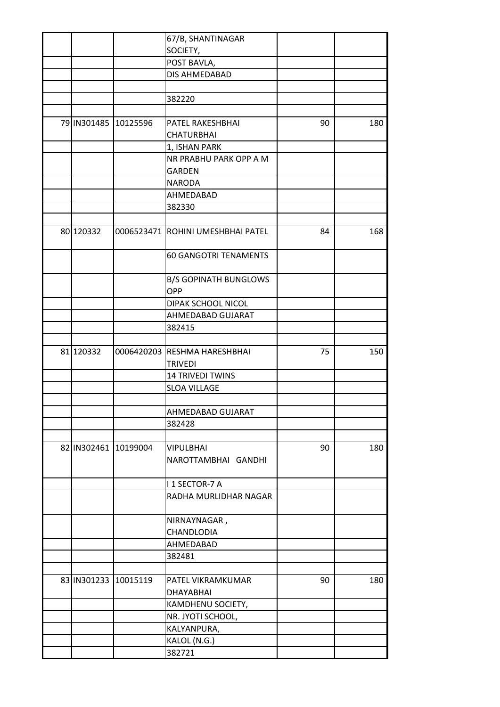|           |                      | 67/B, SHANTINAGAR                   |    |     |
|-----------|----------------------|-------------------------------------|----|-----|
|           |                      | SOCIETY,                            |    |     |
|           |                      | POST BAVLA,                         |    |     |
|           |                      | DIS AHMEDABAD                       |    |     |
|           |                      |                                     |    |     |
|           |                      | 382220                              |    |     |
|           |                      |                                     |    |     |
|           | 79 IN301485 10125596 | PATEL RAKESHBHAI                    | 90 | 180 |
|           |                      | <b>CHATURBHAI</b>                   |    |     |
|           |                      | 1, ISHAN PARK                       |    |     |
|           |                      | NR PRABHU PARK OPP A M              |    |     |
|           |                      | <b>GARDEN</b>                       |    |     |
|           |                      | <b>NARODA</b>                       |    |     |
|           |                      | AHMEDABAD                           |    |     |
|           |                      | 382330                              |    |     |
|           |                      |                                     |    |     |
| 80 120332 |                      | 0006523471 ROHINI UMESHBHAI PATEL   | 84 | 168 |
|           |                      | <b>60 GANGOTRI TENAMENTS</b>        |    |     |
|           |                      | <b>B/S GOPINATH BUNGLOWS</b><br>OPP |    |     |
|           |                      | DIPAK SCHOOL NICOL                  |    |     |
|           |                      | AHMEDABAD GUJARAT                   |    |     |
|           |                      | 382415                              |    |     |
|           |                      |                                     |    |     |
| 81 120332 |                      | 0006420203 RESHMA HARESHBHAI        | 75 | 150 |
|           |                      | <b>TRIVEDI</b>                      |    |     |
|           |                      | <b>14 TRIVEDI TWINS</b>             |    |     |
|           |                      | <b>SLOA VILLAGE</b>                 |    |     |
|           |                      |                                     |    |     |
|           |                      | AHMEDABAD GUJARAT                   |    |     |
|           |                      | 382428                              |    |     |
|           |                      |                                     |    |     |
|           | 82 IN302461 10199004 | <b>VIPULBHAI</b>                    | 90 | 180 |
|           |                      | NAROTTAMBHAI GANDHI                 |    |     |
|           |                      | I 1 SECTOR-7 A                      |    |     |
|           |                      | RADHA MURLIDHAR NAGAR               |    |     |
|           |                      | NIRNAYNAGAR,                        |    |     |
|           |                      | CHANDLODIA                          |    |     |
|           |                      | AHMEDABAD                           |    |     |
|           |                      | 382481                              |    |     |
|           |                      |                                     |    |     |
|           | 83 IN301233 10015119 | PATEL VIKRAMKUMAR                   | 90 | 180 |
|           |                      | <b>DHAYABHAI</b>                    |    |     |
|           |                      | KAMDHENU SOCIETY,                   |    |     |
|           |                      | NR. JYOTI SCHOOL,                   |    |     |
|           |                      | KALYANPURA,                         |    |     |
|           |                      | KALOL (N.G.)                        |    |     |
|           |                      | 382721                              |    |     |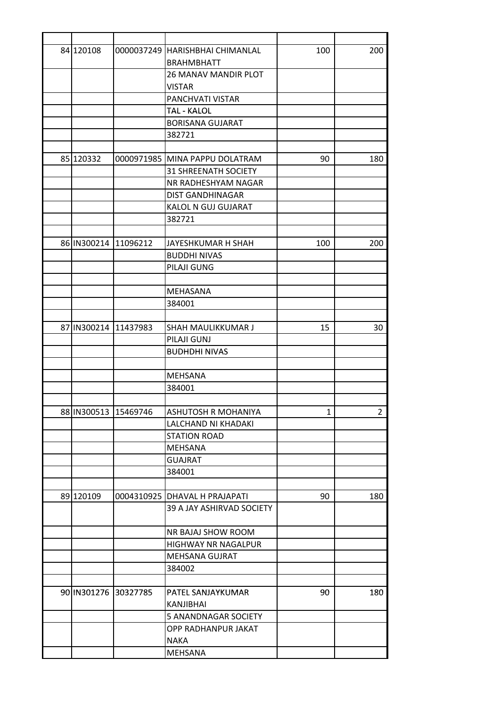| 84 120108 |                      | 0000037249 HARISHBHAI CHIMANLAL | 100          | 200            |
|-----------|----------------------|---------------------------------|--------------|----------------|
|           |                      | <b>BRAHMBHATT</b>               |              |                |
|           |                      | 26 MANAV MANDIR PLOT            |              |                |
|           |                      | <b>VISTAR</b>                   |              |                |
|           |                      | PANCHVATI VISTAR                |              |                |
|           |                      | <b>TAL - KALOL</b>              |              |                |
|           |                      | <b>BORISANA GUJARAT</b>         |              |                |
|           |                      | 382721                          |              |                |
|           |                      |                                 |              |                |
| 85 120332 |                      | 0000971985 MINA PAPPU DOLATRAM  | 90           | 180            |
|           |                      | <b>31 SHREENATH SOCIETY</b>     |              |                |
|           |                      | NR RADHESHYAM NAGAR             |              |                |
|           |                      | <b>DIST GANDHINAGAR</b>         |              |                |
|           |                      | KALOL N GUJ GUJARAT             |              |                |
|           |                      | 382721                          |              |                |
|           |                      |                                 |              |                |
|           | 86 IN300214 11096212 | JAYESHKUMAR H SHAH              | 100          | 200            |
|           |                      | <b>BUDDHI NIVAS</b>             |              |                |
|           |                      | PILAJI GUNG                     |              |                |
|           |                      |                                 |              |                |
|           |                      | MEHASANA                        |              |                |
|           |                      | 384001                          |              |                |
|           |                      |                                 |              |                |
|           | 87 IN300214 11437983 | SHAH MAULIKKUMAR J              | 15           | 30             |
|           |                      | PILAJI GUNJ                     |              |                |
|           |                      | <b>BUDHDHI NIVAS</b>            |              |                |
|           |                      |                                 |              |                |
|           |                      | <b>MEHSANA</b>                  |              |                |
|           |                      | 384001                          |              |                |
|           |                      |                                 |              |                |
|           | 88 IN300513 15469746 | ASHUTOSH R MOHANIYA             | $\mathbf{1}$ | $\overline{2}$ |
|           |                      | LALCHAND NI KHADAKI             |              |                |
|           |                      | <b>STATION ROAD</b>             |              |                |
|           |                      | MEHSANA                         |              |                |
|           |                      | <b>GUAJRAT</b>                  |              |                |
|           |                      | 384001                          |              |                |
|           |                      |                                 |              |                |
| 89 120109 |                      | 0004310925 DHAVAL H PRAJAPATI   | 90           | 180            |
|           |                      | 39 A JAY ASHIRVAD SOCIETY       |              |                |
|           |                      |                                 |              |                |
|           |                      | NR BAJAJ SHOW ROOM              |              |                |
|           |                      | HIGHWAY NR NAGALPUR             |              |                |
|           |                      | MEHSANA GUJRAT                  |              |                |
|           |                      | 384002                          |              |                |
|           |                      |                                 |              |                |
|           | 90 IN301276 30327785 | PATEL SANJAYKUMAR               | 90           | 180            |
|           |                      | KANJIBHAI                       |              |                |
|           |                      | 5 ANANDNAGAR SOCIETY            |              |                |
|           |                      | OPP RADHANPUR JAKAT             |              |                |
|           |                      | <b>NAKA</b>                     |              |                |
|           |                      | MEHSANA                         |              |                |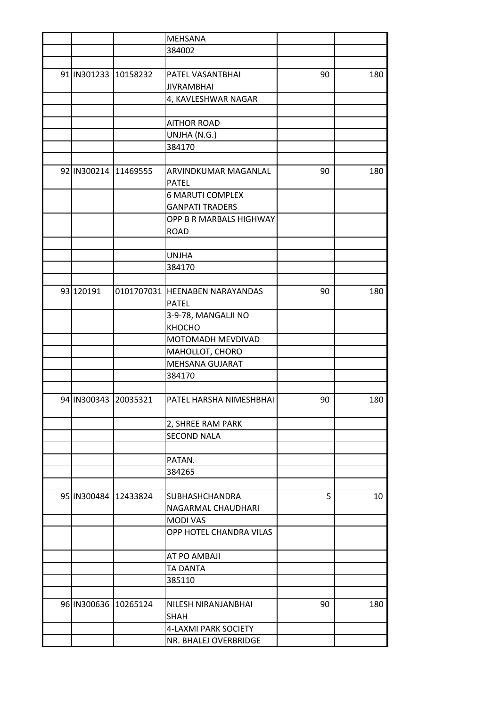|           |                      | <b>MEHSANA</b>                 |    |     |
|-----------|----------------------|--------------------------------|----|-----|
|           |                      | 384002                         |    |     |
|           |                      |                                |    |     |
|           | 91 IN301233 10158232 | PATEL VASANTBHAI               | 90 | 180 |
|           |                      | <b>JIVRAMBHAI</b>              |    |     |
|           |                      | 4, KAVLESHWAR NAGAR            |    |     |
|           |                      |                                |    |     |
|           |                      | <b>AITHOR ROAD</b>             |    |     |
|           |                      | UNJHA (N.G.)                   |    |     |
|           |                      | 384170                         |    |     |
|           |                      |                                |    |     |
|           | 92 IN300214 11469555 | ARVINDKUMAR MAGANLAL           | 90 | 180 |
|           |                      | <b>PATEL</b>                   |    |     |
|           |                      | <b>6 MARUTI COMPLEX</b>        |    |     |
|           |                      | <b>GANPATI TRADERS</b>         |    |     |
|           |                      | OPP B R MARBALS HIGHWAY        |    |     |
|           |                      |                                |    |     |
|           |                      | <b>ROAD</b>                    |    |     |
|           |                      |                                |    |     |
|           |                      | <b>UNJHA</b>                   |    |     |
|           |                      | 384170                         |    |     |
|           |                      |                                |    |     |
| 93 120191 |                      | 0101707031 HEENABEN NARAYANDAS | 90 | 180 |
|           |                      | <b>PATEL</b>                   |    |     |
|           |                      | 3-9-78, MANGALJI NO            |    |     |
|           |                      | КНОСНО                         |    |     |
|           |                      | MOTOMADH MEVDIVAD              |    |     |
|           |                      | MAHOLLOT, CHORO                |    |     |
|           |                      | MEHSANA GUJARAT                |    |     |
|           |                      | 384170                         |    |     |
|           |                      |                                |    |     |
|           | 94 IN300343 20035321 | PATEL HARSHA NIMESHBHAI        | 90 | 180 |
|           |                      | 2, SHREE RAM PARK              |    |     |
|           |                      | <b>SECOND NALA</b>             |    |     |
|           |                      |                                |    |     |
|           |                      | PATAN.                         |    |     |
|           |                      | 384265                         |    |     |
|           |                      |                                |    |     |
|           | 95 IN300484 12433824 | <b>SUBHASHCHANDRA</b>          | 5  | 10  |
|           |                      | NAGARMAL CHAUDHARI             |    |     |
|           |                      | <b>MODI VAS</b>                |    |     |
|           |                      |                                |    |     |
|           |                      | OPP HOTEL CHANDRA VILAS        |    |     |
|           |                      | AT PO AMBAJI                   |    |     |
|           |                      | TA DANTA                       |    |     |
|           |                      | 385110                         |    |     |
|           |                      |                                |    |     |
|           | 96 IN300636 10265124 | NILESH NIRANJANBHAI            | 90 | 180 |
|           |                      | SHAH                           |    |     |
|           |                      | 4-LAXMI PARK SOCIETY           |    |     |
|           |                      | NR. BHALEJ OVERBRIDGE          |    |     |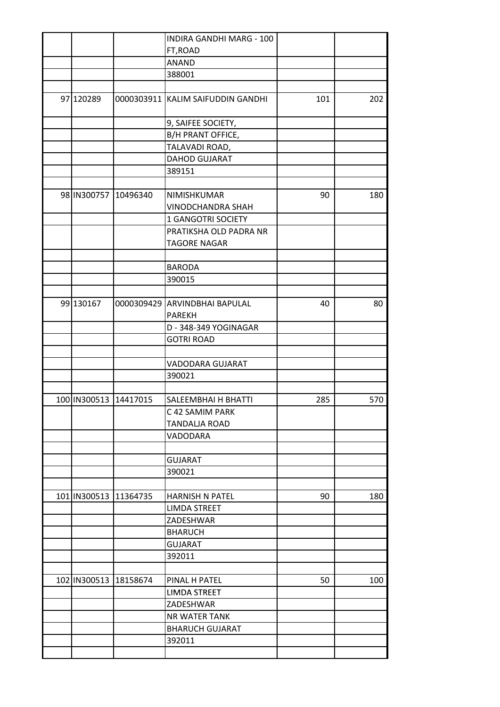|              |           | ANAND                                                                      |                                                                                                                                                                                                                                                                                                                                                                                                                         |           |
|--------------|-----------|----------------------------------------------------------------------------|-------------------------------------------------------------------------------------------------------------------------------------------------------------------------------------------------------------------------------------------------------------------------------------------------------------------------------------------------------------------------------------------------------------------------|-----------|
|              |           |                                                                            |                                                                                                                                                                                                                                                                                                                                                                                                                         |           |
| 97 120289    |           |                                                                            | 101                                                                                                                                                                                                                                                                                                                                                                                                                     | 202       |
|              |           |                                                                            |                                                                                                                                                                                                                                                                                                                                                                                                                         |           |
|              |           |                                                                            |                                                                                                                                                                                                                                                                                                                                                                                                                         |           |
|              |           |                                                                            |                                                                                                                                                                                                                                                                                                                                                                                                                         |           |
|              |           | <b>DAHOD GUJARAT</b>                                                       |                                                                                                                                                                                                                                                                                                                                                                                                                         |           |
|              |           | 389151                                                                     |                                                                                                                                                                                                                                                                                                                                                                                                                         |           |
|              |           |                                                                            |                                                                                                                                                                                                                                                                                                                                                                                                                         |           |
|              |           | NIMISHKUMAR                                                                | 90                                                                                                                                                                                                                                                                                                                                                                                                                      | 180       |
|              |           | VINODCHANDRA SHAH                                                          |                                                                                                                                                                                                                                                                                                                                                                                                                         |           |
|              |           | <b>1 GANGOTRI SOCIETY</b>                                                  |                                                                                                                                                                                                                                                                                                                                                                                                                         |           |
|              |           | PRATIKSHA OLD PADRA NR                                                     |                                                                                                                                                                                                                                                                                                                                                                                                                         |           |
|              |           | <b>TAGORE NAGAR</b>                                                        |                                                                                                                                                                                                                                                                                                                                                                                                                         |           |
|              |           |                                                                            |                                                                                                                                                                                                                                                                                                                                                                                                                         |           |
|              |           |                                                                            |                                                                                                                                                                                                                                                                                                                                                                                                                         |           |
|              |           |                                                                            |                                                                                                                                                                                                                                                                                                                                                                                                                         |           |
|              |           |                                                                            |                                                                                                                                                                                                                                                                                                                                                                                                                         |           |
|              |           |                                                                            |                                                                                                                                                                                                                                                                                                                                                                                                                         | 80        |
|              |           |                                                                            |                                                                                                                                                                                                                                                                                                                                                                                                                         |           |
|              |           |                                                                            |                                                                                                                                                                                                                                                                                                                                                                                                                         |           |
|              |           |                                                                            |                                                                                                                                                                                                                                                                                                                                                                                                                         |           |
|              |           |                                                                            |                                                                                                                                                                                                                                                                                                                                                                                                                         |           |
|              |           |                                                                            |                                                                                                                                                                                                                                                                                                                                                                                                                         |           |
|              |           |                                                                            |                                                                                                                                                                                                                                                                                                                                                                                                                         |           |
|              |           |                                                                            |                                                                                                                                                                                                                                                                                                                                                                                                                         | 570       |
|              |           |                                                                            |                                                                                                                                                                                                                                                                                                                                                                                                                         |           |
|              |           |                                                                            |                                                                                                                                                                                                                                                                                                                                                                                                                         |           |
|              |           |                                                                            |                                                                                                                                                                                                                                                                                                                                                                                                                         |           |
|              |           |                                                                            |                                                                                                                                                                                                                                                                                                                                                                                                                         |           |
|              |           |                                                                            |                                                                                                                                                                                                                                                                                                                                                                                                                         |           |
|              |           | 390021                                                                     |                                                                                                                                                                                                                                                                                                                                                                                                                         |           |
|              |           |                                                                            |                                                                                                                                                                                                                                                                                                                                                                                                                         |           |
|              |           | <b>HARNISH N PATEL</b>                                                     | 90                                                                                                                                                                                                                                                                                                                                                                                                                      | 180       |
|              |           | <b>LIMDA STREET</b>                                                        |                                                                                                                                                                                                                                                                                                                                                                                                                         |           |
|              |           | ZADESHWAR                                                                  |                                                                                                                                                                                                                                                                                                                                                                                                                         |           |
|              |           | <b>BHARUCH</b>                                                             |                                                                                                                                                                                                                                                                                                                                                                                                                         |           |
|              |           | <b>GUJARAT</b>                                                             |                                                                                                                                                                                                                                                                                                                                                                                                                         |           |
|              |           | 392011                                                                     |                                                                                                                                                                                                                                                                                                                                                                                                                         |           |
|              |           |                                                                            |                                                                                                                                                                                                                                                                                                                                                                                                                         |           |
|              |           |                                                                            |                                                                                                                                                                                                                                                                                                                                                                                                                         |           |
| 102 IN300513 | 18158674  | PINAL H PATEL                                                              | 50                                                                                                                                                                                                                                                                                                                                                                                                                      |           |
|              |           | LIMDA STREET                                                               |                                                                                                                                                                                                                                                                                                                                                                                                                         |           |
|              |           | ZADESHWAR                                                                  |                                                                                                                                                                                                                                                                                                                                                                                                                         |           |
|              |           | <b>NR WATER TANK</b>                                                       |                                                                                                                                                                                                                                                                                                                                                                                                                         |           |
|              |           | <b>BHARUCH GUJARAT</b>                                                     |                                                                                                                                                                                                                                                                                                                                                                                                                         |           |
|              |           | 392011                                                                     |                                                                                                                                                                                                                                                                                                                                                                                                                         | 100       |
|              | 99 130167 | 98 IN300757 10496340<br>100   IN300513   14417015<br>101 IN300513 11364735 | INDIRA GANDHI MARG - 100<br>FT, ROAD<br>388001<br>0000303911 KALIM SAIFUDDIN GANDHI<br>9, SAIFEE SOCIETY,<br>B/H PRANT OFFICE,<br>TALAVADI ROAD,<br><b>BARODA</b><br>390015<br>0000309429 ARVINDBHAI BAPULAL<br><b>PAREKH</b><br>D - 348-349 YOGINAGAR<br><b>GOTRI ROAD</b><br>VADODARA GUJARAT<br>390021<br><b>SALEEMBHAI H BHATTI</b><br>C 42 SAMIM PARK<br><b>TANDALJA ROAD</b><br><b>VADODARA</b><br><b>GUJARAT</b> | 40<br>285 |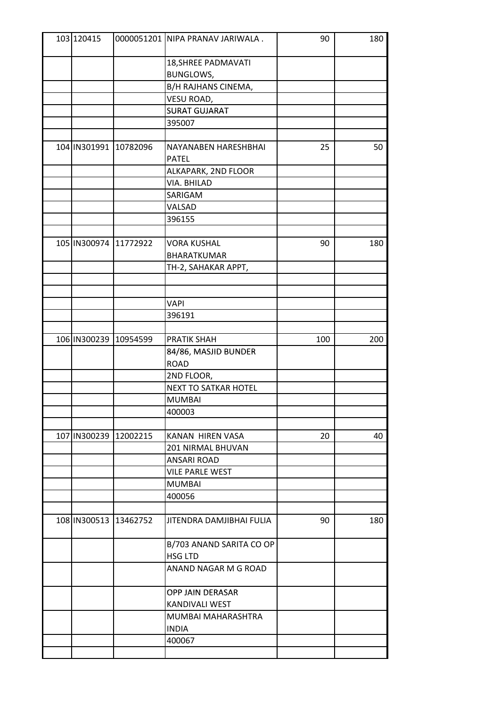| 103 120415 |                       | 0000051201 NIPA PRANAV JARIWALA. | 90  | 180 |
|------------|-----------------------|----------------------------------|-----|-----|
|            |                       | 18, SHREE PADMAVATI              |     |     |
|            |                       | <b>BUNGLOWS,</b>                 |     |     |
|            |                       | B/H RAJHANS CINEMA,              |     |     |
|            |                       | VESU ROAD,                       |     |     |
|            |                       | <b>SURAT GUJARAT</b>             |     |     |
|            |                       | 395007                           |     |     |
|            |                       |                                  |     |     |
|            | 104 IN301991 10782096 | NAYANABEN HARESHBHAI             | 25  | 50  |
|            |                       | <b>PATEL</b>                     |     |     |
|            |                       | ALKAPARK, 2ND FLOOR              |     |     |
|            |                       | VIA. BHILAD                      |     |     |
|            |                       | SARIGAM                          |     |     |
|            |                       | VALSAD                           |     |     |
|            |                       | 396155                           |     |     |
|            |                       |                                  |     |     |
|            | 105 IN300974 11772922 | <b>VORA KUSHAL</b>               | 90  | 180 |
|            |                       | BHARATKUMAR                      |     |     |
|            |                       | TH-2, SAHAKAR APPT,              |     |     |
|            |                       |                                  |     |     |
|            |                       |                                  |     |     |
|            |                       | <b>VAPI</b>                      |     |     |
|            |                       | 396191                           |     |     |
|            |                       |                                  |     |     |
|            | 106 IN300239 10954599 | <b>PRATIK SHAH</b>               | 100 | 200 |
|            |                       | 84/86, MASJID BUNDER             |     |     |
|            |                       | <b>ROAD</b>                      |     |     |
|            |                       | 2ND FLOOR,                       |     |     |
|            |                       | <b>NEXT TO SATKAR HOTEL</b>      |     |     |
|            |                       | <b>MUMBAI</b>                    |     |     |
|            |                       | 400003                           |     |     |
|            |                       |                                  |     |     |
|            | 107 IN300239 12002215 | KANAN HIREN VASA                 | 20  | 40  |
|            |                       | 201 NIRMAL BHUVAN                |     |     |
|            |                       | ANSARI ROAD                      |     |     |
|            |                       | <b>VILE PARLE WEST</b>           |     |     |
|            |                       | <b>MUMBAI</b>                    |     |     |
|            |                       | 400056                           |     |     |
|            |                       |                                  |     |     |
|            | 108 IN300513 13462752 | JITENDRA DAMJIBHAI FULIA         | 90  | 180 |
|            |                       | B/703 ANAND SARITA CO OP         |     |     |
|            |                       | <b>HSG LTD</b>                   |     |     |
|            |                       | ANAND NAGAR M G ROAD             |     |     |
|            |                       | OPP JAIN DERASAR                 |     |     |
|            |                       | KANDIVALI WEST                   |     |     |
|            |                       |                                  |     |     |
|            |                       | MUMBAI MAHARASHTRA               |     |     |
|            |                       | <b>INDIA</b>                     |     |     |
|            |                       | 400067                           |     |     |
|            |                       |                                  |     |     |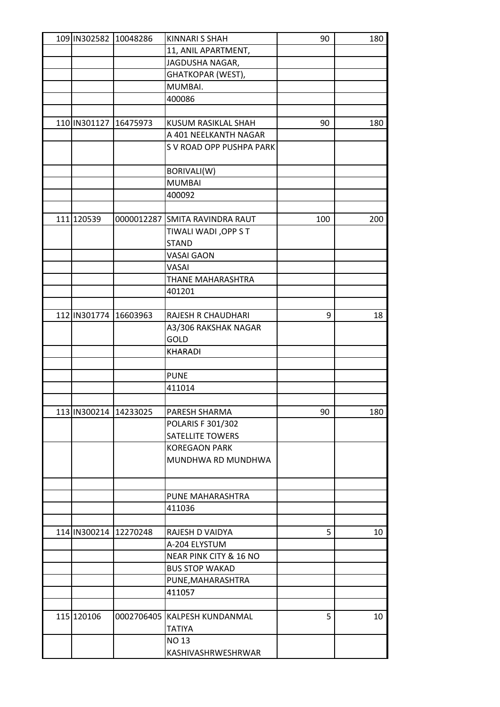|              | 109 IN302582 10048286     | <b>KINNARI S SHAH</b>          | 90  | 180 |
|--------------|---------------------------|--------------------------------|-----|-----|
|              |                           | 11, ANIL APARTMENT,            |     |     |
|              |                           | JAGDUSHA NAGAR,                |     |     |
|              |                           | GHATKOPAR (WEST),              |     |     |
|              |                           | MUMBAI.                        |     |     |
|              |                           | 400086                         |     |     |
|              |                           |                                |     |     |
|              | 110   IN301127   16475973 | KUSUM RASIKLAL SHAH            | 90  | 180 |
|              |                           | A 401 NEELKANTH NAGAR          |     |     |
|              |                           | S V ROAD OPP PUSHPA PARK       |     |     |
|              |                           |                                |     |     |
|              |                           | BORIVALI(W)                    |     |     |
|              |                           | <b>MUMBAI</b>                  |     |     |
|              |                           | 400092                         |     |     |
|              |                           |                                |     |     |
| 111 120539   |                           | 0000012287 SMITA RAVINDRA RAUT | 100 | 200 |
|              |                           | <b>TIWALI WADI, OPP S T</b>    |     |     |
|              |                           | <b>STAND</b>                   |     |     |
|              |                           | <b>VASAI GAON</b>              |     |     |
|              |                           | VASAI                          |     |     |
|              |                           | THANE MAHARASHTRA              |     |     |
|              |                           | 401201                         |     |     |
|              |                           |                                |     |     |
| 112 IN301774 | 16603963                  | RAJESH R CHAUDHARI             |     |     |
|              |                           |                                | 9   | 18  |
|              |                           | A3/306 RAKSHAK NAGAR<br>GOLD   |     |     |
|              |                           |                                |     |     |
|              |                           | <b>KHARADI</b>                 |     |     |
|              |                           |                                |     |     |
|              |                           | <b>PUNE</b>                    |     |     |
|              |                           | 411014                         |     |     |
|              |                           |                                |     |     |
|              | 113 IN300214 14233025     | PARESH SHARMA                  | 90  | 180 |
|              |                           | POLARIS F 301/302              |     |     |
|              |                           | <b>SATELLITE TOWERS</b>        |     |     |
|              |                           | <b>KOREGAON PARK</b>           |     |     |
|              |                           | MUNDHWA RD MUNDHWA             |     |     |
|              |                           |                                |     |     |
|              |                           |                                |     |     |
|              |                           | PUNE MAHARASHTRA               |     |     |
|              |                           | 411036                         |     |     |
|              |                           |                                |     |     |
|              | 114 IN300214 12270248     | RAJESH D VAIDYA                | 5   | 10  |
|              |                           | A-204 ELYSTUM                  |     |     |
|              |                           | NEAR PINK CITY & 16 NO         |     |     |
|              |                           | <b>BUS STOP WAKAD</b>          |     |     |
|              |                           | PUNE, MAHARASHTRA              |     |     |
|              |                           | 411057                         |     |     |
|              |                           |                                |     |     |
| 115 120106   |                           | 0002706405 KALPESH KUNDANMAL   | 5   | 10  |
|              |                           | <b>TATIYA</b>                  |     |     |
|              |                           | <b>NO 13</b>                   |     |     |
|              |                           | KASHIVASHRWESHRWAR             |     |     |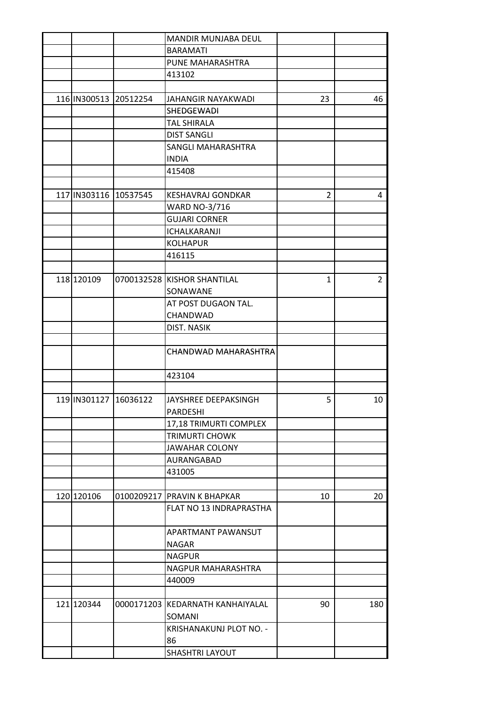|                           |                       | MANDIR MUNJABA DEUL              |                |                |
|---------------------------|-----------------------|----------------------------------|----------------|----------------|
|                           |                       | <b>BARAMATI</b>                  |                |                |
|                           |                       | PUNE MAHARASHTRA                 |                |                |
|                           |                       | 413102                           |                |                |
| 116 IN300513              |                       |                                  |                |                |
|                           | 20512254              | JAHANGIR NAYAKWADI               | 23             | 46             |
|                           |                       | SHEDGEWADI                       |                |                |
|                           |                       | <b>TAL SHIRALA</b>               |                |                |
|                           |                       | <b>DIST SANGLI</b>               |                |                |
|                           |                       | <b>SANGLI MAHARASHTRA</b>        |                |                |
|                           |                       | <b>INDIA</b>                     |                |                |
|                           |                       | 415408                           |                |                |
|                           | 117 IN303116 10537545 | <b>KESHAVRAJ GONDKAR</b>         | $\overline{2}$ | 4              |
|                           |                       | <b>WARD NO-3/716</b>             |                |                |
|                           |                       | <b>GUJARI CORNER</b>             |                |                |
|                           |                       | ICHALKARANJI                     |                |                |
|                           |                       | <b>KOLHAPUR</b>                  |                |                |
|                           |                       | 416115                           |                |                |
|                           |                       |                                  |                |                |
| 118 120109                |                       | 0700132528 KISHOR SHANTILAL      | $\mathbf{1}$   | $\overline{2}$ |
|                           |                       | SONAWANE                         |                |                |
|                           |                       | AT POST DUGAON TAL.              |                |                |
|                           |                       | CHANDWAD                         |                |                |
|                           |                       | DIST. NASIK                      |                |                |
|                           |                       |                                  |                |                |
|                           |                       | CHANDWAD MAHARASHTRA             |                |                |
|                           |                       |                                  |                |                |
|                           |                       | 423104                           |                |                |
| 119   IN301127   16036122 |                       | JAYSHREE DEEPAKSINGH             | 5              | 10             |
|                           |                       | PARDESHI                         |                |                |
|                           |                       | 17,18 TRIMURTI COMPLEX           |                |                |
|                           |                       | <b>TRIMURTI CHOWK</b>            |                |                |
|                           |                       | <b>JAWAHAR COLONY</b>            |                |                |
|                           |                       | AURANGABAD                       |                |                |
|                           |                       | 431005                           |                |                |
|                           |                       |                                  |                |                |
| 120 120106                |                       | 0100209217 PRAVIN K BHAPKAR      | 10             | 20             |
|                           |                       | FLAT NO 13 INDRAPRASTHA          |                |                |
|                           |                       |                                  |                |                |
|                           |                       | APARTMANT PAWANSUT               |                |                |
|                           |                       | <b>NAGAR</b>                     |                |                |
|                           |                       | <b>NAGPUR</b>                    |                |                |
|                           |                       | NAGPUR MAHARASHTRA               |                |                |
|                           |                       | 440009                           |                |                |
|                           |                       |                                  |                |                |
| 121 120344                |                       | 0000171203 KEDARNATH KANHAIYALAL | 90             | 180            |
|                           |                       | SOMANI                           |                |                |
|                           |                       | KRISHANAKUNJ PLOT NO. -          |                |                |
|                           |                       | 86                               |                |                |
|                           |                       | SHASHTRI LAYOUT                  |                |                |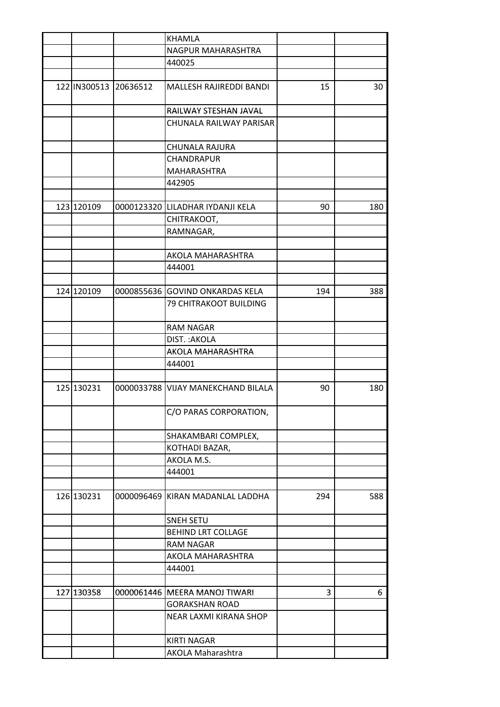|            |                       | <b>KHAMLA</b>                      |     |     |
|------------|-----------------------|------------------------------------|-----|-----|
|            |                       | NAGPUR MAHARASHTRA                 |     |     |
|            |                       | 440025                             |     |     |
|            |                       |                                    |     |     |
|            | 122 IN300513 20636512 | MALLESH RAJIREDDI BANDI            | 15  | 30  |
|            |                       | RAILWAY STESHAN JAVAL              |     |     |
|            |                       | CHUNALA RAILWAY PARISAR            |     |     |
|            |                       | CHUNALA RAJURA                     |     |     |
|            |                       | CHANDRAPUR                         |     |     |
|            |                       | MAHARASHTRA                        |     |     |
|            |                       | 442905                             |     |     |
|            |                       |                                    |     |     |
| 123 120109 |                       | 0000123320 LILADHAR IYDANJI KELA   | 90  | 180 |
|            |                       | CHITRAKOOT,                        |     |     |
|            |                       | RAMNAGAR,                          |     |     |
|            |                       |                                    |     |     |
|            |                       | AKOLA MAHARASHTRA                  |     |     |
|            |                       | 444001                             |     |     |
|            |                       |                                    |     |     |
| 124 120109 |                       | 0000855636 GOVIND ONKARDAS KELA    | 194 | 388 |
|            |                       | <b>79 CHITRAKOOT BUILDING</b>      |     |     |
|            |                       | <b>RAM NAGAR</b>                   |     |     |
|            |                       | DIST.: AKOLA                       |     |     |
|            |                       | AKOLA MAHARASHTRA                  |     |     |
|            |                       | 444001                             |     |     |
|            |                       |                                    |     |     |
| 125 130231 |                       | 0000033788 VIJAY MANEKCHAND BILALA | 90  | 180 |
|            |                       | C/O PARAS CORPORATION,             |     |     |
|            |                       | SHAKAMBARI COMPLEX,                |     |     |
|            |                       | KOTHADI BAZAR,                     |     |     |
|            |                       | AKOLA M.S.                         |     |     |
|            |                       | 444001                             |     |     |
|            |                       |                                    |     |     |
| 126 130231 | 0000096469            | KIRAN MADANLAL LADDHA              | 294 | 588 |
|            |                       | <b>SNEH SETU</b>                   |     |     |
|            |                       | <b>BEHIND LRT COLLAGE</b>          |     |     |
|            |                       | <b>RAM NAGAR</b>                   |     |     |
|            |                       | AKOLA MAHARASHTRA                  |     |     |
|            |                       | 444001                             |     |     |
|            |                       |                                    |     |     |
| 127 130358 | 0000061446            | MEERA MANOJ TIWARI                 | 3   | 6   |
|            |                       | <b>GORAKSHAN ROAD</b>              |     |     |
|            |                       | NEAR LAXMI KIRANA SHOP             |     |     |
|            |                       | <b>KIRTI NAGAR</b>                 |     |     |
|            |                       | AKOLA Maharashtra                  |     |     |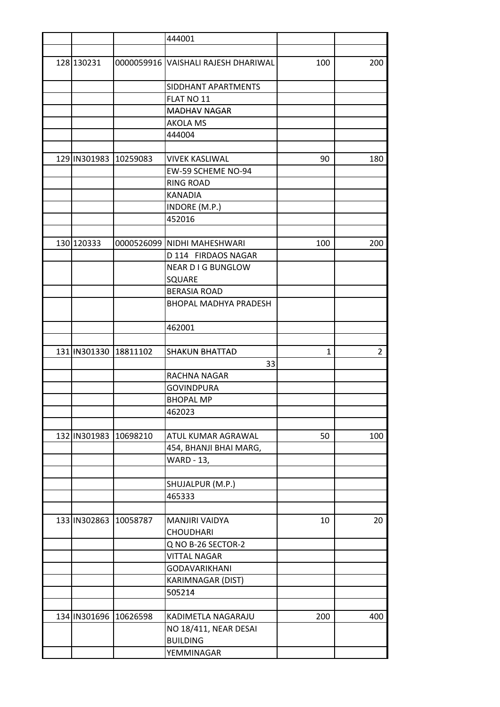|                       |                       | 444001                              |     |                |
|-----------------------|-----------------------|-------------------------------------|-----|----------------|
|                       |                       |                                     |     |                |
| 128 130231            |                       | 0000059916 VAISHALI RAJESH DHARIWAL | 100 | 200            |
|                       |                       | SIDDHANT APARTMENTS                 |     |                |
|                       |                       | FLAT NO 11                          |     |                |
|                       |                       | <b>MADHAV NAGAR</b>                 |     |                |
|                       |                       | <b>AKOLA MS</b>                     |     |                |
|                       |                       | 444004                              |     |                |
|                       |                       |                                     |     |                |
| 129 IN301983 10259083 |                       | <b>VIVEK KASLIWAL</b>               | 90  | 180            |
|                       |                       | EW-59 SCHEME NO-94                  |     |                |
|                       |                       | <b>RING ROAD</b>                    |     |                |
|                       |                       | <b>KANADIA</b>                      |     |                |
|                       |                       | INDORE (M.P.)                       |     |                |
|                       |                       | 452016                              |     |                |
|                       |                       |                                     |     |                |
| 130 120333            |                       | 0000526099 NIDHI MAHESHWARI         | 100 | 200            |
|                       |                       | D 114 FIRDAOS NAGAR                 |     |                |
|                       |                       | <b>NEAR DIG BUNGLOW</b>             |     |                |
|                       |                       | SQUARE                              |     |                |
|                       |                       | <b>BERASIA ROAD</b>                 |     |                |
|                       |                       | <b>BHOPAL MADHYA PRADESH</b>        |     |                |
|                       |                       | 462001                              |     |                |
|                       | 131 IN301330 18811102 | <b>SHAKUN BHATTAD</b>               | 1   | $\overline{2}$ |
|                       |                       | 33                                  |     |                |
|                       |                       | RACHNA NAGAR                        |     |                |
|                       |                       | <b>GOVINDPURA</b>                   |     |                |
|                       |                       | <b>BHOPAL MP</b>                    |     |                |
|                       |                       | 462023                              |     |                |
|                       |                       |                                     |     |                |
|                       | 132 IN301983 10698210 | ATUL KUMAR AGRAWAL                  | 50  | 100            |
|                       |                       | 454, BHANJI BHAI MARG,              |     |                |
|                       |                       | <b>WARD - 13,</b>                   |     |                |
|                       |                       |                                     |     |                |
|                       |                       | SHUJALPUR (M.P.)                    |     |                |
|                       |                       | 465333                              |     |                |
|                       | 133 IN302863 10058787 | MANJIRI VAIDYA                      | 10  | 20             |
|                       |                       | <b>CHOUDHARI</b>                    |     |                |
|                       |                       | Q NO B-26 SECTOR-2                  |     |                |
|                       |                       | <b>VITTAL NAGAR</b>                 |     |                |
|                       |                       | <b>GODAVARIKHANI</b>                |     |                |
|                       |                       | KARIMNAGAR (DIST)                   |     |                |
|                       |                       | 505214                              |     |                |
|                       |                       |                                     |     |                |
|                       | 134 IN301696 10626598 | KADIMETLA NAGARAJU                  | 200 | 400            |
|                       |                       | NO 18/411, NEAR DESAI               |     |                |
|                       |                       | <b>BUILDING</b>                     |     |                |
|                       |                       | YEMMINAGAR                          |     |                |
|                       |                       |                                     |     |                |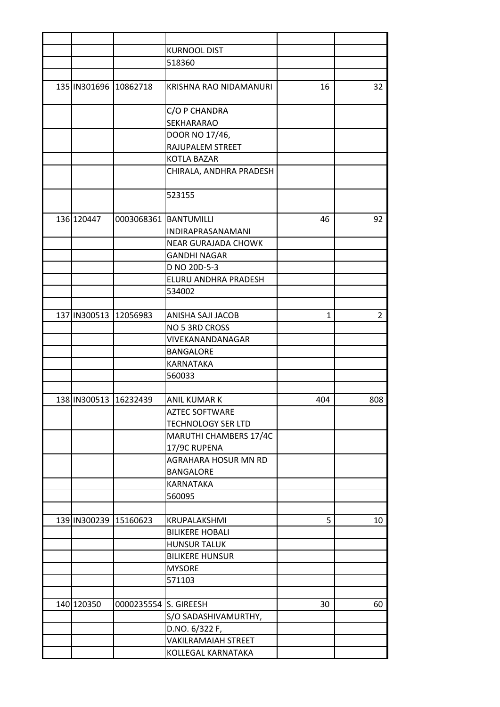|                           |                       | <b>KURNOOL DIST</b>        |     |                |
|---------------------------|-----------------------|----------------------------|-----|----------------|
|                           |                       | 518360                     |     |                |
|                           |                       |                            |     |                |
|                           | 135 IN301696 10862718 | KRISHNA RAO NIDAMANURI     | 16  | 32             |
|                           |                       | C/O P CHANDRA              |     |                |
|                           |                       | SEKHARARAO                 |     |                |
|                           |                       | DOOR NO 17/46,             |     |                |
|                           |                       | RAJUPALEM STREET           |     |                |
|                           |                       | <b>KOTLA BAZAR</b>         |     |                |
|                           |                       | CHIRALA, ANDHRA PRADESH    |     |                |
|                           |                       |                            |     |                |
|                           |                       | 523155                     |     |                |
|                           |                       |                            |     |                |
| 136 120447                |                       | 0003068361 BANTUMILLI      | 46  | 92             |
|                           |                       | INDIRAPRASANAMANI          |     |                |
|                           |                       | <b>NEAR GURAJADA CHOWK</b> |     |                |
|                           |                       | GANDHI NAGAR               |     |                |
|                           |                       | D NO 20D-5-3               |     |                |
|                           |                       |                            |     |                |
|                           |                       | ELURU ANDHRA PRADESH       |     |                |
|                           |                       | 534002                     |     |                |
|                           |                       |                            |     |                |
| 137 IN300513              | 12056983              | ANISHA SAJI JACOB          | 1   | $\overline{2}$ |
|                           |                       | NO 5 3RD CROSS             |     |                |
|                           |                       | VIVEKANANDANAGAR           |     |                |
|                           |                       | <b>BANGALORE</b>           |     |                |
|                           |                       | KARNATAKA                  |     |                |
|                           |                       | 560033                     |     |                |
|                           |                       |                            |     |                |
| 138   IN300513   16232439 |                       | ANIL KUMAR K               | 404 | 808            |
|                           |                       | <b>AZTEC SOFTWARE</b>      |     |                |
|                           |                       | <b>TECHNOLOGY SER LTD</b>  |     |                |
|                           |                       | MARUTHI CHAMBERS 17/4C     |     |                |
|                           |                       | 17/9C RUPENA               |     |                |
|                           |                       | AGRAHARA HOSUR MN RD       |     |                |
|                           |                       | <b>BANGALORE</b>           |     |                |
|                           |                       | KARNATAKA                  |     |                |
|                           |                       | 560095                     |     |                |
|                           |                       |                            |     |                |
|                           | 139 IN300239 15160623 | KRUPALAKSHMI               | 5   | 10             |
|                           |                       | <b>BILIKERE HOBALI</b>     |     |                |
|                           |                       | <b>HUNSUR TALUK</b>        |     |                |
|                           |                       | <b>BILIKERE HUNSUR</b>     |     |                |
|                           |                       | <b>MYSORE</b>              |     |                |
|                           |                       | 571103                     |     |                |
|                           |                       |                            |     |                |
| 140 120350                | 0000235554 S. GIREESH |                            | 30  | 60             |
|                           |                       | S/O SADASHIVAMURTHY,       |     |                |
|                           |                       | D.NO. 6/322 F,             |     |                |
|                           |                       | <b>VAKILRAMAIAH STREET</b> |     |                |
|                           |                       | KOLLEGAL KARNATAKA         |     |                |
|                           |                       |                            |     |                |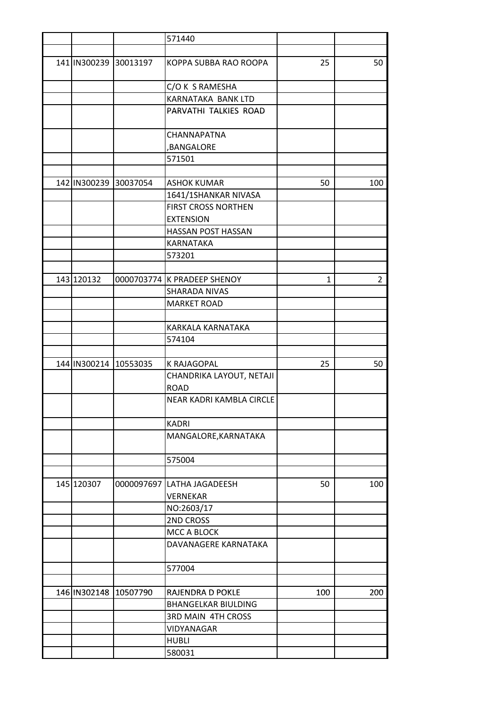|            |                           | 571440                          |              |                |
|------------|---------------------------|---------------------------------|--------------|----------------|
|            |                           |                                 |              |                |
|            | 141 IN300239 30013197     | KOPPA SUBBA RAO ROOPA           | 25           | 50             |
|            |                           | C/O K S RAMESHA                 |              |                |
|            |                           | KARNATAKA BANK LTD              |              |                |
|            |                           | PARVATHI TALKIES ROAD           |              |                |
|            |                           | CHANNAPATNA                     |              |                |
|            |                           | ,BANGALORE                      |              |                |
|            |                           | 571501                          |              |                |
|            |                           |                                 |              |                |
|            | 142 IN300239 30037054     | <b>ASHOK KUMAR</b>              | 50           | 100            |
|            |                           | 1641/1SHANKAR NIVASA            |              |                |
|            |                           | <b>FIRST CROSS NORTHEN</b>      |              |                |
|            |                           | <b>EXTENSION</b>                |              |                |
|            |                           | HASSAN POST HASSAN<br>KARNATAKA |              |                |
|            |                           | 573201                          |              |                |
|            |                           |                                 |              |                |
| 143 120132 |                           | 0000703774 K PRADEEP SHENOY     | $\mathbf{1}$ | $\overline{2}$ |
|            |                           | SHARADA NIVAS                   |              |                |
|            |                           | <b>MARKET ROAD</b>              |              |                |
|            |                           |                                 |              |                |
|            |                           | KARKALA KARNATAKA               |              |                |
|            |                           | 574104                          |              |                |
|            |                           |                                 |              |                |
|            | 144 IN300214 10553035     | <b>K RAJAGOPAL</b>              | 25           | 50             |
|            |                           | CHANDRIKA LAYOUT, NETAJI        |              |                |
|            |                           | <b>ROAD</b>                     |              |                |
|            |                           | NEAR KADRI KAMBLA CIRCLE        |              |                |
|            |                           | <b>KADRI</b>                    |              |                |
|            |                           | MANGALORE, KARNATAKA            |              |                |
|            |                           | 575004                          |              |                |
|            |                           |                                 |              |                |
| 145 120307 | 0000097697                | LATHA JAGADEESH                 | 50           | 100            |
|            |                           | <b>VERNEKAR</b>                 |              |                |
|            |                           | NO:2603/17                      |              |                |
|            |                           | 2ND CROSS                       |              |                |
|            |                           | MCC A BLOCK                     |              |                |
|            |                           | DAVANAGERE KARNATAKA            |              |                |
|            |                           | 577004                          |              |                |
|            | 146   IN302148   10507790 | RAJENDRA D POKLE                | 100          | 200            |
|            |                           | <b>BHANGELKAR BIULDING</b>      |              |                |
|            |                           | <b>3RD MAIN 4TH CROSS</b>       |              |                |
|            |                           | VIDYANAGAR                      |              |                |
|            |                           | <b>HUBLI</b>                    |              |                |
|            |                           | 580031                          |              |                |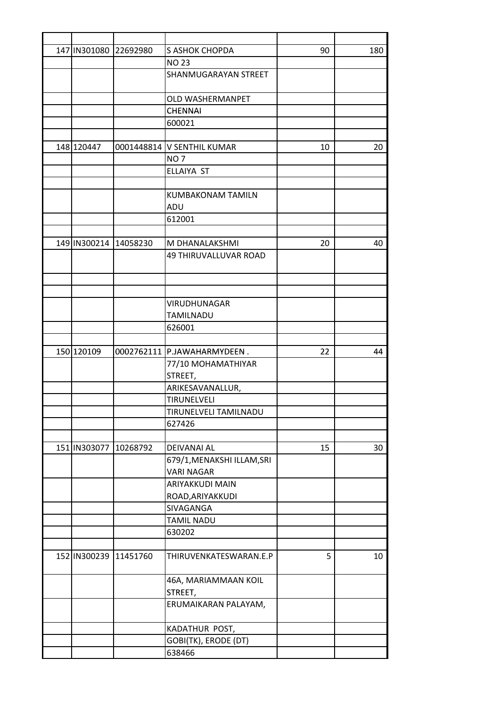| 147 IN301080 | 22692980              | S ASHOK CHOPDA              | 90 | 180 |
|--------------|-----------------------|-----------------------------|----|-----|
|              |                       | <b>NO 23</b>                |    |     |
|              |                       | <b>SHANMUGARAYAN STREET</b> |    |     |
|              |                       |                             |    |     |
|              |                       | <b>OLD WASHERMANPET</b>     |    |     |
|              |                       | <b>CHENNAI</b>              |    |     |
|              |                       | 600021                      |    |     |
|              |                       |                             |    |     |
| 148 120447   |                       | 0001448814 V SENTHIL KUMAR  | 10 | 20  |
|              |                       | <b>NO7</b>                  |    |     |
|              |                       | ELLAIYA ST                  |    |     |
|              |                       |                             |    |     |
|              |                       | <b>KUMBAKONAM TAMILN</b>    |    |     |
|              |                       | ADU                         |    |     |
|              |                       | 612001                      |    |     |
|              |                       |                             |    |     |
| 149 IN300214 | 14058230              | M DHANALAKSHMI              | 20 | 40  |
|              |                       | 49 THIRUVALLUVAR ROAD       |    |     |
|              |                       |                             |    |     |
|              |                       |                             |    |     |
|              |                       | VIRUDHUNAGAR                |    |     |
|              |                       | TAMILNADU                   |    |     |
|              |                       | 626001                      |    |     |
|              |                       |                             |    |     |
| 150 120109   |                       | 0002762111 P.JAWAHARMYDEEN. | 22 | 44  |
|              |                       | 77/10 MOHAMATHIYAR          |    |     |
|              |                       | STREET,                     |    |     |
|              |                       | ARIKESAVANALLUR,            |    |     |
|              |                       | TIRUNELVELI                 |    |     |
|              |                       | TIRUNELVELI TAMILNADU       |    |     |
|              |                       | 627426                      |    |     |
|              |                       |                             |    |     |
| 151 IN303077 | 10268792              | DEIVANAI AL                 | 15 | 30  |
|              |                       | 679/1, MENAKSHI ILLAM, SRI  |    |     |
|              |                       | <b>VARI NAGAR</b>           |    |     |
|              |                       | ARIYAKKUDI MAIN             |    |     |
|              |                       | ROAD, ARIYAKKUDI            |    |     |
|              |                       | SIVAGANGA                   |    |     |
|              |                       | <b>TAMIL NADU</b>           |    |     |
|              |                       | 630202                      |    |     |
|              |                       |                             |    |     |
|              | 152 IN300239 11451760 | THIRUVENKATESWARAN.E.P      | 5  | 10  |
|              |                       | 46A, MARIAMMAAN KOIL        |    |     |
|              |                       | STREET,                     |    |     |
|              |                       | ERUMAIKARAN PALAYAM,        |    |     |
|              |                       |                             |    |     |
|              |                       | KADATHUR POST,              |    |     |
|              |                       | GOBI(TK), ERODE (DT)        |    |     |
|              |                       | 638466                      |    |     |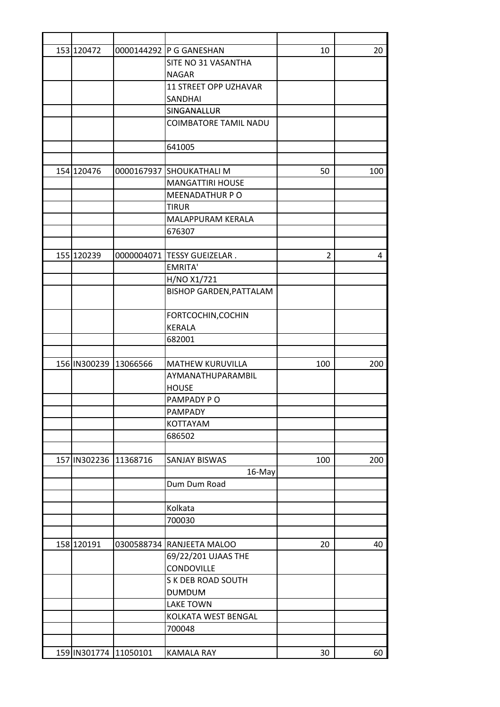| 153 120472   |                       | 0000144292 P G GANESHAN        | 10  | 20  |
|--------------|-----------------------|--------------------------------|-----|-----|
|              |                       | SITE NO 31 VASANTHA            |     |     |
|              |                       | <b>NAGAR</b>                   |     |     |
|              |                       | <b>11 STREET OPP UZHAVAR</b>   |     |     |
|              |                       | SANDHAI                        |     |     |
|              |                       | SINGANALLUR                    |     |     |
|              |                       | <b>COIMBATORE TAMIL NADU</b>   |     |     |
|              |                       |                                |     |     |
|              |                       | 641005                         |     |     |
|              |                       |                                |     |     |
| 154 120476   |                       | 0000167937 SHOUKATHALI M       | 50  | 100 |
|              |                       | <b>MANGATTIRI HOUSE</b>        |     |     |
|              |                       | MEENADATHUR PO                 |     |     |
|              |                       | <b>TIRUR</b>                   |     |     |
|              |                       | MALAPPURAM KERALA              |     |     |
|              |                       | 676307                         |     |     |
|              |                       |                                |     |     |
| 155 120239   |                       | 0000004071   TESSY GUEIZELAR.  | 2   | 4   |
|              |                       | EMRITA'                        |     |     |
|              |                       | H/NO X1/721                    |     |     |
|              |                       | <b>BISHOP GARDEN, PATTALAM</b> |     |     |
|              |                       |                                |     |     |
|              |                       | FORTCOCHIN, COCHIN             |     |     |
|              |                       | KERALA                         |     |     |
|              |                       | 682001                         |     |     |
|              |                       |                                |     |     |
| 156 IN300239 | 13066566              | <b>MATHEW KURUVILLA</b>        | 100 | 200 |
|              |                       | AYMANATHUPARAMBIL              |     |     |
|              |                       | <b>HOUSE</b>                   |     |     |
|              |                       | PAMPADY PO                     |     |     |
|              |                       | PAMPADY                        |     |     |
|              |                       | KOTTAYAM                       |     |     |
|              |                       | 686502                         |     |     |
|              |                       |                                |     |     |
| 157 IN302236 | 11368716              | <b>SANJAY BISWAS</b>           | 100 | 200 |
|              |                       | 16-May                         |     |     |
|              |                       | Dum Dum Road                   |     |     |
|              |                       |                                |     |     |
|              |                       | Kolkata                        |     |     |
|              |                       | 700030                         |     |     |
|              |                       |                                |     |     |
| 158 120191   |                       | 0300588734 RANJEETA MALOO      | 20  | 40  |
|              |                       | 69/22/201 UJAAS THE            |     |     |
|              |                       | CONDOVILLE                     |     |     |
|              |                       | S K DEB ROAD SOUTH             |     |     |
|              |                       | <b>DUMDUM</b>                  |     |     |
|              |                       | <b>LAKE TOWN</b>               |     |     |
|              |                       | KOLKATA WEST BENGAL            |     |     |
|              |                       | 700048                         |     |     |
|              |                       |                                |     |     |
|              | 159 IN301774 11050101 | <b>KAMALA RAY</b>              | 30  | 60  |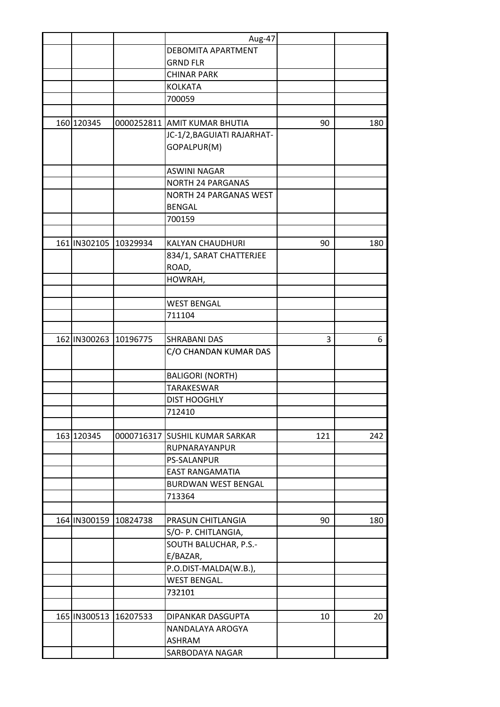|                       | Aug-47                         |     |     |
|-----------------------|--------------------------------|-----|-----|
|                       | DEBOMITA APARTMENT             |     |     |
|                       | <b>GRND FLR</b>                |     |     |
|                       | <b>CHINAR PARK</b>             |     |     |
|                       | <b>KOLKATA</b>                 |     |     |
|                       | 700059                         |     |     |
|                       |                                |     |     |
| 160 120345            | 0000252811 AMIT KUMAR BHUTIA   | 90  | 180 |
|                       | JC-1/2, BAGUIATI RAJARHAT-     |     |     |
|                       | GOPALPUR(M)                    |     |     |
|                       | <b>ASWINI NAGAR</b>            |     |     |
|                       | <b>NORTH 24 PARGANAS</b>       |     |     |
|                       | <b>NORTH 24 PARGANAS WEST</b>  |     |     |
|                       | <b>BENGAL</b>                  |     |     |
|                       | 700159                         |     |     |
|                       |                                |     |     |
| 161 IN302105 10329934 | KALYAN CHAUDHURI               | 90  | 180 |
|                       | 834/1, SARAT CHATTERJEE        |     |     |
|                       | ROAD,                          |     |     |
|                       | HOWRAH,                        |     |     |
|                       |                                |     |     |
|                       | <b>WEST BENGAL</b>             |     |     |
|                       | 711104                         |     |     |
|                       |                                |     |     |
| 162 IN300263 10196775 | <b>SHRABANI DAS</b>            | 3   | 6   |
|                       | C/O CHANDAN KUMAR DAS          |     |     |
|                       | <b>BALIGORI (NORTH)</b>        |     |     |
|                       | <b>TARAKESWAR</b>              |     |     |
|                       | <b>DIST HOOGHLY</b>            |     |     |
|                       | 712410                         |     |     |
|                       |                                |     |     |
| 163 120345            | 0000716317 SUSHIL KUMAR SARKAR | 121 | 242 |
|                       | RUPNARAYANPUR                  |     |     |
|                       | <b>PS-SALANPUR</b>             |     |     |
|                       | <b>EAST RANGAMATIA</b>         |     |     |
|                       | <b>BURDWAN WEST BENGAL</b>     |     |     |
|                       | 713364                         |     |     |
|                       |                                |     |     |
| 164 IN300159 10824738 | PRASUN CHITLANGIA              | 90  | 180 |
|                       | S/O- P. CHITLANGIA,            |     |     |
|                       | SOUTH BALUCHAR, P.S.-          |     |     |
|                       | E/BAZAR,                       |     |     |
|                       | P.O.DIST-MALDA(W.B.),          |     |     |
|                       | <b>WEST BENGAL.</b>            |     |     |
|                       | 732101                         |     |     |
|                       |                                |     |     |
| 165 IN300513 16207533 | DIPANKAR DASGUPTA              | 10  | 20  |
|                       | NANDALAYA AROGYA               |     |     |
|                       | <b>ASHRAM</b>                  |     |     |
|                       | SARBODAYA NAGAR                |     |     |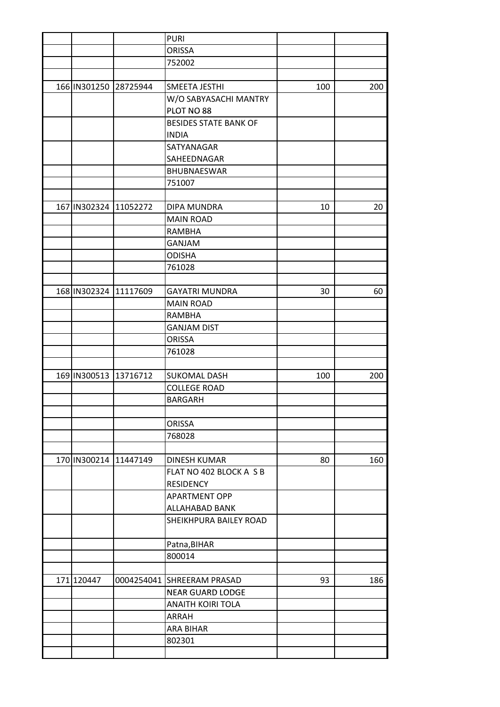|                       |                       | <b>PURI</b>                  |     |     |
|-----------------------|-----------------------|------------------------------|-----|-----|
|                       |                       | <b>ORISSA</b>                |     |     |
|                       |                       | 752002                       |     |     |
|                       |                       |                              |     |     |
|                       | 166 IN301250 28725944 | SMEETA JESTHI                | 100 | 200 |
|                       |                       | W/O SABYASACHI MANTRY        |     |     |
|                       |                       | PLOT NO 88                   |     |     |
|                       |                       | <b>BESIDES STATE BANK OF</b> |     |     |
|                       |                       | <b>INDIA</b>                 |     |     |
|                       |                       | SATYANAGAR                   |     |     |
|                       |                       | SAHEEDNAGAR                  |     |     |
|                       |                       | BHUBNAESWAR                  |     |     |
|                       |                       | 751007                       |     |     |
|                       |                       |                              |     |     |
| 167 IN302324 11052272 |                       | DIPA MUNDRA                  | 10  | 20  |
|                       |                       | <b>MAIN ROAD</b>             |     |     |
|                       |                       | <b>RAMBHA</b>                |     |     |
|                       |                       | <b>GANJAM</b>                |     |     |
|                       |                       | <b>ODISHA</b>                |     |     |
|                       |                       | 761028                       |     |     |
|                       |                       |                              |     |     |
| 168 IN302324 11117609 |                       | <b>GAYATRI MUNDRA</b>        | 30  | 60  |
|                       |                       | <b>MAIN ROAD</b>             |     |     |
|                       |                       | <b>RAMBHA</b>                |     |     |
|                       |                       | <b>GANJAM DIST</b>           |     |     |
|                       |                       | ORISSA                       |     |     |
|                       |                       | 761028                       |     |     |
|                       |                       |                              |     |     |
| 169 IN300513 13716712 |                       | <b>SUKOMAL DASH</b>          | 100 | 200 |
|                       |                       | <b>COLLEGE ROAD</b>          |     |     |
|                       |                       | <b>BARGARH</b>               |     |     |
|                       |                       |                              |     |     |
|                       |                       | <b>ORISSA</b>                |     |     |
|                       |                       | 768028                       |     |     |
|                       |                       |                              |     |     |
|                       | 170 IN300214 11447149 | <b>DINESH KUMAR</b>          | 80  | 160 |
|                       |                       | FLAT NO 402 BLOCK A S B      |     |     |
|                       |                       | <b>RESIDENCY</b>             |     |     |
|                       |                       | <b>APARTMENT OPP</b>         |     |     |
|                       |                       | ALLAHABAD BANK               |     |     |
|                       |                       | SHEIKHPURA BAILEY ROAD       |     |     |
|                       |                       |                              |     |     |
|                       |                       |                              |     |     |
|                       |                       | Patna, BIHAR<br>800014       |     |     |
|                       |                       |                              |     |     |
| 171 120447            |                       | 0004254041 SHREERAM PRASAD   | 93  | 186 |
|                       |                       | <b>NEAR GUARD LODGE</b>      |     |     |
|                       |                       | <b>ANAITH KOIRI TOLA</b>     |     |     |
|                       |                       | ARRAH                        |     |     |
|                       |                       |                              |     |     |
|                       |                       | <b>ARA BIHAR</b>             |     |     |
|                       |                       | 802301                       |     |     |
|                       |                       |                              |     |     |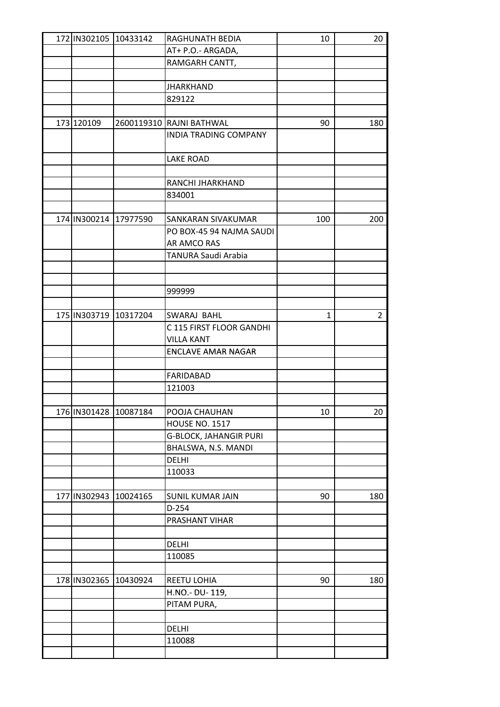| 172 IN302105 10433142 |                       | RAGHUNATH BEDIA              | 10  | 20  |
|-----------------------|-----------------------|------------------------------|-----|-----|
|                       |                       | AT+ P.O.- ARGADA,            |     |     |
|                       |                       | RAMGARH CANTT,               |     |     |
|                       |                       |                              |     |     |
|                       |                       | <b>JHARKHAND</b>             |     |     |
|                       |                       | 829122                       |     |     |
|                       |                       |                              |     |     |
| 173 120109            |                       | 2600119310 RAJNI BATHWAL     | 90  | 180 |
|                       |                       | <b>INDIA TRADING COMPANY</b> |     |     |
|                       |                       |                              |     |     |
|                       |                       | <b>LAKE ROAD</b>             |     |     |
|                       |                       |                              |     |     |
|                       |                       | RANCHI JHARKHAND             |     |     |
|                       |                       | 834001                       |     |     |
|                       |                       |                              |     |     |
|                       | 174 IN300214 17977590 | SANKARAN SIVAKUMAR           | 100 | 200 |
|                       |                       | PO BOX-45 94 NAJMA SAUDI     |     |     |
|                       |                       | AR AMCO RAS                  |     |     |
|                       |                       | TANURA Saudi Arabia          |     |     |
|                       |                       |                              |     |     |
|                       |                       |                              |     |     |
|                       |                       | 999999                       |     |     |
|                       |                       |                              |     |     |
|                       | 175 IN303719 10317204 | SWARAJ BAHL                  | 1   | 2   |
|                       |                       | C 115 FIRST FLOOR GANDHI     |     |     |
|                       |                       | <b>VILLA KANT</b>            |     |     |
|                       |                       | <b>ENCLAVE AMAR NAGAR</b>    |     |     |
|                       |                       |                              |     |     |
|                       |                       | <b>FARIDABAD</b>             |     |     |
|                       |                       | 121003                       |     |     |
|                       |                       |                              |     |     |
|                       | 176 IN301428 10087184 | POOJA CHAUHAN                | 10  | 20  |
|                       |                       | <b>HOUSE NO. 1517</b>        |     |     |
|                       |                       | G-BLOCK, JAHANGIR PURI       |     |     |
|                       |                       | BHALSWA, N.S. MANDI          |     |     |
|                       |                       | DELHI                        |     |     |
|                       |                       | 110033                       |     |     |
|                       |                       |                              |     |     |
| 177 IN302943          | 10024165              | SUNIL KUMAR JAIN             | 90  | 180 |
|                       |                       | D-254                        |     |     |
|                       |                       | PRASHANT VIHAR               |     |     |
|                       |                       |                              |     |     |
|                       |                       | <b>DELHI</b>                 |     |     |
|                       |                       | 110085                       |     |     |
|                       |                       |                              |     |     |
|                       | 178 IN302365 10430924 | REETU LOHIA                  | 90  | 180 |
|                       |                       | H.NO.- DU-119,               |     |     |
|                       |                       | PITAM PURA,                  |     |     |
|                       |                       |                              |     |     |
|                       |                       | DELHI                        |     |     |
|                       |                       | 110088                       |     |     |
|                       |                       |                              |     |     |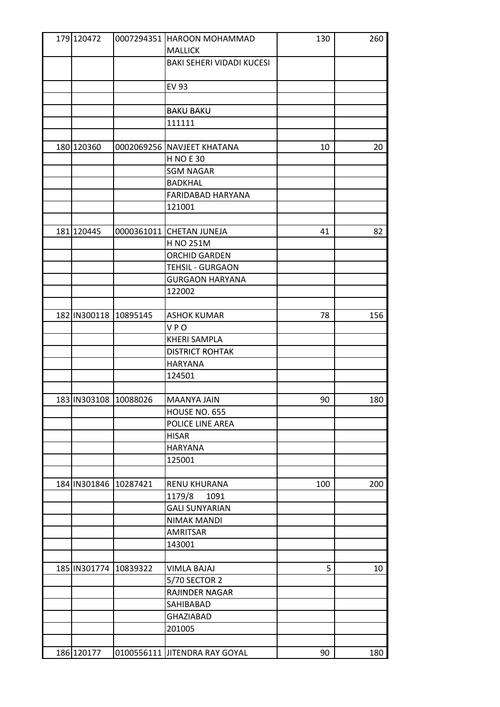| 179 120472            | 0007294351 HAROON MOHAMMAD       | 130 | 260 |
|-----------------------|----------------------------------|-----|-----|
|                       | <b>MALLICK</b>                   |     |     |
|                       | <b>BAKI SEHERI VIDADI KUCESI</b> |     |     |
|                       |                                  |     |     |
|                       | <b>EV 93</b>                     |     |     |
|                       |                                  |     |     |
|                       | <b>BAKU BAKU</b>                 |     |     |
|                       | 111111                           |     |     |
|                       |                                  |     |     |
| 180 120360            | 0002069256 NAVJEET KHATANA       | 10  | 20  |
|                       | <b>H NO E 30</b>                 |     |     |
|                       | <b>SGM NAGAR</b>                 |     |     |
|                       | <b>BADKHAL</b>                   |     |     |
|                       | FARIDABAD HARYANA                |     |     |
|                       | 121001                           |     |     |
|                       |                                  |     |     |
| 181 120445            | 0000361011 CHETAN JUNEJA         | 41  | 82  |
|                       | H NO 251M                        |     |     |
|                       | ORCHID GARDEN                    |     |     |
|                       | <b>TEHSIL - GURGAON</b>          |     |     |
|                       | <b>GURGAON HARYANA</b>           |     |     |
|                       | 122002                           |     |     |
|                       |                                  |     |     |
| 182 IN300118 10895145 | <b>ASHOK KUMAR</b>               | 78  | 156 |
|                       | <b>VPO</b>                       |     |     |
|                       | <b>KHERI SAMPLA</b>              |     |     |
|                       | <b>DISTRICT ROHTAK</b>           |     |     |
|                       | <b>HARYANA</b>                   |     |     |
|                       | 124501                           |     |     |
|                       |                                  |     |     |
| 183 IN303108 10088026 | MAANYA JAIN                      | 90  | 180 |
|                       | HOUSE NO. 655                    |     |     |
|                       | POLICE LINE AREA                 |     |     |
|                       | <b>HISAR</b>                     |     |     |
|                       | <b>HARYANA</b>                   |     |     |
|                       | 125001                           |     |     |
|                       |                                  |     |     |
| 184 IN301846 10287421 | <b>RENU KHURANA</b>              | 100 | 200 |
|                       | 1179/8<br>1091                   |     |     |
|                       | <b>GALI SUNYARIAN</b>            |     |     |
|                       | <b>NIMAK MANDI</b>               |     |     |
|                       | <b>AMRITSAR</b>                  |     |     |
|                       | 143001                           |     |     |
|                       |                                  |     |     |
| 185 IN301774 10839322 | <b>VIMLA BAJAJ</b>               | 5   | 10  |
|                       | 5/70 SECTOR 2                    |     |     |
|                       | <b>RAJINDER NAGAR</b>            |     |     |
|                       | SAHIBABAD                        |     |     |
|                       | <b>GHAZIABAD</b>                 |     |     |
|                       | 201005                           |     |     |
|                       |                                  |     |     |
| 186 120177            | 0100556111 JITENDRA RAY GOYAL    | 90  | 180 |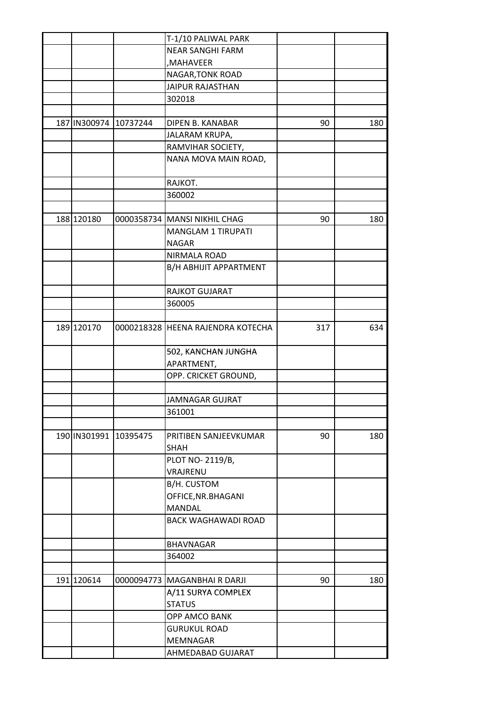|                       |          | T-1/10 PALIWAL PARK               |     |     |
|-----------------------|----------|-----------------------------------|-----|-----|
|                       |          | <b>NEAR SANGHI FARM</b>           |     |     |
|                       |          | ,MAHAVEER                         |     |     |
|                       |          | NAGAR, TONK ROAD                  |     |     |
|                       |          | <b>JAIPUR RAJASTHAN</b>           |     |     |
|                       |          | 302018                            |     |     |
|                       |          |                                   |     |     |
| 187 IN300974          | 10737244 | DIPEN B. KANABAR                  | 90  | 180 |
|                       |          | JALARAM KRUPA,                    |     |     |
|                       |          | RAMVIHAR SOCIETY,                 |     |     |
|                       |          | NANA MOVA MAIN ROAD,              |     |     |
|                       |          | RAJKOT.                           |     |     |
|                       |          | 360002                            |     |     |
|                       |          |                                   |     |     |
| 188 120180            |          | 0000358734 MANSI NIKHIL CHAG      | 90  | 180 |
|                       |          | <b>MANGLAM 1 TIRUPATI</b>         |     |     |
|                       |          | <b>NAGAR</b>                      |     |     |
|                       |          | NIRMALA ROAD                      |     |     |
|                       |          | B/H ABHIJIT APPARTMENT            |     |     |
|                       |          | RAJKOT GUJARAT                    |     |     |
|                       |          | 360005                            |     |     |
|                       |          |                                   |     |     |
| 189 120170            |          | 0000218328 HEENA RAJENDRA KOTECHA | 317 | 634 |
|                       |          | 502, KANCHAN JUNGHA               |     |     |
|                       |          | APARTMENT,                        |     |     |
|                       |          | OPP. CRICKET GROUND,              |     |     |
|                       |          |                                   |     |     |
|                       |          | <b>JAMNAGAR GUJRAT</b>            |     |     |
|                       |          | 361001                            |     |     |
|                       |          |                                   |     |     |
| 190 IN301991 10395475 |          | PRITIBEN SANJEEVKUMAR             | 90  | 180 |
|                       |          | <b>SHAH</b>                       |     |     |
|                       |          | PLOT NO-2119/B,                   |     |     |
|                       |          | VRAJRENU                          |     |     |
|                       |          | B/H. CUSTOM                       |     |     |
|                       |          | OFFICE, NR. BHAGANI               |     |     |
|                       |          | MANDAL                            |     |     |
|                       |          | <b>BACK WAGHAWADI ROAD</b>        |     |     |
|                       |          |                                   |     |     |
|                       |          | <b>BHAVNAGAR</b>                  |     |     |
|                       |          | 364002                            |     |     |
| 191 120614            |          | 0000094773   MAGANBHAI R DARJI    | 90  | 180 |
|                       |          | A/11 SURYA COMPLEX                |     |     |
|                       |          | <b>STATUS</b>                     |     |     |
|                       |          | OPP AMCO BANK                     |     |     |
|                       |          | <b>GURUKUL ROAD</b>               |     |     |
|                       |          |                                   |     |     |
|                       |          | MEMNAGAR                          |     |     |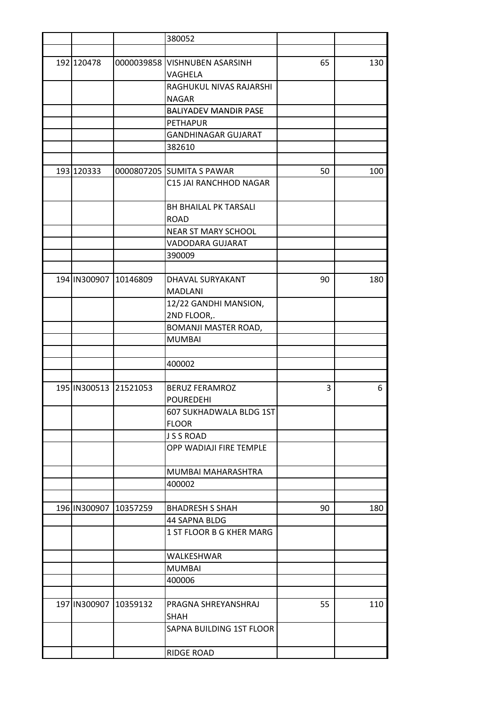|                       | 380052                        |    |     |
|-----------------------|-------------------------------|----|-----|
|                       |                               |    |     |
| 192 120478            | 0000039858 VISHNUBEN ASARSINH | 65 | 130 |
|                       | VAGHELA                       |    |     |
|                       | RAGHUKUL NIVAS RAJARSHI       |    |     |
|                       | <b>NAGAR</b>                  |    |     |
|                       | <b>BALIYADEV MANDIR PASE</b>  |    |     |
|                       | <b>PETHAPUR</b>               |    |     |
|                       | <b>GANDHINAGAR GUJARAT</b>    |    |     |
|                       | 382610                        |    |     |
|                       |                               |    |     |
| 193 120333            | 0000807205 SUMITA S PAWAR     | 50 | 100 |
|                       | C15 JAI RANCHHOD NAGAR        |    |     |
|                       |                               |    |     |
|                       | <b>BH BHAILAL PK TARSALI</b>  |    |     |
|                       | <b>ROAD</b>                   |    |     |
|                       | <b>NEAR ST MARY SCHOOL</b>    |    |     |
|                       | VADODARA GUJARAT              |    |     |
|                       | 390009                        |    |     |
|                       |                               |    |     |
| 194 IN300907 10146809 | DHAVAL SURYAKANT              | 90 | 180 |
|                       | <b>MADLANI</b>                |    |     |
|                       | 12/22 GANDHI MANSION,         |    |     |
|                       | 2ND FLOOR,.                   |    |     |
|                       | BOMANJI MASTER ROAD,          |    |     |
|                       | <b>MUMBAI</b>                 |    |     |
|                       |                               |    |     |
|                       | 400002                        |    |     |
|                       |                               |    |     |
| 195 IN300513 21521053 | <b>BERUZ FERAMROZ</b>         | 3  | 6   |
|                       | <b>POUREDEHI</b>              |    |     |
|                       | 607 SUKHADWALA BLDG 1ST       |    |     |
|                       | <b>FLOOR</b>                  |    |     |
|                       | <b>JSSROAD</b>                |    |     |
|                       | OPP WADIAJI FIRE TEMPLE       |    |     |
|                       |                               |    |     |
|                       | MUMBAI MAHARASHTRA            |    |     |
|                       | 400002                        |    |     |
|                       |                               |    |     |
| 196 IN300907 10357259 | <b>BHADRESH S SHAH</b>        | 90 | 180 |
|                       |                               |    |     |
|                       | 44 SAPNA BLDG                 |    |     |
|                       | 1 ST FLOOR B G KHER MARG      |    |     |
|                       |                               |    |     |
|                       | WALKESHWAR                    |    |     |
|                       | <b>MUMBAI</b>                 |    |     |
|                       | 400006                        |    |     |
|                       |                               |    |     |
| 197 IN300907 10359132 | PRAGNA SHREYANSHRAJ           | 55 | 110 |
|                       | <b>SHAH</b>                   |    |     |
|                       | SAPNA BUILDING 1ST FLOOR      |    |     |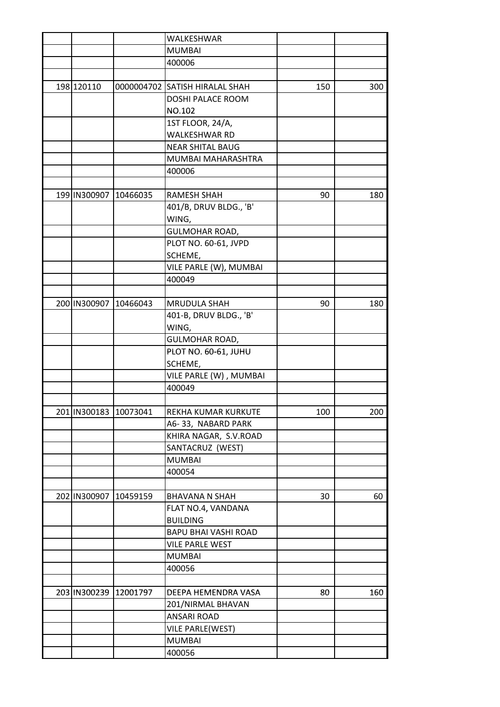|              |                              | WALKESHWAR                                                |                                                                                                                                                                                                                                                                                                                                                                                                                                                                                                                                                                      |                 |
|--------------|------------------------------|-----------------------------------------------------------|----------------------------------------------------------------------------------------------------------------------------------------------------------------------------------------------------------------------------------------------------------------------------------------------------------------------------------------------------------------------------------------------------------------------------------------------------------------------------------------------------------------------------------------------------------------------|-----------------|
|              |                              | <b>MUMBAI</b>                                             |                                                                                                                                                                                                                                                                                                                                                                                                                                                                                                                                                                      |                 |
|              |                              | 400006                                                    |                                                                                                                                                                                                                                                                                                                                                                                                                                                                                                                                                                      |                 |
|              |                              |                                                           |                                                                                                                                                                                                                                                                                                                                                                                                                                                                                                                                                                      |                 |
| 198 120110   |                              |                                                           | 150                                                                                                                                                                                                                                                                                                                                                                                                                                                                                                                                                                  | 300             |
|              |                              | <b>DOSHI PALACE ROOM</b>                                  |                                                                                                                                                                                                                                                                                                                                                                                                                                                                                                                                                                      |                 |
|              |                              | NO.102                                                    |                                                                                                                                                                                                                                                                                                                                                                                                                                                                                                                                                                      |                 |
|              |                              | 1ST FLOOR, 24/A,                                          |                                                                                                                                                                                                                                                                                                                                                                                                                                                                                                                                                                      |                 |
|              |                              | <b>WALKESHWAR RD</b>                                      |                                                                                                                                                                                                                                                                                                                                                                                                                                                                                                                                                                      |                 |
|              |                              | <b>NEAR SHITAL BAUG</b>                                   |                                                                                                                                                                                                                                                                                                                                                                                                                                                                                                                                                                      |                 |
|              |                              | MUMBAI MAHARASHTRA                                        |                                                                                                                                                                                                                                                                                                                                                                                                                                                                                                                                                                      |                 |
|              |                              | 400006                                                    |                                                                                                                                                                                                                                                                                                                                                                                                                                                                                                                                                                      |                 |
|              |                              |                                                           |                                                                                                                                                                                                                                                                                                                                                                                                                                                                                                                                                                      |                 |
| 199 IN300907 |                              | <b>RAMESH SHAH</b>                                        | 90                                                                                                                                                                                                                                                                                                                                                                                                                                                                                                                                                                   | 180             |
|              |                              |                                                           |                                                                                                                                                                                                                                                                                                                                                                                                                                                                                                                                                                      |                 |
|              |                              |                                                           |                                                                                                                                                                                                                                                                                                                                                                                                                                                                                                                                                                      |                 |
|              |                              |                                                           |                                                                                                                                                                                                                                                                                                                                                                                                                                                                                                                                                                      |                 |
|              |                              |                                                           |                                                                                                                                                                                                                                                                                                                                                                                                                                                                                                                                                                      |                 |
|              |                              |                                                           |                                                                                                                                                                                                                                                                                                                                                                                                                                                                                                                                                                      |                 |
|              |                              |                                                           |                                                                                                                                                                                                                                                                                                                                                                                                                                                                                                                                                                      |                 |
|              |                              |                                                           |                                                                                                                                                                                                                                                                                                                                                                                                                                                                                                                                                                      |                 |
|              |                              |                                                           |                                                                                                                                                                                                                                                                                                                                                                                                                                                                                                                                                                      |                 |
|              |                              |                                                           |                                                                                                                                                                                                                                                                                                                                                                                                                                                                                                                                                                      | 180             |
|              |                              |                                                           |                                                                                                                                                                                                                                                                                                                                                                                                                                                                                                                                                                      |                 |
|              |                              |                                                           |                                                                                                                                                                                                                                                                                                                                                                                                                                                                                                                                                                      |                 |
|              |                              |                                                           |                                                                                                                                                                                                                                                                                                                                                                                                                                                                                                                                                                      |                 |
|              |                              |                                                           |                                                                                                                                                                                                                                                                                                                                                                                                                                                                                                                                                                      |                 |
|              |                              |                                                           |                                                                                                                                                                                                                                                                                                                                                                                                                                                                                                                                                                      |                 |
|              |                              |                                                           |                                                                                                                                                                                                                                                                                                                                                                                                                                                                                                                                                                      |                 |
|              |                              |                                                           |                                                                                                                                                                                                                                                                                                                                                                                                                                                                                                                                                                      |                 |
|              |                              |                                                           |                                                                                                                                                                                                                                                                                                                                                                                                                                                                                                                                                                      |                 |
|              |                              |                                                           |                                                                                                                                                                                                                                                                                                                                                                                                                                                                                                                                                                      | 200             |
|              |                              |                                                           |                                                                                                                                                                                                                                                                                                                                                                                                                                                                                                                                                                      |                 |
|              |                              |                                                           |                                                                                                                                                                                                                                                                                                                                                                                                                                                                                                                                                                      |                 |
|              |                              |                                                           |                                                                                                                                                                                                                                                                                                                                                                                                                                                                                                                                                                      |                 |
|              |                              |                                                           |                                                                                                                                                                                                                                                                                                                                                                                                                                                                                                                                                                      |                 |
|              |                              |                                                           |                                                                                                                                                                                                                                                                                                                                                                                                                                                                                                                                                                      |                 |
|              |                              |                                                           |                                                                                                                                                                                                                                                                                                                                                                                                                                                                                                                                                                      |                 |
|              |                              |                                                           |                                                                                                                                                                                                                                                                                                                                                                                                                                                                                                                                                                      | 60              |
|              |                              |                                                           |                                                                                                                                                                                                                                                                                                                                                                                                                                                                                                                                                                      |                 |
|              |                              |                                                           |                                                                                                                                                                                                                                                                                                                                                                                                                                                                                                                                                                      |                 |
|              |                              |                                                           |                                                                                                                                                                                                                                                                                                                                                                                                                                                                                                                                                                      |                 |
|              |                              |                                                           |                                                                                                                                                                                                                                                                                                                                                                                                                                                                                                                                                                      |                 |
|              |                              | <b>MUMBAI</b>                                             |                                                                                                                                                                                                                                                                                                                                                                                                                                                                                                                                                                      |                 |
|              |                              |                                                           |                                                                                                                                                                                                                                                                                                                                                                                                                                                                                                                                                                      |                 |
|              |                              |                                                           |                                                                                                                                                                                                                                                                                                                                                                                                                                                                                                                                                                      |                 |
|              |                              | 400056                                                    |                                                                                                                                                                                                                                                                                                                                                                                                                                                                                                                                                                      |                 |
|              |                              |                                                           |                                                                                                                                                                                                                                                                                                                                                                                                                                                                                                                                                                      |                 |
| 203 IN300239 | 12001797                     | DEEPA HEMENDRA VASA                                       | 80                                                                                                                                                                                                                                                                                                                                                                                                                                                                                                                                                                   |                 |
|              |                              | 201/NIRMAL BHAVAN                                         |                                                                                                                                                                                                                                                                                                                                                                                                                                                                                                                                                                      |                 |
|              |                              | ANSARI ROAD                                               |                                                                                                                                                                                                                                                                                                                                                                                                                                                                                                                                                                      |                 |
|              |                              | VILE PARLE(WEST)<br><b>MUMBAI</b>                         |                                                                                                                                                                                                                                                                                                                                                                                                                                                                                                                                                                      | 160             |
|              | 200 IN300907<br>202 IN300907 | 10466035<br>10466043<br>201 IN300183 10073041<br>10459159 | 0000004702 SATISH HIRALAL SHAH<br>401/B, DRUV BLDG., 'B'<br>WING,<br><b>GULMOHAR ROAD,</b><br>PLOT NO. 60-61, JVPD<br>SCHEME,<br>VILE PARLE (W), MUMBAI<br>400049<br><b>MRUDULA SHAH</b><br>401-B, DRUV BLDG., 'B'<br>WING,<br><b>GULMOHAR ROAD,</b><br>PLOT NO. 60-61, JUHU<br>SCHEME,<br>VILE PARLE (W), MUMBAI<br>400049<br>REKHA KUMAR KURKUTE<br>A6-33, NABARD PARK<br>KHIRA NAGAR, S.V.ROAD<br>SANTACRUZ (WEST)<br><b>MUMBAI</b><br>400054<br><b>BHAVANA N SHAH</b><br>FLAT NO.4, VANDANA<br><b>BUILDING</b><br>BAPU BHAI VASHI ROAD<br><b>VILE PARLE WEST</b> | 90<br>100<br>30 |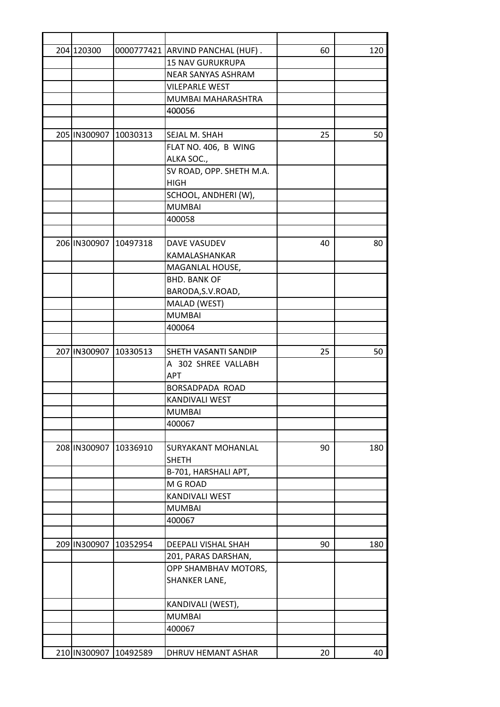| 204 120300            |          | 0000777421 ARVIND PANCHAL (HUF). | 60 | 120 |
|-----------------------|----------|----------------------------------|----|-----|
|                       |          | <b>15 NAV GURUKRUPA</b>          |    |     |
|                       |          | <b>NEAR SANYAS ASHRAM</b>        |    |     |
|                       |          | <b>VILEPARLE WEST</b>            |    |     |
|                       |          | MUMBAI MAHARASHTRA               |    |     |
|                       |          | 400056                           |    |     |
|                       |          |                                  |    |     |
| 205 IN300907 10030313 |          | SEJAL M. SHAH                    | 25 | 50  |
|                       |          | FLAT NO. 406, B WING             |    |     |
|                       |          | ALKA SOC.,                       |    |     |
|                       |          | SV ROAD, OPP. SHETH M.A.         |    |     |
|                       |          | <b>HIGH</b>                      |    |     |
|                       |          | SCHOOL, ANDHERI (W),             |    |     |
|                       |          | <b>MUMBAI</b>                    |    |     |
|                       |          | 400058                           |    |     |
|                       |          |                                  |    |     |
| 206 IN300907 10497318 |          | DAVE VASUDEV                     | 40 | 80  |
|                       |          | KAMALASHANKAR                    |    |     |
|                       |          | MAGANLAL HOUSE,                  |    |     |
|                       |          | <b>BHD. BANK OF</b>              |    |     |
|                       |          | BARODA, S.V.ROAD,                |    |     |
|                       |          | MALAD (WEST)                     |    |     |
|                       |          | <b>MUMBAI</b>                    |    |     |
|                       |          | 400064                           |    |     |
|                       |          |                                  |    |     |
| 207 IN300907 10330513 |          | SHETH VASANTI SANDIP             | 25 | 50  |
|                       |          | A 302 SHREE VALLABH              |    |     |
|                       |          | <b>APT</b>                       |    |     |
|                       |          | <b>BORSADPADA ROAD</b>           |    |     |
|                       |          | KANDIVALI WEST                   |    |     |
|                       |          | <b>MUMBAI</b>                    |    |     |
|                       |          | 400067                           |    |     |
|                       |          |                                  |    |     |
| 208 IN300907          | 10336910 | <b>SURYAKANT MOHANLAL</b>        | 90 | 180 |
|                       |          | <b>SHETH</b>                     |    |     |
|                       |          | B-701, HARSHALI APT,             |    |     |
|                       |          | M G ROAD                         |    |     |
|                       |          | KANDIVALI WEST                   |    |     |
|                       |          | <b>MUMBAI</b>                    |    |     |
|                       |          | 400067                           |    |     |
|                       |          |                                  |    |     |
| 209 IN300907          | 10352954 | DEEPALI VISHAL SHAH              | 90 | 180 |
|                       |          | 201, PARAS DARSHAN,              |    |     |
|                       |          | OPP SHAMBHAV MOTORS,             |    |     |
|                       |          | SHANKER LANE,                    |    |     |
|                       |          | KANDIVALI (WEST),                |    |     |
|                       |          | <b>MUMBAI</b>                    |    |     |
|                       |          | 400067                           |    |     |
|                       |          |                                  |    |     |
| 210 IN300907          | 10492589 | DHRUV HEMANT ASHAR               | 20 | 40  |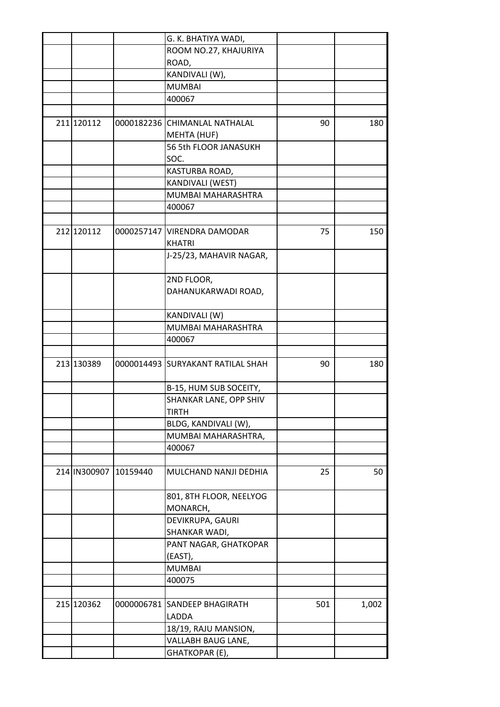|            |                       | G. K. BHATIYA WADI,               |     |       |
|------------|-----------------------|-----------------------------------|-----|-------|
|            |                       | ROOM NO.27, KHAJURIYA             |     |       |
|            |                       | ROAD,                             |     |       |
|            |                       | KANDIVALI (W),                    |     |       |
|            |                       | <b>MUMBAI</b>                     |     |       |
|            |                       | 400067                            |     |       |
|            |                       |                                   |     |       |
| 211 120112 |                       | 0000182236 CHIMANLAL NATHALAL     | 90  | 180   |
|            |                       | MEHTA (HUF)                       |     |       |
|            |                       | 56 5th FLOOR JANASUKH             |     |       |
|            |                       |                                   |     |       |
|            |                       | SOC.                              |     |       |
|            |                       | KASTURBA ROAD,                    |     |       |
|            |                       | KANDIVALI (WEST)                  |     |       |
|            |                       | MUMBAI MAHARASHTRA                |     |       |
|            |                       | 400067                            |     |       |
|            |                       |                                   |     |       |
| 212 120112 |                       | 0000257147 VIRENDRA DAMODAR       | 75  | 150   |
|            |                       | <b>KHATRI</b>                     |     |       |
|            |                       | J-25/23, MAHAVIR NAGAR,           |     |       |
|            |                       |                                   |     |       |
|            |                       | 2ND FLOOR,                        |     |       |
|            |                       | DAHANUKARWADI ROAD,               |     |       |
|            |                       |                                   |     |       |
|            |                       | KANDIVALI (W)                     |     |       |
|            |                       | MUMBAI MAHARASHTRA                |     |       |
|            |                       | 400067                            |     |       |
|            |                       |                                   |     |       |
| 213 130389 |                       | 0000014493 SURYAKANT RATILAL SHAH | 90  | 180   |
|            |                       |                                   |     |       |
|            |                       | B-15, HUM SUB SOCEITY,            |     |       |
|            |                       | SHANKAR LANE, OPP SHIV            |     |       |
|            |                       |                                   |     |       |
|            |                       | <b>IIRIH</b>                      |     |       |
|            |                       | BLDG, KANDIVALI (W),              |     |       |
|            |                       | MUMBAI MAHARASHTRA,               |     |       |
|            |                       | 400067                            |     |       |
|            |                       |                                   |     |       |
|            | 214 IN300907 10159440 | MULCHAND NANJI DEDHIA             | 25  | 50    |
|            |                       |                                   |     |       |
|            |                       | 801, 8TH FLOOR, NEELYOG           |     |       |
|            |                       | MONARCH,                          |     |       |
|            |                       | DEVIKRUPA, GAURI                  |     |       |
|            |                       | SHANKAR WADI,                     |     |       |
|            |                       | PANT NAGAR, GHATKOPAR             |     |       |
|            |                       | (EAST),                           |     |       |
|            |                       | <b>MUMBAI</b>                     |     |       |
|            |                       | 400075                            |     |       |
|            |                       |                                   |     |       |
| 215 120362 | 0000006781            | <b>SANDEEP BHAGIRATH</b>          | 501 | 1,002 |
|            |                       | LADDA                             |     |       |
|            |                       | 18/19, RAJU MANSION,              |     |       |
|            |                       | VALLABH BAUG LANE,                |     |       |
|            |                       | GHATKOPAR (E),                    |     |       |
|            |                       |                                   |     |       |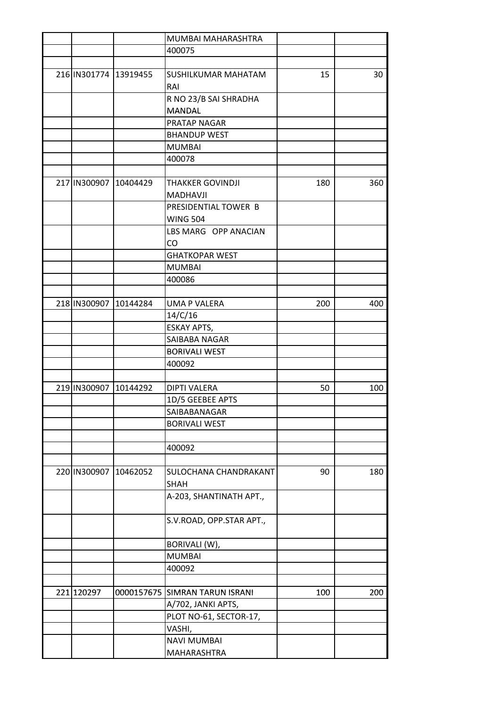|              |                       | MUMBAI MAHARASHTRA         |     |     |
|--------------|-----------------------|----------------------------|-----|-----|
|              |                       | 400075                     |     |     |
|              |                       |                            |     |     |
|              | 216 IN301774 13919455 | SUSHILKUMAR MAHATAM        | 15  | 30  |
|              |                       | RAI                        |     |     |
|              |                       | R NO 23/B SAI SHRADHA      |     |     |
|              |                       | <b>MANDAL</b>              |     |     |
|              |                       | PRATAP NAGAR               |     |     |
|              |                       | <b>BHANDUP WEST</b>        |     |     |
|              |                       | <b>MUMBAI</b>              |     |     |
|              |                       | 400078                     |     |     |
|              |                       |                            |     |     |
|              | 217 IN300907 10404429 | <b>THAKKER GOVINDJI</b>    | 180 | 360 |
|              |                       | <b>MADHAVJI</b>            |     |     |
|              |                       | PRESIDENTIAL TOWER B       |     |     |
|              |                       | <b>WING 504</b>            |     |     |
|              |                       | LBS MARG OPP ANACIAN       |     |     |
|              |                       | CO                         |     |     |
|              |                       | <b>GHATKOPAR WEST</b>      |     |     |
|              |                       | <b>MUMBAI</b>              |     |     |
|              |                       | 400086                     |     |     |
|              |                       |                            |     |     |
| 218 IN300907 | 10144284              | <b>UMA P VALERA</b>        | 200 | 400 |
|              |                       | 14/C/16                    |     |     |
|              |                       | ESKAY APTS,                |     |     |
|              |                       | SAIBABA NAGAR              |     |     |
|              |                       | <b>BORIVALI WEST</b>       |     |     |
|              |                       | 400092                     |     |     |
|              |                       |                            |     |     |
| 219 IN300907 | 10144292              | <b>DIPTI VALERA</b>        | 50  | 100 |
|              |                       | 1D/5 GEEBEE APTS           |     |     |
|              |                       | SAIBABANAGAR               |     |     |
|              |                       | <b>BORIVALI WEST</b>       |     |     |
|              |                       |                            |     |     |
|              |                       | 400092                     |     |     |
|              |                       |                            |     |     |
| 220 IN300907 | 10462052              | SULOCHANA CHANDRAKANT      | 90  | 180 |
|              |                       | <b>SHAH</b>                |     |     |
|              |                       | A-203, SHANTINATH APT.,    |     |     |
|              |                       |                            |     |     |
|              |                       | S.V.ROAD, OPP.STAR APT.,   |     |     |
|              |                       |                            |     |     |
|              |                       | BORIVALI (W),              |     |     |
|              |                       | <b>MUMBAI</b>              |     |     |
|              |                       | 400092                     |     |     |
|              |                       |                            |     |     |
| 221 120297   | 0000157675            | <b>SIMRAN TARUN ISRANI</b> | 100 | 200 |
|              |                       | A/702, JANKI APTS,         |     |     |
|              |                       | PLOT NO-61, SECTOR-17,     |     |     |
|              |                       | VASHI,                     |     |     |
|              |                       | <b>NAVI MUMBAI</b>         |     |     |
|              |                       | MAHARASHTRA                |     |     |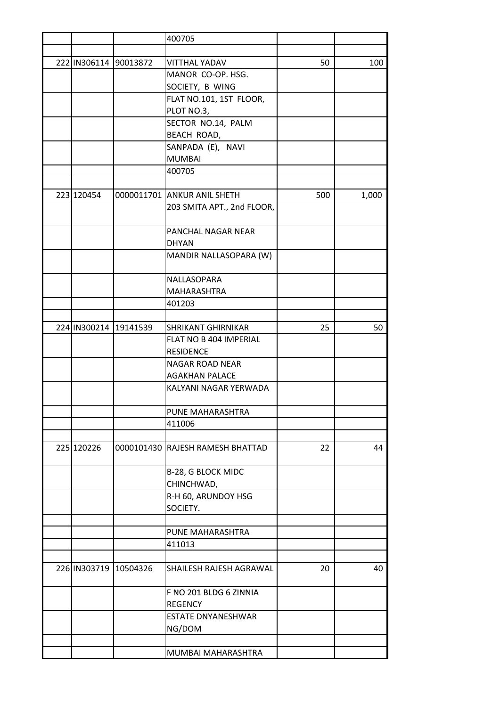|                       |                       | 400705                           |     |       |
|-----------------------|-----------------------|----------------------------------|-----|-------|
|                       |                       |                                  |     |       |
| 222 IN306114 90013872 |                       | <b>VITTHAL YADAV</b>             | 50  | 100   |
|                       |                       | MANOR CO-OP. HSG.                |     |       |
|                       |                       | SOCIETY, B WING                  |     |       |
|                       |                       | FLAT NO.101, 1ST FLOOR,          |     |       |
|                       |                       | PLOT NO.3,                       |     |       |
|                       |                       | SECTOR NO.14, PALM               |     |       |
|                       |                       | BEACH ROAD,                      |     |       |
|                       |                       | SANPADA (E), NAVI                |     |       |
|                       |                       | <b>MUMBAI</b>                    |     |       |
|                       |                       | 400705                           |     |       |
|                       |                       |                                  |     |       |
| 223 120454            |                       | 0000011701 ANKUR ANIL SHETH      | 500 | 1,000 |
|                       |                       | 203 SMITA APT., 2nd FLOOR,       |     |       |
|                       |                       |                                  |     |       |
|                       |                       | PANCHAL NAGAR NEAR               |     |       |
|                       |                       | <b>DHYAN</b>                     |     |       |
|                       |                       | MANDIR NALLASOPARA (W)           |     |       |
|                       |                       |                                  |     |       |
|                       |                       | NALLASOPARA                      |     |       |
|                       |                       | MAHARASHTRA                      |     |       |
|                       |                       | 401203                           |     |       |
|                       |                       |                                  |     |       |
|                       | 224 IN300214 19141539 | <b>SHRIKANT GHIRNIKAR</b>        | 25  | 50    |
|                       |                       | FLAT NO B 404 IMPERIAL           |     |       |
|                       |                       | <b>RESIDENCE</b>                 |     |       |
|                       |                       | NAGAR ROAD NEAR                  |     |       |
|                       |                       | <b>AGAKHAN PALACE</b>            |     |       |
|                       |                       | KALYANI NAGAR YERWADA            |     |       |
|                       |                       |                                  |     |       |
|                       |                       | PUNE MAHARASHTRA                 |     |       |
|                       |                       | 411006                           |     |       |
|                       |                       |                                  |     |       |
| 225 120226            |                       | 0000101430 RAJESH RAMESH BHATTAD | 22  | 44    |
|                       |                       |                                  |     |       |
|                       |                       | B-28, G BLOCK MIDC               |     |       |
|                       |                       | CHINCHWAD,                       |     |       |
|                       |                       | R-H 60, ARUNDOY HSG              |     |       |
|                       |                       | SOCIETY.                         |     |       |
|                       |                       |                                  |     |       |
|                       |                       | PUNE MAHARASHTRA                 |     |       |
|                       |                       | 411013                           |     |       |
|                       |                       |                                  |     |       |
| 226 IN303719          | 10504326              | SHAILESH RAJESH AGRAWAL          | 20  | 40    |
|                       |                       | F NO 201 BLDG 6 ZINNIA           |     |       |
|                       |                       | <b>REGENCY</b>                   |     |       |
|                       |                       | <b>ESTATE DNYANESHWAR</b>        |     |       |
|                       |                       | NG/DOM                           |     |       |
|                       |                       |                                  |     |       |
|                       |                       | MUMBAI MAHARASHTRA               |     |       |
|                       |                       |                                  |     |       |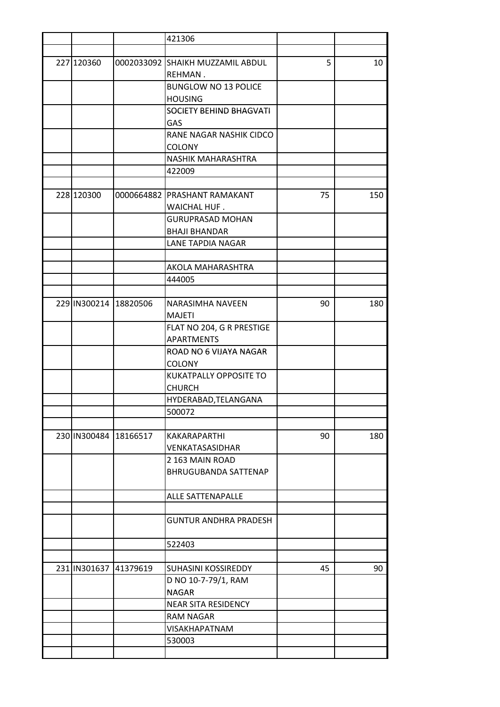|            |                       | 421306                                      |    |     |
|------------|-----------------------|---------------------------------------------|----|-----|
|            |                       |                                             |    |     |
| 227 120360 |                       | 0002033092 SHAIKH MUZZAMIL ABDUL<br>REHMAN. | 5  | 10  |
|            |                       | <b>BUNGLOW NO 13 POLICE</b>                 |    |     |
|            |                       | <b>HOUSING</b>                              |    |     |
|            |                       | SOCIETY BEHIND BHAGVATI                     |    |     |
|            |                       | <b>GAS</b>                                  |    |     |
|            |                       | RANE NAGAR NASHIK CIDCO                     |    |     |
|            |                       | <b>COLONY</b>                               |    |     |
|            |                       | NASHIK MAHARASHTRA                          |    |     |
|            |                       | 422009                                      |    |     |
|            |                       |                                             |    |     |
| 228 120300 |                       | 0000664882 PRASHANT RAMAKANT                | 75 | 150 |
|            |                       | WAICHAL HUF.                                |    |     |
|            |                       | GURUPRASAD MOHAN                            |    |     |
|            |                       | <b>BHAJI BHANDAR</b>                        |    |     |
|            |                       | LANE TAPDIA NAGAR                           |    |     |
|            |                       |                                             |    |     |
|            |                       | AKOLA MAHARASHTRA                           |    |     |
|            |                       | 444005                                      |    |     |
|            |                       |                                             |    |     |
|            | 229 IN300214 18820506 | NARASIMHA NAVEEN                            | 90 | 180 |
|            |                       | <b>MAJETI</b>                               |    |     |
|            |                       | FLAT NO 204, G R PRESTIGE                   |    |     |
|            |                       | <b>APARTMENTS</b>                           |    |     |
|            |                       | ROAD NO 6 VIJAYA NAGAR                      |    |     |
|            |                       | <b>COLONY</b>                               |    |     |
|            |                       | KUKATPALLY OPPOSITE TO                      |    |     |
|            |                       | <b>CHURCH</b>                               |    |     |
|            |                       | HYDERABAD, TELANGANA                        |    |     |
|            |                       | 500072                                      |    |     |
|            |                       |                                             |    |     |
|            | 230 IN300484 18166517 | KAKARAPARTHI                                | 90 | 180 |
|            |                       | VENKATASASIDHAR                             |    |     |
|            |                       | 2 163 MAIN ROAD                             |    |     |
|            |                       | <b>BHRUGUBANDA SATTENAP</b>                 |    |     |
|            |                       |                                             |    |     |
|            |                       | ALLE SATTENAPALLE                           |    |     |
|            |                       | <b>GUNTUR ANDHRA PRADESH</b>                |    |     |
|            |                       | 522403                                      |    |     |
|            |                       |                                             |    |     |
|            | 231 IN301637 41379619 | SUHASINI KOSSIREDDY                         | 45 | 90  |
|            |                       | D NO 10-7-79/1, RAM                         |    |     |
|            |                       | <b>NAGAR</b>                                |    |     |
|            |                       | <b>NEAR SITA RESIDENCY</b>                  |    |     |
|            |                       | <b>RAM NAGAR</b>                            |    |     |
|            |                       | VISAKHAPATNAM                               |    |     |
|            |                       | 530003                                      |    |     |
|            |                       |                                             |    |     |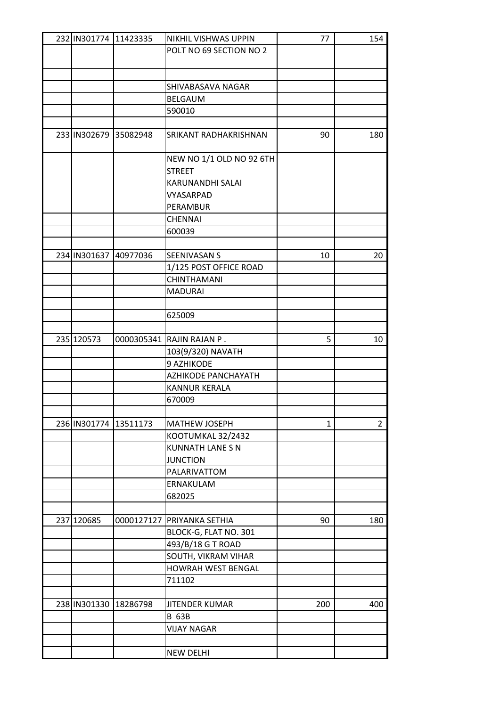| POLT NO 69 SECTION NO 2<br>SHIVABASAVA NAGAR<br><b>BELGAUM</b><br>590010<br>233 IN302679 35082948<br>SRIKANT RADHAKRISHNAN<br>90<br>180<br>NEW NO 1/1 OLD NO 92 6TH<br><b>STREET</b><br>KARUNANDHI SALAI<br>VYASARPAD<br>PERAMBUR<br><b>CHENNAI</b><br>600039<br>234 IN301637 40977036<br>SEENIVASAN S<br>10<br>20<br>1/125 POST OFFICE ROAD<br><b>CHINTHAMANI</b><br><b>MADURAI</b><br>625009<br>235 120573<br>5<br>0000305341 RAJIN RAJAN P.<br>10<br>103(9/320) NAVATH<br>9 AZHIKODE<br>AZHIKODE PANCHAYATH<br><b>KANNUR KERALA</b><br>670009<br>236 IN301774 13511173<br>$\overline{2}$<br><b>MATHEW JOSEPH</b><br>$\mathbf{1}$<br>KOOTUMKAL 32/2432<br><b>KUNNATH LANE S N</b><br><b>JUNCTION</b><br>PALARIVATTOM<br>ERNAKULAM<br>682025<br>237 120685<br>PRIYANKA SETHIA<br>180<br>0000127127<br>90<br>BLOCK-G, FLAT NO. 301<br>493/B/18 G T ROAD<br>SOUTH, VIKRAM VIHAR<br>HOWRAH WEST BENGAL<br>711102<br>238 IN301330 18286798<br><b>JITENDER KUMAR</b><br>200<br>400<br><b>B 63B</b><br><b>VIJAY NAGAR</b> | 232 IN301774 11423335 | NIKHIL VISHWAS UPPIN | 77 | 154 |
|----------------------------------------------------------------------------------------------------------------------------------------------------------------------------------------------------------------------------------------------------------------------------------------------------------------------------------------------------------------------------------------------------------------------------------------------------------------------------------------------------------------------------------------------------------------------------------------------------------------------------------------------------------------------------------------------------------------------------------------------------------------------------------------------------------------------------------------------------------------------------------------------------------------------------------------------------------------------------------------------------------------------|-----------------------|----------------------|----|-----|
|                                                                                                                                                                                                                                                                                                                                                                                                                                                                                                                                                                                                                                                                                                                                                                                                                                                                                                                                                                                                                      |                       |                      |    |     |
|                                                                                                                                                                                                                                                                                                                                                                                                                                                                                                                                                                                                                                                                                                                                                                                                                                                                                                                                                                                                                      |                       |                      |    |     |
|                                                                                                                                                                                                                                                                                                                                                                                                                                                                                                                                                                                                                                                                                                                                                                                                                                                                                                                                                                                                                      |                       |                      |    |     |
|                                                                                                                                                                                                                                                                                                                                                                                                                                                                                                                                                                                                                                                                                                                                                                                                                                                                                                                                                                                                                      |                       |                      |    |     |
|                                                                                                                                                                                                                                                                                                                                                                                                                                                                                                                                                                                                                                                                                                                                                                                                                                                                                                                                                                                                                      |                       |                      |    |     |
|                                                                                                                                                                                                                                                                                                                                                                                                                                                                                                                                                                                                                                                                                                                                                                                                                                                                                                                                                                                                                      |                       |                      |    |     |
|                                                                                                                                                                                                                                                                                                                                                                                                                                                                                                                                                                                                                                                                                                                                                                                                                                                                                                                                                                                                                      |                       |                      |    |     |
|                                                                                                                                                                                                                                                                                                                                                                                                                                                                                                                                                                                                                                                                                                                                                                                                                                                                                                                                                                                                                      |                       |                      |    |     |
|                                                                                                                                                                                                                                                                                                                                                                                                                                                                                                                                                                                                                                                                                                                                                                                                                                                                                                                                                                                                                      |                       |                      |    |     |
|                                                                                                                                                                                                                                                                                                                                                                                                                                                                                                                                                                                                                                                                                                                                                                                                                                                                                                                                                                                                                      |                       |                      |    |     |
|                                                                                                                                                                                                                                                                                                                                                                                                                                                                                                                                                                                                                                                                                                                                                                                                                                                                                                                                                                                                                      |                       |                      |    |     |
|                                                                                                                                                                                                                                                                                                                                                                                                                                                                                                                                                                                                                                                                                                                                                                                                                                                                                                                                                                                                                      |                       |                      |    |     |
|                                                                                                                                                                                                                                                                                                                                                                                                                                                                                                                                                                                                                                                                                                                                                                                                                                                                                                                                                                                                                      |                       |                      |    |     |
|                                                                                                                                                                                                                                                                                                                                                                                                                                                                                                                                                                                                                                                                                                                                                                                                                                                                                                                                                                                                                      |                       |                      |    |     |
|                                                                                                                                                                                                                                                                                                                                                                                                                                                                                                                                                                                                                                                                                                                                                                                                                                                                                                                                                                                                                      |                       |                      |    |     |
|                                                                                                                                                                                                                                                                                                                                                                                                                                                                                                                                                                                                                                                                                                                                                                                                                                                                                                                                                                                                                      |                       |                      |    |     |
|                                                                                                                                                                                                                                                                                                                                                                                                                                                                                                                                                                                                                                                                                                                                                                                                                                                                                                                                                                                                                      |                       |                      |    |     |
|                                                                                                                                                                                                                                                                                                                                                                                                                                                                                                                                                                                                                                                                                                                                                                                                                                                                                                                                                                                                                      |                       |                      |    |     |
|                                                                                                                                                                                                                                                                                                                                                                                                                                                                                                                                                                                                                                                                                                                                                                                                                                                                                                                                                                                                                      |                       |                      |    |     |
|                                                                                                                                                                                                                                                                                                                                                                                                                                                                                                                                                                                                                                                                                                                                                                                                                                                                                                                                                                                                                      |                       |                      |    |     |
|                                                                                                                                                                                                                                                                                                                                                                                                                                                                                                                                                                                                                                                                                                                                                                                                                                                                                                                                                                                                                      |                       |                      |    |     |
|                                                                                                                                                                                                                                                                                                                                                                                                                                                                                                                                                                                                                                                                                                                                                                                                                                                                                                                                                                                                                      |                       |                      |    |     |
|                                                                                                                                                                                                                                                                                                                                                                                                                                                                                                                                                                                                                                                                                                                                                                                                                                                                                                                                                                                                                      |                       |                      |    |     |
|                                                                                                                                                                                                                                                                                                                                                                                                                                                                                                                                                                                                                                                                                                                                                                                                                                                                                                                                                                                                                      |                       |                      |    |     |
|                                                                                                                                                                                                                                                                                                                                                                                                                                                                                                                                                                                                                                                                                                                                                                                                                                                                                                                                                                                                                      |                       |                      |    |     |
|                                                                                                                                                                                                                                                                                                                                                                                                                                                                                                                                                                                                                                                                                                                                                                                                                                                                                                                                                                                                                      |                       |                      |    |     |
|                                                                                                                                                                                                                                                                                                                                                                                                                                                                                                                                                                                                                                                                                                                                                                                                                                                                                                                                                                                                                      |                       |                      |    |     |
|                                                                                                                                                                                                                                                                                                                                                                                                                                                                                                                                                                                                                                                                                                                                                                                                                                                                                                                                                                                                                      |                       |                      |    |     |
|                                                                                                                                                                                                                                                                                                                                                                                                                                                                                                                                                                                                                                                                                                                                                                                                                                                                                                                                                                                                                      |                       |                      |    |     |
|                                                                                                                                                                                                                                                                                                                                                                                                                                                                                                                                                                                                                                                                                                                                                                                                                                                                                                                                                                                                                      |                       |                      |    |     |
|                                                                                                                                                                                                                                                                                                                                                                                                                                                                                                                                                                                                                                                                                                                                                                                                                                                                                                                                                                                                                      |                       |                      |    |     |
|                                                                                                                                                                                                                                                                                                                                                                                                                                                                                                                                                                                                                                                                                                                                                                                                                                                                                                                                                                                                                      |                       |                      |    |     |
|                                                                                                                                                                                                                                                                                                                                                                                                                                                                                                                                                                                                                                                                                                                                                                                                                                                                                                                                                                                                                      |                       |                      |    |     |
|                                                                                                                                                                                                                                                                                                                                                                                                                                                                                                                                                                                                                                                                                                                                                                                                                                                                                                                                                                                                                      |                       |                      |    |     |
|                                                                                                                                                                                                                                                                                                                                                                                                                                                                                                                                                                                                                                                                                                                                                                                                                                                                                                                                                                                                                      |                       |                      |    |     |
|                                                                                                                                                                                                                                                                                                                                                                                                                                                                                                                                                                                                                                                                                                                                                                                                                                                                                                                                                                                                                      |                       |                      |    |     |
|                                                                                                                                                                                                                                                                                                                                                                                                                                                                                                                                                                                                                                                                                                                                                                                                                                                                                                                                                                                                                      |                       |                      |    |     |
|                                                                                                                                                                                                                                                                                                                                                                                                                                                                                                                                                                                                                                                                                                                                                                                                                                                                                                                                                                                                                      |                       |                      |    |     |
|                                                                                                                                                                                                                                                                                                                                                                                                                                                                                                                                                                                                                                                                                                                                                                                                                                                                                                                                                                                                                      |                       |                      |    |     |
|                                                                                                                                                                                                                                                                                                                                                                                                                                                                                                                                                                                                                                                                                                                                                                                                                                                                                                                                                                                                                      |                       |                      |    |     |
|                                                                                                                                                                                                                                                                                                                                                                                                                                                                                                                                                                                                                                                                                                                                                                                                                                                                                                                                                                                                                      |                       |                      |    |     |
|                                                                                                                                                                                                                                                                                                                                                                                                                                                                                                                                                                                                                                                                                                                                                                                                                                                                                                                                                                                                                      |                       |                      |    |     |
|                                                                                                                                                                                                                                                                                                                                                                                                                                                                                                                                                                                                                                                                                                                                                                                                                                                                                                                                                                                                                      |                       |                      |    |     |
|                                                                                                                                                                                                                                                                                                                                                                                                                                                                                                                                                                                                                                                                                                                                                                                                                                                                                                                                                                                                                      |                       |                      |    |     |
|                                                                                                                                                                                                                                                                                                                                                                                                                                                                                                                                                                                                                                                                                                                                                                                                                                                                                                                                                                                                                      |                       |                      |    |     |
|                                                                                                                                                                                                                                                                                                                                                                                                                                                                                                                                                                                                                                                                                                                                                                                                                                                                                                                                                                                                                      |                       |                      |    |     |
|                                                                                                                                                                                                                                                                                                                                                                                                                                                                                                                                                                                                                                                                                                                                                                                                                                                                                                                                                                                                                      |                       |                      |    |     |
|                                                                                                                                                                                                                                                                                                                                                                                                                                                                                                                                                                                                                                                                                                                                                                                                                                                                                                                                                                                                                      |                       |                      |    |     |
|                                                                                                                                                                                                                                                                                                                                                                                                                                                                                                                                                                                                                                                                                                                                                                                                                                                                                                                                                                                                                      |                       |                      |    |     |
|                                                                                                                                                                                                                                                                                                                                                                                                                                                                                                                                                                                                                                                                                                                                                                                                                                                                                                                                                                                                                      |                       |                      |    |     |
|                                                                                                                                                                                                                                                                                                                                                                                                                                                                                                                                                                                                                                                                                                                                                                                                                                                                                                                                                                                                                      |                       |                      |    |     |
|                                                                                                                                                                                                                                                                                                                                                                                                                                                                                                                                                                                                                                                                                                                                                                                                                                                                                                                                                                                                                      |                       |                      |    |     |
|                                                                                                                                                                                                                                                                                                                                                                                                                                                                                                                                                                                                                                                                                                                                                                                                                                                                                                                                                                                                                      |                       |                      |    |     |
|                                                                                                                                                                                                                                                                                                                                                                                                                                                                                                                                                                                                                                                                                                                                                                                                                                                                                                                                                                                                                      |                       |                      |    |     |
|                                                                                                                                                                                                                                                                                                                                                                                                                                                                                                                                                                                                                                                                                                                                                                                                                                                                                                                                                                                                                      |                       | <b>NEW DELHI</b>     |    |     |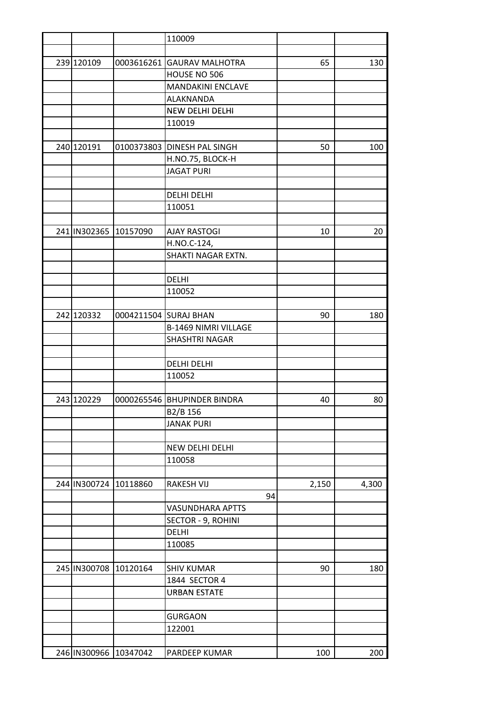|                       |                       | 110009                        |    |       |       |
|-----------------------|-----------------------|-------------------------------|----|-------|-------|
|                       |                       |                               |    |       |       |
| 239 120109            | 0003616261            | <b>GAURAV MALHOTRA</b>        |    | 65    | 130   |
|                       |                       | HOUSE NO 506                  |    |       |       |
|                       |                       | <b>MANDAKINI ENCLAVE</b>      |    |       |       |
|                       |                       | ALAKNANDA                     |    |       |       |
|                       |                       | NEW DELHI DELHI               |    |       |       |
|                       |                       | 110019                        |    |       |       |
|                       |                       |                               |    |       |       |
| 240 120191            | 0100373803            | DINESH PAL SINGH              |    | 50    | 100   |
|                       |                       | H.NO.75, BLOCK-H              |    |       |       |
|                       |                       | <b>JAGAT PURI</b>             |    |       |       |
|                       |                       |                               |    |       |       |
|                       |                       | <b>DELHI DELHI</b>            |    |       |       |
|                       |                       | 110051                        |    |       |       |
|                       |                       |                               |    |       |       |
|                       | 241 IN302365 10157090 | <b>AJAY RASTOGI</b>           |    | 10    | 20    |
|                       |                       | H.NO.C-124,                   |    |       |       |
|                       |                       | SHAKTI NAGAR EXTN.            |    |       |       |
|                       |                       |                               |    |       |       |
|                       |                       | <b>DELHI</b>                  |    |       |       |
|                       |                       | 110052                        |    |       |       |
|                       |                       |                               |    |       |       |
| 242 120332            |                       | 0004211504 SURAJ BHAN         |    | 90    | 180   |
|                       |                       | <b>B-1469 NIMRI VILLAGE</b>   |    |       |       |
|                       |                       | <b>SHASHTRI NAGAR</b>         |    |       |       |
|                       |                       |                               |    |       |       |
|                       |                       | <b>DELHI DELHI</b>            |    |       |       |
|                       |                       | 110052                        |    |       |       |
|                       |                       |                               |    |       |       |
| 243 120229            |                       | 0000265546   BHUPINDER BINDRA |    | 40    | 80    |
|                       |                       | B2/B 156                      |    |       |       |
|                       |                       | <b>JANAK PURI</b>             |    |       |       |
|                       |                       |                               |    |       |       |
|                       |                       | NEW DELHI DELHI               |    |       |       |
|                       |                       | 110058                        |    |       |       |
|                       |                       |                               |    |       |       |
|                       | 244 IN300724 10118860 | <b>RAKESH VIJ</b>             |    | 2,150 | 4,300 |
|                       |                       |                               | 94 |       |       |
|                       |                       | <b>VASUNDHARA APTTS</b>       |    |       |       |
|                       |                       | SECTOR - 9, ROHINI            |    |       |       |
|                       |                       | <b>DELHI</b>                  |    |       |       |
|                       |                       | 110085                        |    |       |       |
|                       |                       |                               |    |       |       |
|                       | 245 IN300708 10120164 | <b>SHIV KUMAR</b>             |    | 90    | 180   |
|                       |                       | 1844 SECTOR 4                 |    |       |       |
|                       |                       | <b>URBAN ESTATE</b>           |    |       |       |
|                       |                       |                               |    |       |       |
|                       |                       | <b>GURGAON</b>                |    |       |       |
|                       |                       | 122001                        |    |       |       |
|                       |                       |                               |    |       |       |
| 246 IN300966 10347042 |                       | PARDEEP KUMAR                 |    | 100   | 200   |
|                       |                       |                               |    |       |       |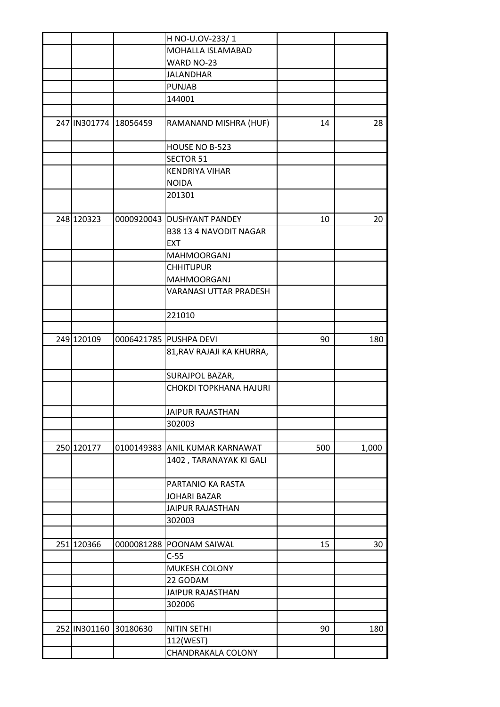|              |                       | H NO-U.OV-233/1                |     |       |
|--------------|-----------------------|--------------------------------|-----|-------|
|              |                       | MOHALLA ISLAMABAD              |     |       |
|              |                       | WARD NO-23                     |     |       |
|              |                       | <b>JALANDHAR</b>               |     |       |
|              |                       | <b>PUNJAB</b>                  |     |       |
|              |                       | 144001                         |     |       |
|              |                       |                                |     |       |
|              | 247 IN301774 18056459 | RAMANAND MISHRA (HUF)          | 14  | 28    |
|              |                       | HOUSE NO B-523                 |     |       |
|              |                       | <b>SECTOR 51</b>               |     |       |
|              |                       | <b>KENDRIYA VIHAR</b>          |     |       |
|              |                       | <b>NOIDA</b>                   |     |       |
|              |                       | 201301                         |     |       |
|              |                       |                                |     |       |
| 248 120323   |                       | 0000920043 DUSHYANT PANDEY     | 10  | 20    |
|              |                       | <b>B38 13 4 NAVODIT NAGAR</b>  |     |       |
|              |                       | <b>EXT</b>                     |     |       |
|              |                       | <b>MAHMOORGANJ</b>             |     |       |
|              |                       | <b>CHHITUPUR</b>               |     |       |
|              |                       | MAHMOORGANJ                    |     |       |
|              |                       | <b>VARANASI UTTAR PRADESH</b>  |     |       |
|              |                       | 221010                         |     |       |
|              |                       |                                |     |       |
| 249 120109   |                       | 0006421785 PUSHPA DEVI         | 90  | 180   |
|              |                       | 81, RAV RAJAJI KA KHURRA,      |     |       |
|              |                       |                                |     |       |
|              |                       | SURAJPOL BAZAR,                |     |       |
|              |                       | <b>CHOKDI TOPKHANA HAJURI</b>  |     |       |
|              |                       |                                |     |       |
|              |                       | <b>JAIPUR RAJASTHAN</b>        |     |       |
|              |                       | 302003                         |     |       |
|              |                       |                                |     |       |
| 250 120177   |                       | 0100149383 ANIL KUMAR KARNAWAT | 500 | 1,000 |
|              |                       | 1402, TARANAYAK KI GALI        |     |       |
|              |                       | PARTANIO KA RASTA              |     |       |
|              |                       | <b>JOHARI BAZAR</b>            |     |       |
|              |                       | <b>JAIPUR RAJASTHAN</b>        |     |       |
|              |                       | 302003                         |     |       |
|              |                       |                                |     |       |
| 251 120366   |                       | 0000081288 POONAM SAIWAL       | 15  | 30    |
|              |                       | $C-55$                         |     |       |
|              |                       | MUKESH COLONY                  |     |       |
|              |                       | 22 GODAM                       |     |       |
|              |                       | <b>JAIPUR RAJASTHAN</b>        |     |       |
|              |                       | 302006                         |     |       |
|              |                       |                                |     |       |
| 252 IN301160 | 30180630              | <b>NITIN SETHI</b>             | 90  | 180   |
|              |                       | 112(WEST)                      |     |       |
|              |                       | CHANDRAKALA COLONY             |     |       |
|              |                       |                                |     |       |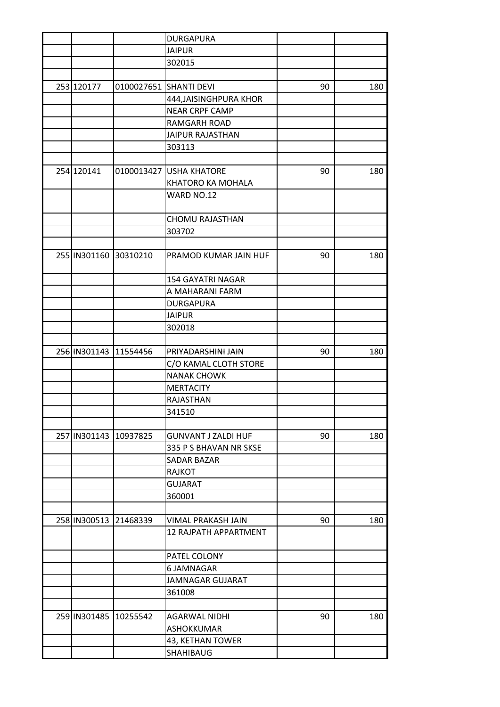|              |                       | <b>DURGAPURA</b>             |    |     |
|--------------|-----------------------|------------------------------|----|-----|
|              |                       | <b>JAIPUR</b>                |    |     |
|              |                       | 302015                       |    |     |
|              |                       |                              |    |     |
| 253 120177   |                       | 0100027651 SHANTI DEVI       | 90 | 180 |
|              |                       | 444, JAISINGHPURA KHOR       |    |     |
|              |                       | <b>NEAR CRPF CAMP</b>        |    |     |
|              |                       | RAMGARH ROAD                 |    |     |
|              |                       | <b>JAIPUR RAJASTHAN</b>      |    |     |
|              |                       | 303113                       |    |     |
|              |                       |                              |    |     |
| 254 120141   |                       | 0100013427 USHA KHATORE      | 90 | 180 |
|              |                       | KHATORO KA MOHALA            |    |     |
|              |                       | WARD NO.12                   |    |     |
|              |                       |                              |    |     |
|              |                       | <b>CHOMU RAJASTHAN</b>       |    |     |
|              |                       | 303702                       |    |     |
|              |                       |                              |    |     |
|              | 255 IN301160 30310210 | PRAMOD KUMAR JAIN HUF        | 90 | 180 |
|              |                       | <b>154 GAYATRI NAGAR</b>     |    |     |
|              |                       | A MAHARANI FARM              |    |     |
|              |                       | <b>DURGAPURA</b>             |    |     |
|              |                       | <b>JAIPUR</b>                |    |     |
|              |                       | 302018                       |    |     |
|              |                       |                              |    |     |
| 256 IN301143 | 11554456              | PRIYADARSHINI JAIN           | 90 | 180 |
|              |                       | C/O KAMAL CLOTH STORE        |    |     |
|              |                       | <b>NANAK CHOWK</b>           |    |     |
|              |                       | <b>MERTACITY</b>             |    |     |
|              |                       | RAJASTHAN                    |    |     |
|              |                       | 341510                       |    |     |
|              |                       |                              |    |     |
|              | 257 IN301143 10937825 | <b>GUNVANT J ZALDI HUF</b>   | 90 | 180 |
|              |                       | 335 P S BHAVAN NR SKSE       |    |     |
|              |                       |                              |    |     |
|              |                       | SADAR BAZAR<br><b>RAJKOT</b> |    |     |
|              |                       | <b>GUJARAT</b>               |    |     |
|              |                       |                              |    |     |
|              |                       | 360001                       |    |     |
|              |                       |                              |    |     |
| 258 IN300513 | 21468339              | VIMAL PRAKASH JAIN           | 90 | 180 |
|              |                       | <b>12 RAJPATH APPARTMENT</b> |    |     |
|              |                       | PATEL COLONY                 |    |     |
|              |                       | 6 JAMNAGAR                   |    |     |
|              |                       | <b>JAMNAGAR GUJARAT</b>      |    |     |
|              |                       | 361008                       |    |     |
|              |                       |                              |    |     |
|              | 259 IN301485 10255542 | <b>AGARWAL NIDHI</b>         | 90 | 180 |
|              |                       | ASHOKKUMAR                   |    |     |
|              |                       | 43, KETHAN TOWER             |    |     |
|              |                       | SHAHIBAUG                    |    |     |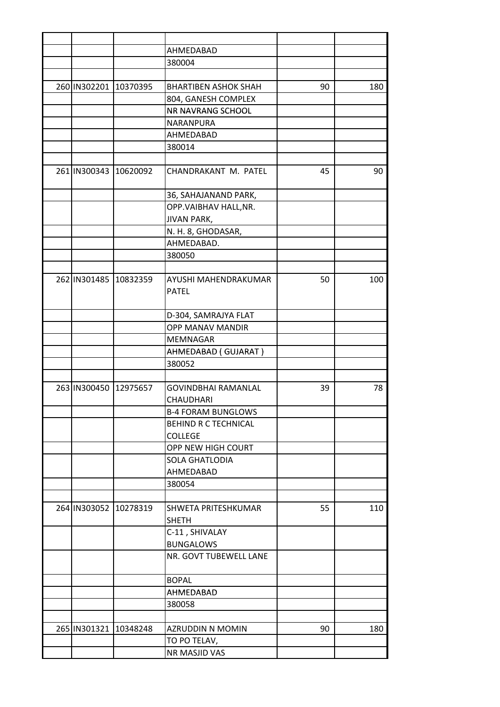|                       |                       | AHMEDABAD                           |    |     |
|-----------------------|-----------------------|-------------------------------------|----|-----|
|                       |                       | 380004                              |    |     |
|                       |                       |                                     |    |     |
| 260 IN302201 10370395 |                       | <b>BHARTIBEN ASHOK SHAH</b>         | 90 | 180 |
|                       |                       | 804, GANESH COMPLEX                 |    |     |
|                       |                       | NR NAVRANG SCHOOL                   |    |     |
|                       |                       | NARANPURA                           |    |     |
|                       |                       | AHMEDABAD                           |    |     |
|                       |                       | 380014                              |    |     |
|                       |                       |                                     |    |     |
|                       | 261 IN300343 10620092 | CHANDRAKANT M. PATEL                | 45 | 90  |
|                       |                       | 36, SAHAJANAND PARK,                |    |     |
|                       |                       | OPP.VAIBHAV HALL, NR.               |    |     |
|                       |                       | <b>JIVAN PARK,</b>                  |    |     |
|                       |                       | N. H. 8, GHODASAR,                  |    |     |
|                       |                       | AHMEDABAD.                          |    |     |
|                       |                       | 380050                              |    |     |
|                       |                       |                                     |    |     |
|                       | 262 IN301485 10832359 | AYUSHI MAHENDRAKUMAR                | 50 | 100 |
|                       |                       | <b>PATEL</b>                        |    |     |
|                       |                       | D-304, SAMRAJYA FLAT                |    |     |
|                       |                       | <b>OPP MANAV MANDIR</b>             |    |     |
|                       |                       | MEMNAGAR                            |    |     |
|                       |                       | AHMEDABAD (GUJARAT)                 |    |     |
|                       |                       | 380052                              |    |     |
|                       |                       |                                     |    |     |
| 263 IN300450 12975657 |                       | <b>GOVINDBHAI RAMANLAL</b>          | 39 | 78  |
|                       |                       | CHAUDHARI                           |    |     |
|                       |                       | <b>B-4 FORAM BUNGLOWS</b>           |    |     |
|                       |                       | BEHIND R C TECHNICAL                |    |     |
|                       |                       | <b>COLLEGE</b>                      |    |     |
|                       |                       | OPP NEW HIGH COURT                  |    |     |
|                       |                       | SOLA GHATLODIA                      |    |     |
|                       |                       | AHMEDABAD                           |    |     |
|                       |                       | 380054                              |    |     |
|                       |                       |                                     |    |     |
|                       | 264 IN303052 10278319 | SHWETA PRITESHKUMAR<br><b>SHETH</b> | 55 | 110 |
|                       |                       | C-11, SHIVALAY                      |    |     |
|                       |                       | <b>BUNGALOWS</b>                    |    |     |
|                       |                       | NR. GOVT TUBEWELL LANE              |    |     |
|                       |                       | <b>BOPAL</b>                        |    |     |
|                       |                       | AHMEDABAD                           |    |     |
|                       |                       | 380058                              |    |     |
|                       |                       |                                     |    |     |
| 265 IN301321 10348248 |                       | AZRUDDIN N MOMIN                    | 90 | 180 |
|                       |                       | TO PO TELAV,                        |    |     |
|                       |                       | NR MASJID VAS                       |    |     |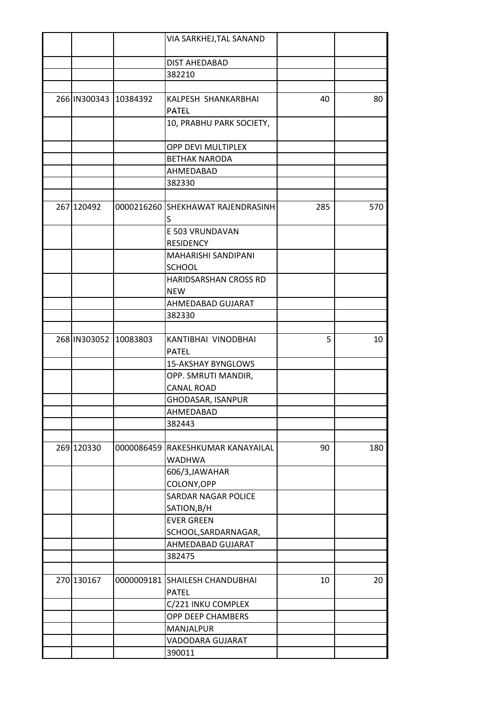|            |                       | VIA SARKHEJ, TAL SANAND                        |     |     |
|------------|-----------------------|------------------------------------------------|-----|-----|
|            |                       | <b>DIST AHEDABAD</b>                           |     |     |
|            |                       | 382210                                         |     |     |
|            |                       |                                                |     |     |
|            | 266 IN300343 10384392 | KALPESH SHANKARBHAI                            | 40  | 80  |
|            |                       | <b>PATEL</b>                                   |     |     |
|            |                       | 10, PRABHU PARK SOCIETY,                       |     |     |
|            |                       | OPP DEVI MULTIPLEX                             |     |     |
|            |                       | <b>BETHAK NARODA</b>                           |     |     |
|            |                       | AHMEDABAD                                      |     |     |
|            |                       | 382330                                         |     |     |
|            |                       |                                                |     |     |
| 267 120492 |                       | 0000216260 SHEKHAWAT RAJENDRASINH              | 285 | 570 |
|            |                       | S                                              |     |     |
|            |                       | E 503 VRUNDAVAN                                |     |     |
|            |                       | <b>RESIDENCY</b>                               |     |     |
|            |                       | MAHARISHI SANDIPANI<br><b>SCHOOL</b>           |     |     |
|            |                       | HARIDSARSHAN CROSS RD                          |     |     |
|            |                       | <b>NEW</b>                                     |     |     |
|            |                       | AHMEDABAD GUJARAT                              |     |     |
|            |                       | 382330                                         |     |     |
|            |                       |                                                |     |     |
|            | 268 IN303052 10083803 | KANTIBHAI VINODBHAI                            | 5   | 10  |
|            |                       | <b>PATEL</b>                                   |     |     |
|            |                       | <b>15-AKSHAY BYNGLOWS</b>                      |     |     |
|            |                       | OPP. SMRUTI MANDIR,                            |     |     |
|            |                       | <b>CANAL ROAD</b>                              |     |     |
|            |                       | GHODASAR, ISANPUR                              |     |     |
|            |                       | AHMEDABAD                                      |     |     |
|            |                       | 382443                                         |     |     |
|            |                       |                                                |     |     |
| 269 120330 |                       | 0000086459 RAKESHKUMAR KANAYAILAL              | 90  | 180 |
|            |                       | <b>WADHWA</b>                                  |     |     |
|            |                       | 606/3, JAWAHAR                                 |     |     |
|            |                       | COLONY, OPP                                    |     |     |
|            |                       | <b>SARDAR NAGAR POLICE</b>                     |     |     |
|            |                       | SATION, B/H                                    |     |     |
|            |                       | <b>EVER GREEN</b>                              |     |     |
|            |                       | SCHOOL, SARDARNAGAR,                           |     |     |
|            |                       | AHMEDABAD GUJARAT                              |     |     |
|            |                       | 382475                                         |     |     |
|            |                       |                                                |     |     |
| 270 130167 |                       | 0000009181 SHAILESH CHANDUBHAI<br><b>PATEL</b> | 10  | 20  |
|            |                       | C/221 INKU COMPLEX                             |     |     |
|            |                       | OPP DEEP CHAMBERS                              |     |     |
|            |                       | MANJALPUR                                      |     |     |
|            |                       | VADODARA GUJARAT                               |     |     |
|            |                       | 390011                                         |     |     |
|            |                       |                                                |     |     |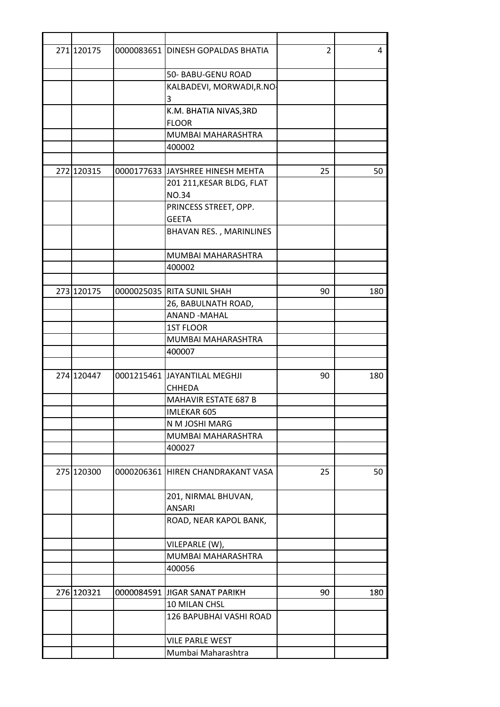| 271 120175 | 0000083651 DINESH GOPALDAS BHATIA      | 2  | 4   |
|------------|----------------------------------------|----|-----|
|            | 50- BABU-GENU ROAD                     |    |     |
|            | KALBADEVI, MORWADI, R.NO-<br>3         |    |     |
|            | K.M. BHATIA NIVAS, 3RD<br><b>FLOOR</b> |    |     |
|            | MUMBAI MAHARASHTRA                     |    |     |
|            | 400002                                 |    |     |
|            |                                        |    |     |
| 272 120315 | 0000177633 JJAYSHREE HINESH MEHTA      | 25 | 50  |
|            | 201 211, KESAR BLDG, FLAT              |    |     |
|            | <b>NO.34</b>                           |    |     |
|            | PRINCESS STREET, OPP.                  |    |     |
|            | <b>GEETA</b>                           |    |     |
|            | BHAVAN RES., MARINLINES                |    |     |
|            | MUMBAI MAHARASHTRA                     |    |     |
|            | 400002                                 |    |     |
|            |                                        |    |     |
| 273 120175 | 0000025035 RITA SUNIL SHAH             | 90 | 180 |
|            | 26, BABULNATH ROAD,                    |    |     |
|            | <b>ANAND -MAHAL</b>                    |    |     |
|            | <b>1ST FLOOR</b>                       |    |     |
|            | MUMBAI MAHARASHTRA                     |    |     |
|            | 400007                                 |    |     |
|            |                                        |    |     |
| 274 120447 | 0001215461 JAYANTILAL MEGHJI           | 90 | 180 |
|            | <b>CHHEDA</b>                          |    |     |
|            | <b>MAHAVIR ESTATE 687 B</b>            |    |     |
|            | IMLEKAR 605                            |    |     |
|            | N M JOSHI MARG                         |    |     |
|            | MUMBAI MAHARASHTRA                     |    |     |
|            | 400027                                 |    |     |
|            |                                        |    |     |
| 275 120300 | 0000206361 HIREN CHANDRAKANT VASA      | 25 | 50  |
|            | 201, NIRMAL BHUVAN,                    |    |     |
|            | <b>ANSARI</b>                          |    |     |
|            | ROAD, NEAR KAPOL BANK,                 |    |     |
|            | VILEPARLE (W),                         |    |     |
|            | MUMBAI MAHARASHTRA                     |    |     |
|            | 400056                                 |    |     |
|            |                                        |    |     |
| 276 120321 | 0000084591 JIGAR SANAT PARIKH          | 90 | 180 |
|            | 10 MILAN CHSL                          |    |     |
|            | 126 BAPUBHAI VASHI ROAD                |    |     |
|            | <b>VILE PARLE WEST</b>                 |    |     |
|            | Mumbai Maharashtra                     |    |     |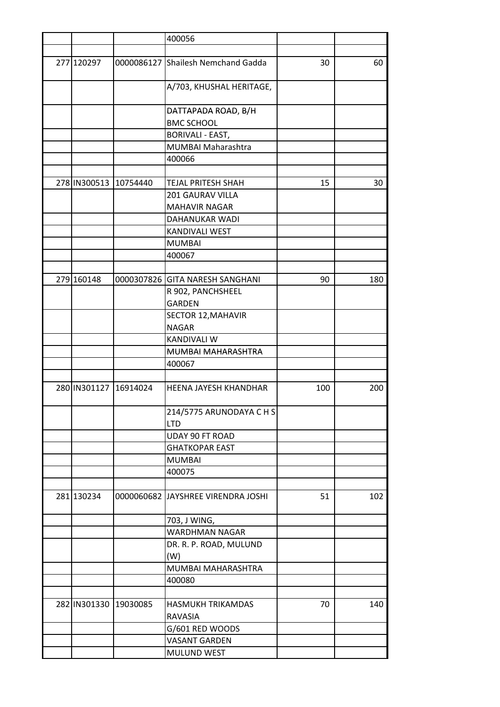|                       |                       | 400056                                 |     |     |
|-----------------------|-----------------------|----------------------------------------|-----|-----|
|                       |                       |                                        |     |     |
| 277 120297            |                       | 0000086127 Shailesh Nemchand Gadda     | 30  | 60  |
|                       |                       | A/703, KHUSHAL HERITAGE,               |     |     |
|                       |                       | DATTAPADA ROAD, B/H                    |     |     |
|                       |                       | <b>BMC SCHOOL</b>                      |     |     |
|                       |                       | <b>BORIVALI - EAST,</b>                |     |     |
|                       |                       | MUMBAI Maharashtra                     |     |     |
|                       |                       | 400066                                 |     |     |
|                       |                       |                                        |     |     |
| 278 IN300513          | 10754440              | <b>TEJAL PRITESH SHAH</b>              | 15  | 30  |
|                       |                       | 201 GAURAV VILLA                       |     |     |
|                       |                       | <b>MAHAVIR NAGAR</b>                   |     |     |
|                       |                       | DAHANUKAR WADI                         |     |     |
|                       |                       | KANDIVALI WEST                         |     |     |
|                       |                       | <b>MUMBAI</b>                          |     |     |
|                       |                       | 400067                                 |     |     |
|                       |                       |                                        |     |     |
| 279 160148            |                       | 0000307826 GITA NARESH SANGHANI        | 90  | 180 |
|                       |                       | R 902, PANCHSHEEL                      |     |     |
|                       |                       | <b>GARDEN</b>                          |     |     |
|                       |                       | SECTOR 12, MAHAVIR                     |     |     |
|                       |                       | <b>NAGAR</b>                           |     |     |
|                       |                       | <b>KANDIVALI W</b>                     |     |     |
|                       |                       | MUMBAI MAHARASHTRA                     |     |     |
|                       |                       | 400067                                 |     |     |
| 280 IN301127 16914024 |                       | <b>HEENA JAYESH KHANDHAR</b>           | 100 | 200 |
|                       |                       | 214/5775 ARUNODAYA C H S<br><b>LTD</b> |     |     |
|                       |                       | UDAY 90 FT ROAD                        |     |     |
|                       |                       | <b>GHATKOPAR EAST</b>                  |     |     |
|                       |                       | <b>MUMBAI</b>                          |     |     |
|                       |                       | 400075                                 |     |     |
| 281 130234            |                       | 0000060682 JJAYSHREE VIRENDRA JOSHI    | 51  | 102 |
|                       |                       | 703, J WING,                           |     |     |
|                       |                       | <b>WARDHMAN NAGAR</b>                  |     |     |
|                       |                       | DR. R. P. ROAD, MULUND                 |     |     |
|                       |                       | (W)                                    |     |     |
|                       |                       | MUMBAI MAHARASHTRA                     |     |     |
|                       |                       | 400080                                 |     |     |
|                       |                       |                                        |     |     |
|                       | 282 IN301330 19030085 | HASMUKH TRIKAMDAS                      | 70  | 140 |
|                       |                       | RAVASIA                                |     |     |
|                       |                       | G/601 RED WOODS                        |     |     |
|                       |                       | <b>VASANT GARDEN</b>                   |     |     |
|                       |                       | MULUND WEST                            |     |     |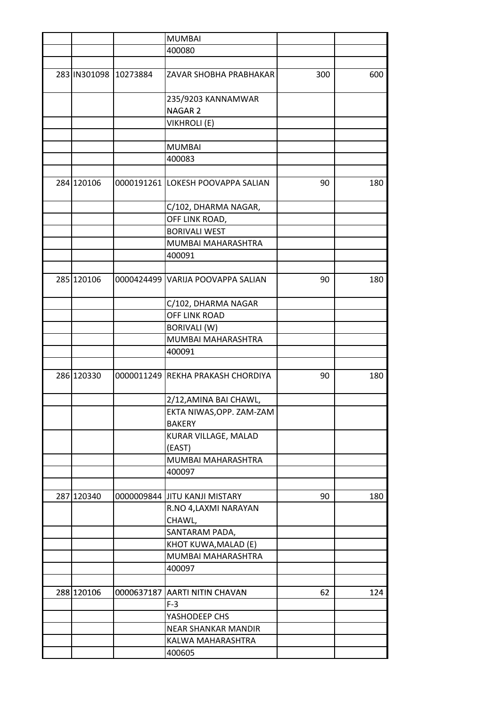|            |                       | <b>MUMBAI</b>                     |     |     |
|------------|-----------------------|-----------------------------------|-----|-----|
|            |                       | 400080                            |     |     |
|            |                       |                                   |     |     |
|            | 283 IN301098 10273884 | ZAVAR SHOBHA PRABHAKAR            | 300 | 600 |
|            |                       | 235/9203 KANNAMWAR                |     |     |
|            |                       | NAGAR <sub>2</sub>                |     |     |
|            |                       | <b>VIKHROLI (E)</b>               |     |     |
|            |                       |                                   |     |     |
|            |                       | <b>MUMBAI</b>                     |     |     |
|            |                       | 400083                            |     |     |
|            |                       |                                   |     |     |
| 284 120106 |                       | 0000191261 LOKESH POOVAPPA SALIAN | 90  | 180 |
|            |                       | C/102, DHARMA NAGAR,              |     |     |
|            |                       | OFF LINK ROAD,                    |     |     |
|            |                       | <b>BORIVALI WEST</b>              |     |     |
|            |                       | MUMBAI MAHARASHTRA                |     |     |
|            |                       | 400091                            |     |     |
|            |                       |                                   |     |     |
| 285 120106 |                       | 0000424499 VARIJA POOVAPPA SALIAN | 90  | 180 |
|            |                       | C/102, DHARMA NAGAR               |     |     |
|            |                       | OFF LINK ROAD                     |     |     |
|            |                       | <b>BORIVALI (W)</b>               |     |     |
|            |                       | MUMBAI MAHARASHTRA                |     |     |
|            |                       | 400091                            |     |     |
|            |                       |                                   |     |     |
| 286 120330 |                       | 0000011249 REKHA PRAKASH CHORDIYA | 90  | 180 |
|            |                       | 2/12, AMINA BAI CHAWL,            |     |     |
|            |                       | EKTA NIWAS, OPP. ZAM-ZAM          |     |     |
|            |                       | <b>BAKERY</b>                     |     |     |
|            |                       | KURAR VILLAGE, MALAD              |     |     |
|            |                       | (EAST)                            |     |     |
|            |                       | MUMBAI MAHARASHTRA                |     |     |
|            |                       | 400097                            |     |     |
|            |                       |                                   |     |     |
| 287 120340 |                       | 0000009844 JJITU KANJI MISTARY    | 90  | 180 |
|            |                       | R.NO 4, LAXMI NARAYAN             |     |     |
|            |                       | CHAWL,                            |     |     |
|            |                       | SANTARAM PADA,                    |     |     |
|            |                       | KHOT KUWA, MALAD (E)              |     |     |
|            |                       | MUMBAI MAHARASHTRA                |     |     |
|            |                       | 400097                            |     |     |
|            |                       |                                   |     |     |
| 288 120106 |                       | 0000637187 AARTI NITIN CHAVAN     | 62  | 124 |
|            |                       | $F-3$                             |     |     |
|            |                       | YASHODEEP CHS                     |     |     |
|            |                       | <b>NEAR SHANKAR MANDIR</b>        |     |     |
|            |                       | KALWA MAHARASHTRA                 |     |     |
|            |                       | 400605                            |     |     |
|            |                       |                                   |     |     |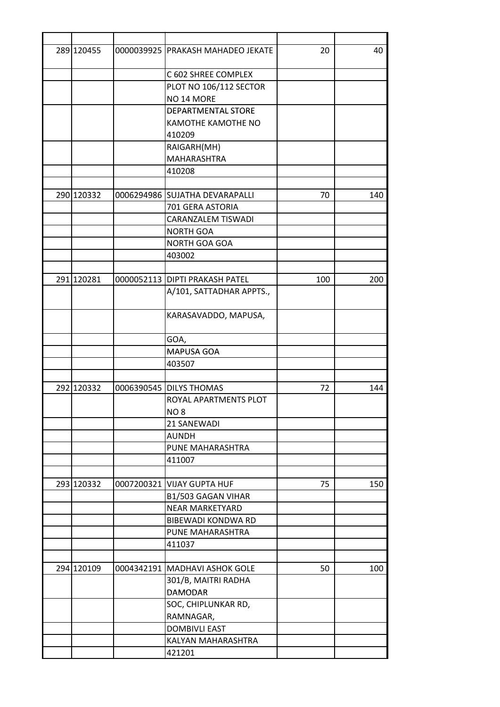| 289 120455 |            | 0000039925   PRAKASH MAHADEO JEKATE | 20  | 40  |
|------------|------------|-------------------------------------|-----|-----|
|            |            | C 602 SHREE COMPLEX                 |     |     |
|            |            | PLOT NO 106/112 SECTOR              |     |     |
|            |            | NO <sub>14</sub> MORE               |     |     |
|            |            | DEPARTMENTAL STORE                  |     |     |
|            |            | KAMOTHE KAMOTHE NO                  |     |     |
|            |            | 410209                              |     |     |
|            |            | RAIGARH(MH)                         |     |     |
|            |            | MAHARASHTRA                         |     |     |
|            |            | 410208                              |     |     |
|            |            |                                     |     |     |
| 290 120332 |            | 0006294986 SUJATHA DEVARAPALLI      | 70  | 140 |
|            |            | 701 GERA ASTORIA                    |     |     |
|            |            | <b>CARANZALEM TISWADI</b>           |     |     |
|            |            | <b>NORTH GOA</b>                    |     |     |
|            |            | NORTH GOA GOA                       |     |     |
|            |            | 403002                              |     |     |
|            |            |                                     |     |     |
| 291 120281 |            | 0000052113 DIPTI PRAKASH PATEL      | 100 | 200 |
|            |            | A/101, SATTADHAR APPTS.,            |     |     |
|            |            | KARASAVADDO, MAPUSA,                |     |     |
|            |            | GOA,                                |     |     |
|            |            | <b>MAPUSA GOA</b>                   |     |     |
|            |            | 403507                              |     |     |
| 292 120332 |            | 0006390545 DILYS THOMAS             | 72  | 144 |
|            |            | ROYAL APARTMENTS PLOT               |     |     |
|            |            |                                     |     |     |
|            |            | NO <sub>8</sub><br>21 SANEWADI      |     |     |
|            |            | <b>AUNDH</b>                        |     |     |
|            |            |                                     |     |     |
|            |            | PUNE MAHARASHTRA<br>411007          |     |     |
|            |            |                                     |     |     |
| 293 120332 | 0007200321 | <b>VIJAY GUPTA HUF</b>              | 75  | 150 |
|            |            | B1/503 GAGAN VIHAR                  |     |     |
|            |            | <b>NEAR MARKETYARD</b>              |     |     |
|            |            | <b>BIBEWADI KONDWA RD</b>           |     |     |
|            |            | PUNE MAHARASHTRA                    |     |     |
|            |            | 411037                              |     |     |
|            |            |                                     |     |     |
| 294 120109 |            | 0004342191 MADHAVI ASHOK GOLE       | 50  | 100 |
|            |            | 301/B, MAITRI RADHA                 |     |     |
|            |            | <b>DAMODAR</b>                      |     |     |
|            |            | SOC, CHIPLUNKAR RD,                 |     |     |
|            |            | RAMNAGAR,                           |     |     |
|            |            | <b>DOMBIVLI EAST</b>                |     |     |
|            |            | KALYAN MAHARASHTRA                  |     |     |
|            |            | 421201                              |     |     |
|            |            |                                     |     |     |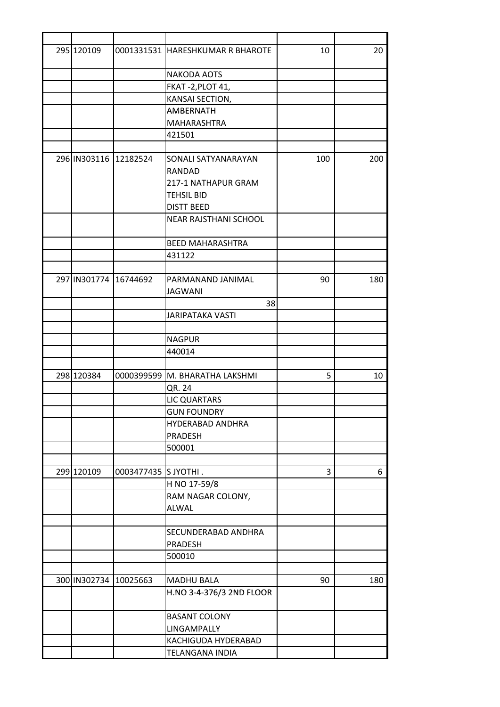| 295 120109 |                       | 0001331531 HARESHKUMAR R BHAROTE | 10  | 20  |
|------------|-----------------------|----------------------------------|-----|-----|
|            |                       | NAKODA AOTS                      |     |     |
|            |                       | FKAT-2, PLOT 41,                 |     |     |
|            |                       | KANSAI SECTION,                  |     |     |
|            |                       | AMBERNATH                        |     |     |
|            |                       | MAHARASHTRA                      |     |     |
|            |                       | 421501                           |     |     |
|            | 296 IN303116 12182524 | SONALI SATYANARAYAN              | 100 | 200 |
|            |                       | RANDAD                           |     |     |
|            |                       | 217-1 NATHAPUR GRAM              |     |     |
|            |                       | <b>TEHSIL BID</b>                |     |     |
|            |                       | <b>DISTT BEED</b>                |     |     |
|            |                       | NEAR RAJSTHANI SCHOOL            |     |     |
|            |                       |                                  |     |     |
|            |                       | <b>BEED MAHARASHTRA</b>          |     |     |
|            |                       | 431122                           |     |     |
|            |                       |                                  |     |     |
|            | 297 IN301774 16744692 | PARMANAND JANIMAL                | 90  | 180 |
|            |                       | <b>JAGWANI</b>                   |     |     |
|            |                       | 38                               |     |     |
|            |                       | <b>JARIPATAKA VASTI</b>          |     |     |
|            |                       | <b>NAGPUR</b>                    |     |     |
|            |                       |                                  |     |     |
|            |                       | 440014                           |     |     |
| 298 120384 |                       | 0000399599 M. BHARATHA LAKSHMI   | 5   | 10  |
|            |                       | QR. 24                           |     |     |
|            |                       | LIC QUARTARS                     |     |     |
|            |                       | <b>GUN FOUNDRY</b>               |     |     |
|            |                       | HYDERABAD ANDHRA                 |     |     |
|            |                       | <b>PRADESH</b>                   |     |     |
|            |                       | 500001                           |     |     |
|            |                       |                                  |     |     |
| 299 120109 | 0003477435 S JYOTHI.  |                                  | 3   | 6   |
|            |                       | H NO 17-59/8                     |     |     |
|            |                       | RAM NAGAR COLONY,                |     |     |
|            |                       | <b>ALWAL</b>                     |     |     |
|            |                       |                                  |     |     |
|            |                       | SECUNDERABAD ANDHRA              |     |     |
|            |                       | PRADESH                          |     |     |
|            |                       | 500010                           |     |     |
|            |                       |                                  |     |     |
|            | 300 IN302734 10025663 | MADHU BALA                       | 90  | 180 |
|            |                       | H.NO 3-4-376/3 2ND FLOOR         |     |     |
|            |                       | <b>BASANT COLONY</b>             |     |     |
|            |                       | LINGAMPALLY                      |     |     |
|            |                       | KACHIGUDA HYDERABAD              |     |     |
|            |                       | <b>TELANGANA INDIA</b>           |     |     |
|            |                       |                                  |     |     |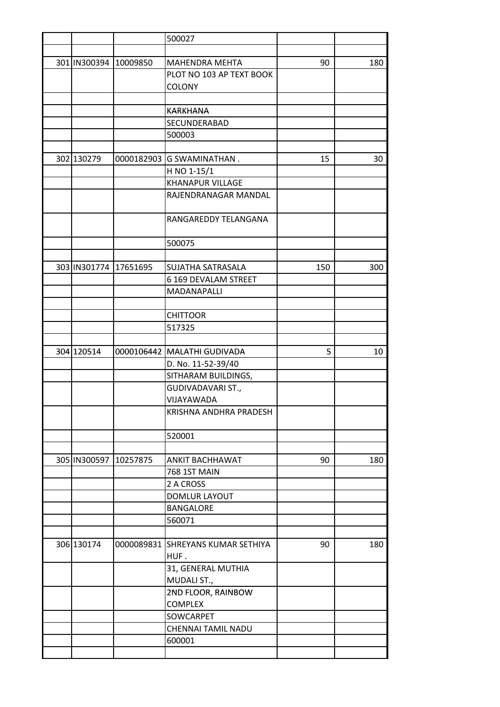|                       |          | 500027                            |     |     |
|-----------------------|----------|-----------------------------------|-----|-----|
|                       |          |                                   |     |     |
| 301 IN300394 10009850 |          | <b>MAHENDRA MEHTA</b>             | 90  | 180 |
|                       |          | PLOT NO 103 AP TEXT BOOK          |     |     |
|                       |          | <b>COLONY</b>                     |     |     |
|                       |          |                                   |     |     |
|                       |          | <b>KARKHANA</b>                   |     |     |
|                       |          | SECUNDERABAD                      |     |     |
|                       |          | 500003                            |     |     |
|                       |          |                                   |     |     |
| 302 130279            |          | 0000182903 G SWAMINATHAN.         | 15  | 30  |
|                       |          | H NO 1-15/1                       |     |     |
|                       |          | <b>KHANAPUR VILLAGE</b>           |     |     |
|                       |          | RAJENDRANAGAR MANDAL              |     |     |
|                       |          |                                   |     |     |
|                       |          | RANGAREDDY TELANGANA              |     |     |
|                       |          |                                   |     |     |
|                       |          | 500075                            |     |     |
| 303 IN301774          |          |                                   |     |     |
|                       | 17651695 | SUJATHA SATRASALA                 | 150 | 300 |
|                       |          | 6 169 DEVALAM STREET              |     |     |
|                       |          | MADANAPALLI                       |     |     |
|                       |          |                                   |     |     |
|                       |          | <b>CHITTOOR</b>                   |     |     |
|                       |          | 517325                            |     |     |
|                       |          |                                   |     |     |
| 304 120514            |          | 0000106442 MALATHI GUDIVADA       | 5   | 10  |
|                       |          | D. No. 11-52-39/40                |     |     |
|                       |          | SITHARAM BUILDINGS,               |     |     |
|                       |          | GUDIVADAVARI ST.,                 |     |     |
|                       |          | VIJAYAWADA                        |     |     |
|                       |          | KRISHNA ANDHRA PRADESH            |     |     |
|                       |          | 520001                            |     |     |
|                       |          |                                   |     |     |
| 305 IN300597          | 10257875 | <b>ANKIT BACHHAWAT</b>            | 90  | 180 |
|                       |          | <b>768 1ST MAIN</b>               |     |     |
|                       |          | 2 A CROSS                         |     |     |
|                       |          | DOMLUR LAYOUT                     |     |     |
|                       |          | BANGALORE                         |     |     |
|                       |          | 560071                            |     |     |
|                       |          |                                   |     |     |
| 306 130174            |          | 0000089831 SHREYANS KUMAR SETHIYA | 90  | 180 |
|                       |          | HUF.                              |     |     |
|                       |          | 31, GENERAL MUTHIA<br>MUDALI ST., |     |     |
|                       |          | 2ND FLOOR, RAINBOW                |     |     |
|                       |          | <b>COMPLEX</b>                    |     |     |
|                       |          | SOWCARPET                         |     |     |
|                       |          |                                   |     |     |
|                       |          | CHENNAI TAMIL NADU                |     |     |
|                       |          | 600001                            |     |     |
|                       |          |                                   |     |     |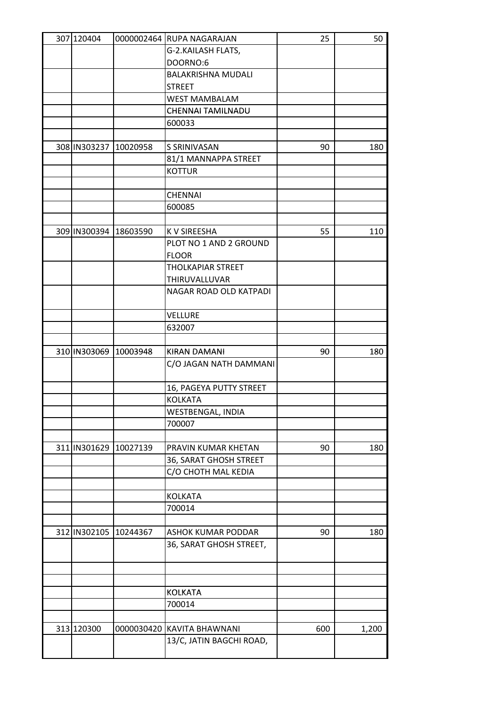| G-2.KAILASH FLATS,<br>DOORNO:6<br><b>BALAKRISHNA MUDALI</b><br><b>STREET</b><br><b>WEST MAMBALAM</b><br>CHENNAI TAMILNADU<br>600033<br>308 IN303237<br>10020958<br>S SRINIVASAN<br>90<br>180<br>81/1 MANNAPPA STREET<br><b>KOTTUR</b><br><b>CHENNAI</b><br>600085<br>309 IN300394 18603590<br>55<br>K V SIREESHA<br>110<br>PLOT NO 1 AND 2 GROUND<br><b>FLOOR</b> |
|-------------------------------------------------------------------------------------------------------------------------------------------------------------------------------------------------------------------------------------------------------------------------------------------------------------------------------------------------------------------|
|                                                                                                                                                                                                                                                                                                                                                                   |
|                                                                                                                                                                                                                                                                                                                                                                   |
|                                                                                                                                                                                                                                                                                                                                                                   |
|                                                                                                                                                                                                                                                                                                                                                                   |
|                                                                                                                                                                                                                                                                                                                                                                   |
|                                                                                                                                                                                                                                                                                                                                                                   |
|                                                                                                                                                                                                                                                                                                                                                                   |
|                                                                                                                                                                                                                                                                                                                                                                   |
|                                                                                                                                                                                                                                                                                                                                                                   |
|                                                                                                                                                                                                                                                                                                                                                                   |
|                                                                                                                                                                                                                                                                                                                                                                   |
|                                                                                                                                                                                                                                                                                                                                                                   |
|                                                                                                                                                                                                                                                                                                                                                                   |
|                                                                                                                                                                                                                                                                                                                                                                   |
|                                                                                                                                                                                                                                                                                                                                                                   |
|                                                                                                                                                                                                                                                                                                                                                                   |
|                                                                                                                                                                                                                                                                                                                                                                   |
|                                                                                                                                                                                                                                                                                                                                                                   |
| <b>THOLKAPIAR STREET</b>                                                                                                                                                                                                                                                                                                                                          |
| THIRUVALLUVAR                                                                                                                                                                                                                                                                                                                                                     |
| NAGAR ROAD OLD KATPADI                                                                                                                                                                                                                                                                                                                                            |
|                                                                                                                                                                                                                                                                                                                                                                   |
| <b>VELLURE</b>                                                                                                                                                                                                                                                                                                                                                    |
| 632007                                                                                                                                                                                                                                                                                                                                                            |
|                                                                                                                                                                                                                                                                                                                                                                   |
| 310 IN303069 10003948<br><b>KIRAN DAMANI</b><br>90<br>180                                                                                                                                                                                                                                                                                                         |
| C/O JAGAN NATH DAMMANI                                                                                                                                                                                                                                                                                                                                            |
|                                                                                                                                                                                                                                                                                                                                                                   |
| 16, PAGEYA PUTTY STREET                                                                                                                                                                                                                                                                                                                                           |
| <b>KOLKATA</b>                                                                                                                                                                                                                                                                                                                                                    |
| WESTBENGAL, INDIA                                                                                                                                                                                                                                                                                                                                                 |
| 700007                                                                                                                                                                                                                                                                                                                                                            |
|                                                                                                                                                                                                                                                                                                                                                                   |
| 311 IN301629<br>10027139<br>PRAVIN KUMAR KHETAN<br>90<br>180                                                                                                                                                                                                                                                                                                      |
| 36, SARAT GHOSH STREET                                                                                                                                                                                                                                                                                                                                            |
| C/O CHOTH MAL KEDIA                                                                                                                                                                                                                                                                                                                                               |
|                                                                                                                                                                                                                                                                                                                                                                   |
| <b>KOLKATA</b>                                                                                                                                                                                                                                                                                                                                                    |
| 700014                                                                                                                                                                                                                                                                                                                                                            |
|                                                                                                                                                                                                                                                                                                                                                                   |
| 312 IN302105<br>10244367<br>ASHOK KUMAR PODDAR<br>90<br>180                                                                                                                                                                                                                                                                                                       |
| 36, SARAT GHOSH STREET,                                                                                                                                                                                                                                                                                                                                           |
|                                                                                                                                                                                                                                                                                                                                                                   |
|                                                                                                                                                                                                                                                                                                                                                                   |
|                                                                                                                                                                                                                                                                                                                                                                   |
| <b>KOLKATA</b>                                                                                                                                                                                                                                                                                                                                                    |
| 700014                                                                                                                                                                                                                                                                                                                                                            |
|                                                                                                                                                                                                                                                                                                                                                                   |
| 313 120300<br>0000030420 KAVITA BHAWNANI<br>600<br>1,200                                                                                                                                                                                                                                                                                                          |
| 13/C, JATIN BAGCHI ROAD,                                                                                                                                                                                                                                                                                                                                          |
|                                                                                                                                                                                                                                                                                                                                                                   |